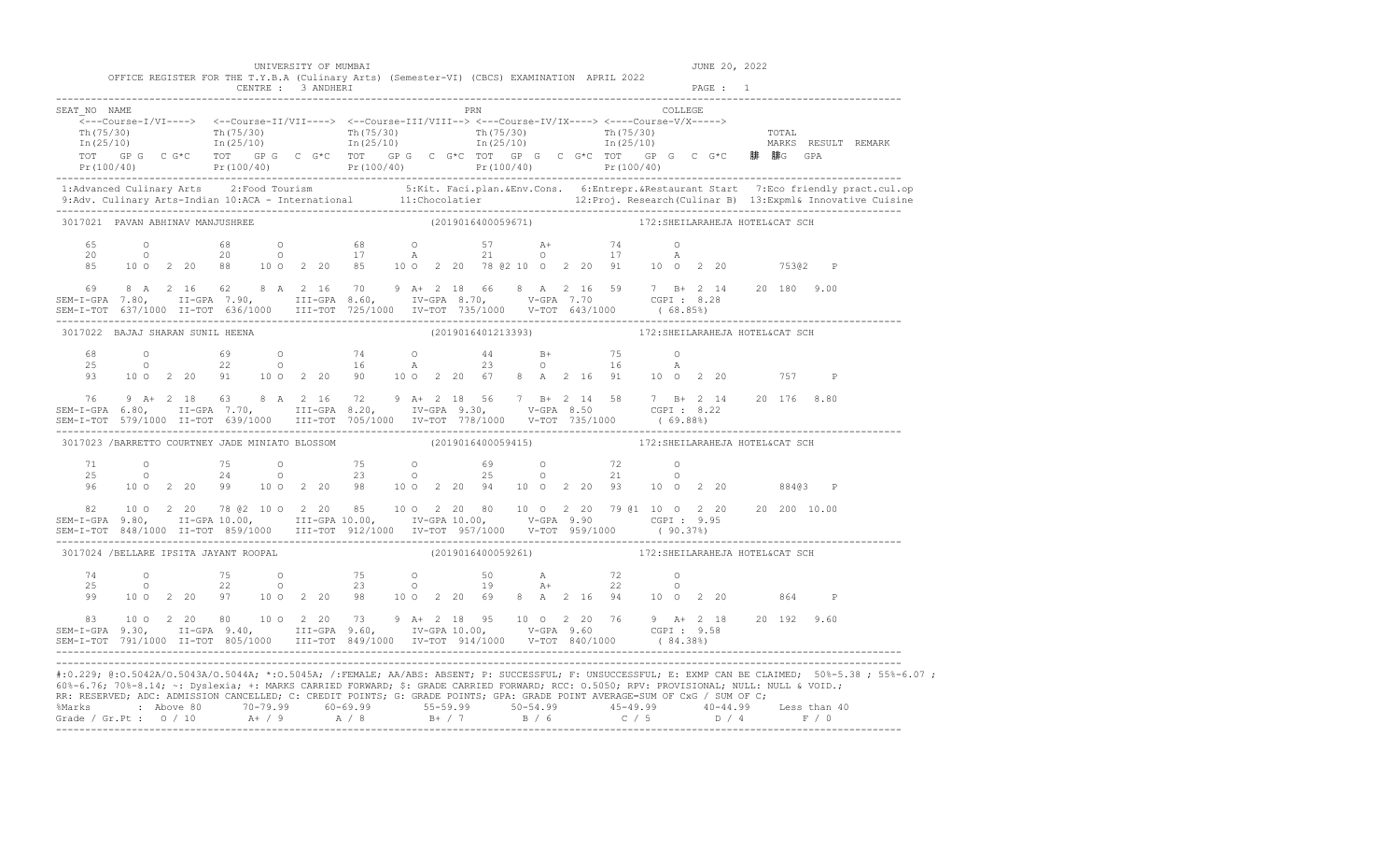| 60%-6.76; 70%-8.14; ~: Dyslexia; +: MARKS CARRIED FORWARD; \$: GRADE CARRIED FORWARD; RCC: 0.5050; RPV: PROVISIONAL; NULL: NULL & VOID.;<br>RR: RESERVED; ADC: ADMISSION CANCELLED; C: CREDIT POINTS; G: GRADE POINTS; GPA: GRADE POINT AVERAGE=SUM OF CxG / SUM OF C;<br>%Marks : Above 80 70-79.99 60-69.99 55-59.99 50-54.99 45-49.99 40-44.99 Less than 40<br>Grade / Gr.Pt : 0 / 10 A+ / 9 A / 8 B+ / 7 B / 6 C / 5 D / 4 F / 0 |        |  |  |                      |  |  |  |                                                                                                                       |  |  |                                 |         |               |  |                                                                                                                                                                                                                                                                                                                                                             | #:0.229; @:0.5042A/0.5043A/0.5044A; *:0.5045A; /:FEMALE; AA/ABS: ABSENT; P: SUCCESSFUL; F: UNSUCCESSFUL; E: EXMP CAN BE CLAIMED; 50%-5.38; 55%-6.07;                                                                                                                                                                                                                               |
|--------------------------------------------------------------------------------------------------------------------------------------------------------------------------------------------------------------------------------------------------------------------------------------------------------------------------------------------------------------------------------------------------------------------------------------|--------|--|--|----------------------|--|--|--|-----------------------------------------------------------------------------------------------------------------------|--|--|---------------------------------|---------|---------------|--|-------------------------------------------------------------------------------------------------------------------------------------------------------------------------------------------------------------------------------------------------------------------------------------------------------------------------------------------------------------|------------------------------------------------------------------------------------------------------------------------------------------------------------------------------------------------------------------------------------------------------------------------------------------------------------------------------------------------------------------------------------|
| $\begin{array}{cccccccccccc} 83 & 10&0&2&20&80&10&0&2&20&73&9&\text{A}+&2&18&95&10&0&2&20&76&9&\text{A}+&2&18&20&192&9.60\\ \texttt{SEM-I-GPA} & 9.30, & \texttt{II-GPA} & 9.40, & \texttt{III-GPA} & 9.60, & \texttt{IV-GPA} & 10.00, & \texttt{V-GPA} & 9.60 & \texttt{CGPI}: & 9.58\\ \texttt{SEM-I-TOT} & 791/1000 & \texttt{II-TOT}$                                                                                            |        |  |  |                      |  |  |  |                                                                                                                       |  |  |                                 |         |               |  |                                                                                                                                                                                                                                                                                                                                                             |                                                                                                                                                                                                                                                                                                                                                                                    |
| 74                                                                                                                                                                                                                                                                                                                                                                                                                                   | $25$ 0 |  |  |                      |  |  |  | 0 75 0 75 0 50 A 72 0<br>0 22 0 23 0 19 A+ 22 0<br>99 10 0 2 20 97 10 0 2 20 98 10 0 2 20 69 8 A 2 16 94 10 0 2 20    |  |  |                                 |         |               |  | 864 P                                                                                                                                                                                                                                                                                                                                                       |                                                                                                                                                                                                                                                                                                                                                                                    |
| 3017024 /BELLARE IPSITA JAYANT ROOPAL                                                                                                                                                                                                                                                                                                                                                                                                |        |  |  |                      |  |  |  | (2019016400059261)                                                                                                    |  |  | 172: SHEILARAHEJA HOTEL&CAT SCH |         |               |  |                                                                                                                                                                                                                                                                                                                                                             |                                                                                                                                                                                                                                                                                                                                                                                    |
|                                                                                                                                                                                                                                                                                                                                                                                                                                      |        |  |  |                      |  |  |  |                                                                                                                       |  |  |                                 |         |               |  |                                                                                                                                                                                                                                                                                                                                                             |                                                                                                                                                                                                                                                                                                                                                                                    |
| 96                                                                                                                                                                                                                                                                                                                                                                                                                                   |        |  |  |                      |  |  |  | $100220$ 99 $100220$ 98 $100220$ 94 $100220$ 93 $100220$ 884@3 P                                                      |  |  |                                 |         |               |  |                                                                                                                                                                                                                                                                                                                                                             |                                                                                                                                                                                                                                                                                                                                                                                    |
| 3017023 /BARRETTO COURTNEY JADE MINIATO BLOSSOM (2019016400059415) 172:SHEILARAHEJA HOTEL&CAT SCH                                                                                                                                                                                                                                                                                                                                    |        |  |  |                      |  |  |  |                                                                                                                       |  |  |                                 |         |               |  |                                                                                                                                                                                                                                                                                                                                                             |                                                                                                                                                                                                                                                                                                                                                                                    |
| 76 9 A+ 2 18 63 8 A 2 16 72 9 A+ 2 18 56 7 B+ 2 14 58 7 B+ 2 14 20 176 8.80<br>SEM-I-GPA 6.80, II-GPA 7.70, III-GPA 8.20, IV-GPA 9.30, V-GPA 8.50 CGPI: 8.22                                                                                                                                                                                                                                                                         |        |  |  |                      |  |  |  |                                                                                                                       |  |  |                                 |         |               |  |                                                                                                                                                                                                                                                                                                                                                             |                                                                                                                                                                                                                                                                                                                                                                                    |
| 68<br>25<br>93                                                                                                                                                                                                                                                                                                                                                                                                                       |        |  |  |                      |  |  |  | 0 69 0 74 0 44 B+ 75 0<br>0 22 0 16 A 23 0 16 A<br>10 0 2 20 91 10 0 2 20 90 10 0 2 20 67 8 A 2 16 91 10 0 2 20 757 P |  |  |                                 |         |               |  |                                                                                                                                                                                                                                                                                                                                                             |                                                                                                                                                                                                                                                                                                                                                                                    |
| 3017022 BAJAJ SHARAN SUNIL HEENA                                                                                                                                                                                                                                                                                                                                                                                                     |        |  |  |                      |  |  |  | (2019016401213393) 172: SHEILARAHEJA HOTEL&CAT SCH                                                                    |  |  |                                 |         |               |  |                                                                                                                                                                                                                                                                                                                                                             |                                                                                                                                                                                                                                                                                                                                                                                    |
|                                                                                                                                                                                                                                                                                                                                                                                                                                      |        |  |  |                      |  |  |  |                                                                                                                       |  |  |                                 |         |               |  | $\begin{array}{cccccccccccc} 69 & 8 & A & 2 & 16 & 62 & 8 & A & 2 & 16 & 70 & 9 & A+ & 2 & 18 & 66 & 8 & A & 2 & 16 & 59 & 7 & B+ & 2 & 14 & 20 & 180 & 9.00 \\ \texttt{SEM-I-GPA} & 7.80, & \texttt{II-GPA} & 7.90, & \texttt{III-GPA} & 8.60, & \texttt{IV-GPA} & 8.70, & \texttt{V-GPA} & 7.70 & \texttt{CGPI}: & 8.28 \\ \texttt{SEM-I-TOT} & 637/1000$ |                                                                                                                                                                                                                                                                                                                                                                                    |
| 65<br>20<br>85                                                                                                                                                                                                                                                                                                                                                                                                                       |        |  |  |                      |  |  |  | 0 68 0 68 0 57 A+ 74 0<br>0 20 0 17 A 21 0 17 A<br>10 0 2 20 88 10 0 2 20 85 10 0 2 20 78 @ 2 10 0 2 20 91 10 0 2 20  |  |  |                                 | A       |               |  | 75302 P                                                                                                                                                                                                                                                                                                                                                     |                                                                                                                                                                                                                                                                                                                                                                                    |
| 3017021 PAVAN ABHINAV MANJUSHREE                                                                                                                                                                                                                                                                                                                                                                                                     |        |  |  |                      |  |  |  | (2019016400059671) 172: SHEILARAHEJA HOTEL&CAT SCH                                                                    |  |  |                                 |         |               |  |                                                                                                                                                                                                                                                                                                                                                             |                                                                                                                                                                                                                                                                                                                                                                                    |
|                                                                                                                                                                                                                                                                                                                                                                                                                                      |        |  |  |                      |  |  |  |                                                                                                                       |  |  |                                 |         |               |  |                                                                                                                                                                                                                                                                                                                                                             | 1:Advanced Culinary Arts 2:Food Tourism 5:Kit. Faci.plan.&Env.Cons. 6:Entrepr.&Restaurant Start 7:Eco friendly pract.cul.op<br>9:Adv. Culinary Arts-Indian 10:ACA - International 11:Chocolatier 12:Proj. Research(Culinar B) 13:                                                                                                                                                  |
|                                                                                                                                                                                                                                                                                                                                                                                                                                      |        |  |  |                      |  |  |  |                                                                                                                       |  |  |                                 |         |               |  |                                                                                                                                                                                                                                                                                                                                                             | $\begin{array}{cccccccc} \text{Tr}\,(75/30) & \text{Tr}\,(75/30) & \text{Tr}\,(75/30) & \text{Tr}\,(75/30) & \text{Tr}\,(75/30) & \text{Tr}\,(75/30) & \text{Tr}\,(75/30) & \text{Tr}\,(75/30) & \text{Tr}\,(25/10) & \text{Tr}\,(25/10) & \text{Tr}\,(25/10) & \text{Tr}\,(25/10) & \text{Tr}\,(25/10) & \text{Tr}\,(25/10) & \text{Tr}\,(25/10) & \text{Tr}\,(25/10) & \text{Tr$ |
| SEAT NO NAME                                                                                                                                                                                                                                                                                                                                                                                                                         |        |  |  |                      |  |  |  | PRN                                                                                                                   |  |  |                                 | COLLEGE |               |  |                                                                                                                                                                                                                                                                                                                                                             |                                                                                                                                                                                                                                                                                                                                                                                    |
|                                                                                                                                                                                                                                                                                                                                                                                                                                      |        |  |  | UNIVERSITY OF MUMBAI |  |  |  | OFFICE REGISTER FOR THE T.Y.B.A (Culinary Arts) (Semester-VI) (CBCS) EXAMINATION APRIL 2022                           |  |  |                                 |         | JUNE 20, 2022 |  |                                                                                                                                                                                                                                                                                                                                                             |                                                                                                                                                                                                                                                                                                                                                                                    |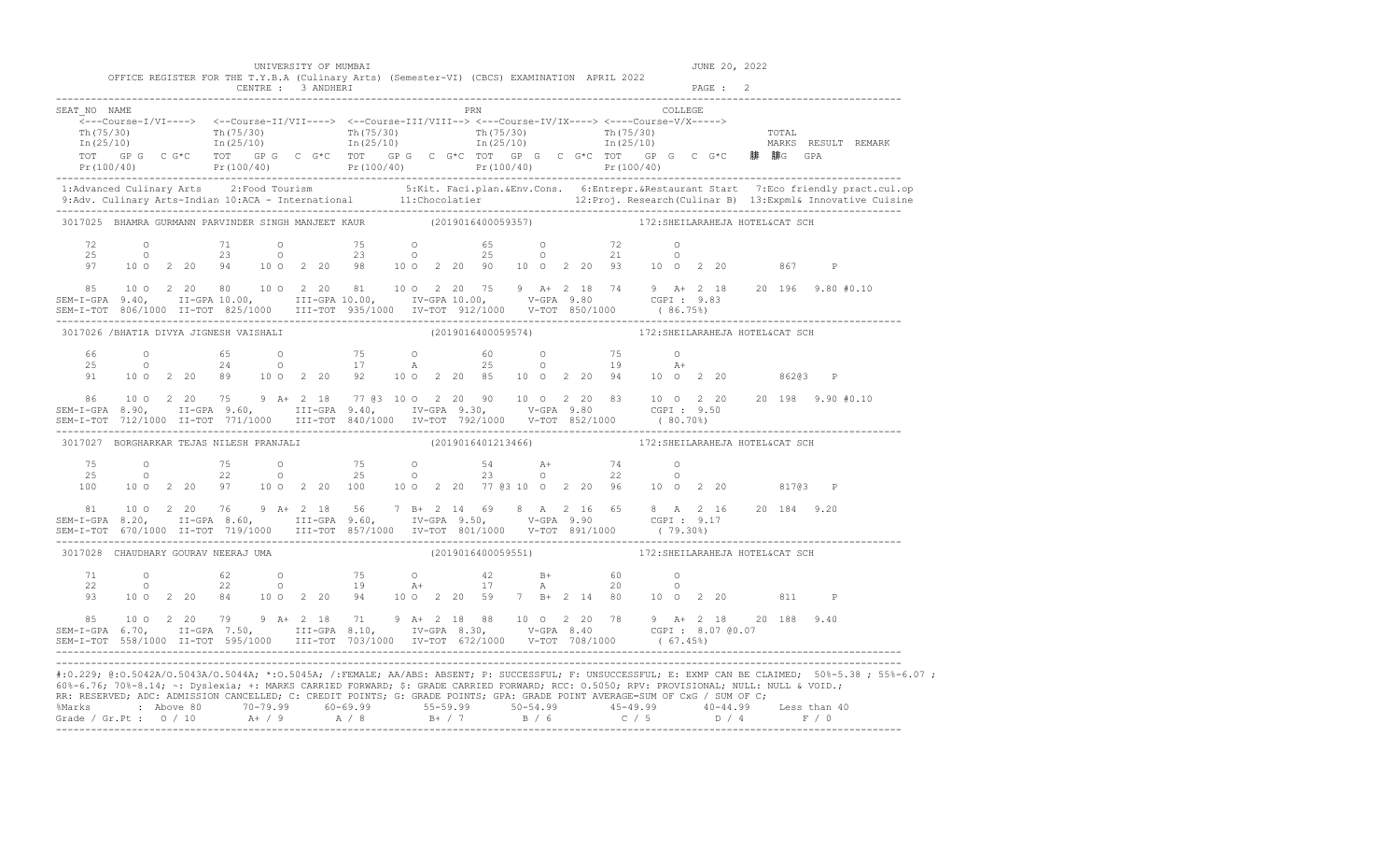|                                                                                                                                                                                                                                                                                                                                                                                                              |  |                                                                                             |                    |  | UNIVERSITY OF MUMBAI |                     |  |  |                    |                                                                                                                                                                                                                                                                                                                                     |         |         | JUNE 20, 2022 |  |                                                                                                                                                                                                                                                                                                                                                                               |
|--------------------------------------------------------------------------------------------------------------------------------------------------------------------------------------------------------------------------------------------------------------------------------------------------------------------------------------------------------------------------------------------------------------|--|---------------------------------------------------------------------------------------------|--------------------|--|----------------------|---------------------|--|--|--------------------|-------------------------------------------------------------------------------------------------------------------------------------------------------------------------------------------------------------------------------------------------------------------------------------------------------------------------------------|---------|---------|---------------|--|-------------------------------------------------------------------------------------------------------------------------------------------------------------------------------------------------------------------------------------------------------------------------------------------------------------------------------------------------------------------------------|
|                                                                                                                                                                                                                                                                                                                                                                                                              |  | OFFICE REGISTER FOR THE T.Y.B.A (Culinary Arts) (Semester-VI) (CBCS) EXAMINATION APRIL 2022 | CENTRE : 3 ANDHERI |  |                      |                     |  |  |                    |                                                                                                                                                                                                                                                                                                                                     |         | PAGE: 2 |               |  |                                                                                                                                                                                                                                                                                                                                                                               |
| SEAT NO NAME                                                                                                                                                                                                                                                                                                                                                                                                 |  |                                                                                             |                    |  |                      | <b>EXAMPLE 1988</b> |  |  |                    | $\overbrace{\texttt{<--Course-I/VI--->}} \hspace{1.5cm} \xleftarrows\texttt{--Course-II/VII--->} \hspace{1.5cm} \xleftarrows\texttt{--Course-II/VIII--->} \hspace{1.5cm} \xleftarrows\texttt{--Course-IV/IX--->} \hspace{1.5cm} \xleftarrows\texttt{--Course-V/X--->} \hspace{1.5cm} \xleftarrows\texttt{--Course-V/X--->} \right.$ | COLLEGE |         |               |  | $\frac{\text{Th}(75/30)}{\text{Th}(25/10)}$ $\frac{\text{Th}(75/30)}{\text{In}(25/10)}$ $\frac{\text{Th}(75/30)}{\text{In}(25/10)}$ $\frac{\text{Th}(75/30)}{\text{In}(25/10)}$ $\frac{\text{Th}(75/30)}{\text{In}(25/10)}$ $\frac{\text{Th}(75/30)}{\text{In}(25/10)}$ $\frac{\text{Th}(75/30)}{\text{In}(25/10)}$ $\frac{\text{Tr}(75/30)}{\text{In}(25/10)}$ $\frac{\text$ |
|                                                                                                                                                                                                                                                                                                                                                                                                              |  |                                                                                             |                    |  |                      |                     |  |  |                    |                                                                                                                                                                                                                                                                                                                                     |         |         |               |  | TOT GP G C G*C TOT GP G C G*C TOT GP G C G*C TOT GP G C G*C TOT GP G C G*C <b>腓 腓</b> G GPA<br>Pr(100/40) Pr(100/40) Pr(100/40) Pr(100/40) Pr(100/40) Pr(100/40) Pr(100/40) Pr(100/40) Pr(100/40)                                                                                                                                                                             |
|                                                                                                                                                                                                                                                                                                                                                                                                              |  |                                                                                             |                    |  |                      |                     |  |  |                    |                                                                                                                                                                                                                                                                                                                                     |         |         |               |  |                                                                                                                                                                                                                                                                                                                                                                               |
| 3017025 BHAMRA GURMANN PARVINDER SINGH MANJEET KAUR (2019016400059357)                                                                                                                                                                                                                                                                                                                                       |  |                                                                                             |                    |  |                      |                     |  |  |                    | 172: SHEILARAHEJA HOTEL&CAT SCH                                                                                                                                                                                                                                                                                                     |         |         |               |  |                                                                                                                                                                                                                                                                                                                                                                               |
| 72<br>25<br>97                                                                                                                                                                                                                                                                                                                                                                                               |  |                                                                                             |                    |  |                      |                     |  |  |                    | $\begin{array}{cccccccccccccccc} 0 & & & 71 & & & 0 & & & 75 & & 0 & & & 65 & & 0 & & & 72 & & 0 \\ 0 & & & 23 & & & 0 & & & 23 & & 0 & & & 25 & & 0 & & 21 & & 0 \\ 10 & 0 & 2 & 20 & 94 & & 10 & 0 & 2 & 20 & 98 & & 10 & 0 & 2 & 20 & 90 & & 10 & 0 & 2 & 20 & 93 & & 10 & 0 & 2 & 20 & & 867 & & P \end{array}$                 |         |         |               |  |                                                                                                                                                                                                                                                                                                                                                                               |
|                                                                                                                                                                                                                                                                                                                                                                                                              |  |                                                                                             |                    |  |                      |                     |  |  |                    |                                                                                                                                                                                                                                                                                                                                     |         |         |               |  |                                                                                                                                                                                                                                                                                                                                                                               |
| 3017026 / BHATIA DIVYA JIGNESH VAISHALI                                                                                                                                                                                                                                                                                                                                                                      |  |                                                                                             |                    |  |                      |                     |  |  |                    | (2019016400059574) 172: SHEILARAHEJA HOTEL&CAT SCH                                                                                                                                                                                                                                                                                  |         |         |               |  |                                                                                                                                                                                                                                                                                                                                                                               |
| 66<br>25<br>91                                                                                                                                                                                                                                                                                                                                                                                               |  |                                                                                             |                    |  |                      |                     |  |  |                    | 0 65 0 75 0 60 0 75 0<br>0 24 0 17 A 25 0 19 A+<br>10 0 2 20 89 10 0 2 20 92 10 0 2 20 85 10 0 2 20 94 10 0 2 20 86203 P                                                                                                                                                                                                            |         |         |               |  |                                                                                                                                                                                                                                                                                                                                                                               |
|                                                                                                                                                                                                                                                                                                                                                                                                              |  |                                                                                             |                    |  |                      |                     |  |  |                    |                                                                                                                                                                                                                                                                                                                                     |         |         |               |  |                                                                                                                                                                                                                                                                                                                                                                               |
| 3017027 BORGHARKAR TEJAS NILESH PRANJALI                                                                                                                                                                                                                                                                                                                                                                     |  |                                                                                             |                    |  |                      |                     |  |  |                    | (2019016401213466)  172: SHEILARAHEJA HOTEL&CAT SCH                                                                                                                                                                                                                                                                                 |         |         |               |  |                                                                                                                                                                                                                                                                                                                                                                               |
| 75<br>25<br>100                                                                                                                                                                                                                                                                                                                                                                                              |  |                                                                                             |                    |  |                      |                     |  |  |                    | 0 75 0 75 0 54 A+ 74 0<br>0 22 0 25 0 23 0 22 0<br>10 0 2 20 97 10 0 2 20 100 100 2 20 77 @3 10 0 2 20 96 10 0 2 20 817@3 P                                                                                                                                                                                                         |         |         |               |  |                                                                                                                                                                                                                                                                                                                                                                               |
| 81<br>SEM-I-GPA 8.20, II-GPA 8.60, III-GPA 9.60, IV-GPA 9.50, V-GPA 9.90 CGPI 9.17<br>SEM-I-TOT 670/1000 II-TOT 719/1000 III-TOT 857/1000 IV-TOT 801/1000 V-TOT 891/1000 (79.30%)                                                                                                                                                                                                                            |  |                                                                                             |                    |  |                      |                     |  |  |                    | 10 0 2 20 76 9 A + 2 18 56 7 B + 2 14 69 8 A 2 16 65 8 A 2 16 20 184 9.20                                                                                                                                                                                                                                                           |         |         |               |  |                                                                                                                                                                                                                                                                                                                                                                               |
| 3017028 CHAUDHARY GOURAV NEERAJ UMA                                                                                                                                                                                                                                                                                                                                                                          |  |                                                                                             |                    |  |                      |                     |  |  | (2019016400059551) | 172: SHEILARAHEJA HOTEL&CAT SCH                                                                                                                                                                                                                                                                                                     |         |         |               |  |                                                                                                                                                                                                                                                                                                                                                                               |
| 71<br>22<br>93                                                                                                                                                                                                                                                                                                                                                                                               |  |                                                                                             |                    |  |                      |                     |  |  |                    | 0 $62$ 0 $75$ 0 $42$ B+ 60 0<br>0 22 0 19 A+ 17 A 20 0<br>10 0 2 20 84 10 0 2 20 94 10 0 2 20 59 7 B+ 2 14 80 10 0 2 20 811 P                                                                                                                                                                                                       |         |         |               |  |                                                                                                                                                                                                                                                                                                                                                                               |
| $$\tt 85 \quad 10\, \,O \quad 2\, \, 20 \quad 79 \quad 9 \quad A+ \, 2 \quad 18 \quad 71 \quad 9 \quad A+ \, 2 \quad 18 \quad 88 \quad 10\, \,O \quad 2 \quad 20 \quad 78 \quad 9 \quad A+ \, 2 \quad 18 \quad 20 \quad 188 \quad 9.40 \nonumber \\ \tt SEM-T-GPA \quad 6.70, \qquad II-GPA \quad 7.50, \qquad III-GPA \quad 8.10, \qquad IV-GPA \quad 8.30, \qquad V-GPA \quad 8.40 \qquad CGPI : \quad 8.$ |  |                                                                                             |                    |  |                      |                     |  |  |                    |                                                                                                                                                                                                                                                                                                                                     |         |         |               |  |                                                                                                                                                                                                                                                                                                                                                                               |
| 60%-6.76; 70%-8.14; ~: Dyslexia; +: MARKS CARRIED FORWARD; \$: GRADE CARRIED FORWARD; RCC: 0.5050; RPV: PROVISIONAL; NULL: NULL & VOID.;<br>RR: RESERVED; ADC: ADMISSION CANCELLED; C: CREDIT POINTS; G: GRADE POINTS; GPA: GRADE POINT AVERAGE=SUM OF CxG / SUM OF C;                                                                                                                                       |  |                                                                                             |                    |  |                      |                     |  |  |                    |                                                                                                                                                                                                                                                                                                                                     |         |         |               |  | #:0.229; @:0.5042A/0.5043A/0.5044A; *:0.5045A; /:FEMALE; AA/ABS: ABSENT; P: SUCCESSFUL; F: UNSUCCESSFUL; E: EXMP CAN BE CLAIMED; 50%-5.38; 55%-6.07;                                                                                                                                                                                                                          |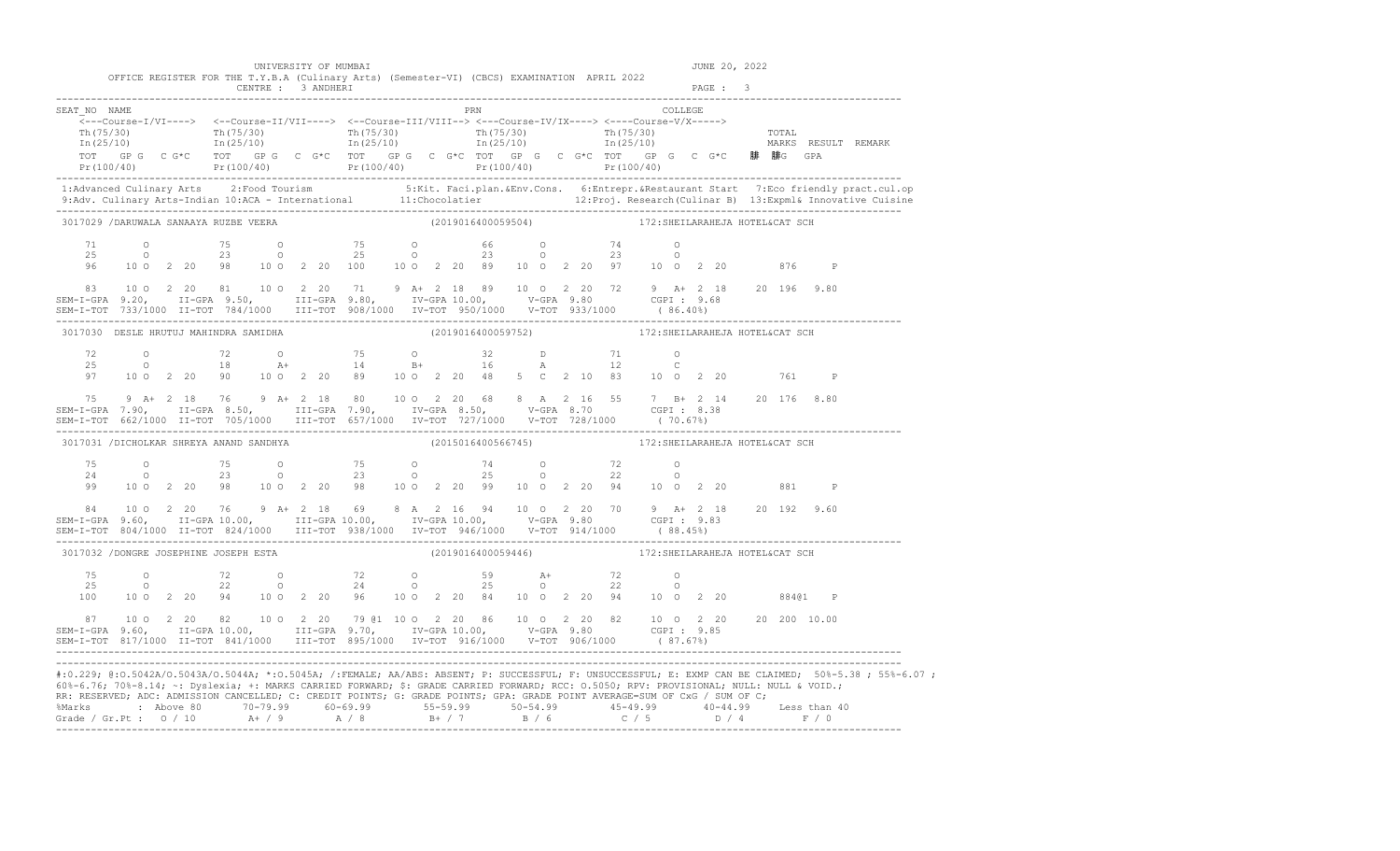|                                                                                                                                                                                                                                                                                                                                                                                                                                      |  |  |                    | UNIVERSITY OF MUMBAI                                                                                                                                                                                                                                              |  |                    |  |  |                                                    |         |          | JUNE 20, 2022 |              |                                                                                                                                                                                                                                   |
|--------------------------------------------------------------------------------------------------------------------------------------------------------------------------------------------------------------------------------------------------------------------------------------------------------------------------------------------------------------------------------------------------------------------------------------|--|--|--------------------|-------------------------------------------------------------------------------------------------------------------------------------------------------------------------------------------------------------------------------------------------------------------|--|--------------------|--|--|----------------------------------------------------|---------|----------|---------------|--------------|-----------------------------------------------------------------------------------------------------------------------------------------------------------------------------------------------------------------------------------|
|                                                                                                                                                                                                                                                                                                                                                                                                                                      |  |  | CENTRE : 3 ANDHERI | OFFICE REGISTER FOR THE T.Y.B.A (Culinary Arts) (Semester-VI) (CBCS) EXAMINATION APRIL 2022                                                                                                                                                                       |  |                    |  |  |                                                    |         | PAGE : 3 |               |              |                                                                                                                                                                                                                                   |
| SEAT NO NAME                                                                                                                                                                                                                                                                                                                                                                                                                         |  |  |                    | $\overline{\langle}\text{---Course-I/VI--->}\rangle\quad\text{<-Course-II/VII--->} \quad\text{---Course-III/VIII--->} \quad\text{---Course-IV/IX--->} \quad\text{---Course-V/X--->}$<br>TOT GPG CG*C TOT GPG CG*C TOT GPG CG*C TOT GPG CG*C TOT GPG CG*C 腓 腓G GPA |  | PRN                |  |  |                                                    | COLLEGE |          |               |              | $Pr(100/40)$ $Pr(100/40)$ $Pr(100/40)$ $Pr(100/40)$ $Pr(100/40)$ $Pr(100/40)$ $Pr(100/40)$                                                                                                                                        |
|                                                                                                                                                                                                                                                                                                                                                                                                                                      |  |  |                    |                                                                                                                                                                                                                                                                   |  |                    |  |  |                                                    |         |          |               |              | 1:Advanced Culinary Arts 2:Food Tourism 5:Kit. Faci.plan.&Env.Cons. 6:Entrepr.&Restaurant Start 7:Eco friendly pract.cul.op<br>9:Adv. Culinary Arts-Indian 10:ACA - International 11:Chocolatier 12:Proj. Research (Culinar B) 13 |
| 3017029 /DARUWALA SANAAYA RUZBE VEERA<br>71<br>25<br>96                                                                                                                                                                                                                                                                                                                                                                              |  |  |                    | 0 75 0 75 0 66 0 74 0<br>0 23 0 25 0 23 0 23 0<br>10 0 2 20 98 10 0 2 20 100 10 0 2 20 89 10 0 2 20 97 10 0 2 20 976 P                                                                                                                                            |  | (2019016400059504) |  |  | 172: SHEILARAHEJA HOTEL&CAT SCH                    |         |          |               |              |                                                                                                                                                                                                                                   |
| 83 10 0 2 20 81 10 0 2 20 71 9 A+ 2 18 89 10 0 2 20 72 9 A+ 2 18 20 196 9.80<br>SEM-I-GPA 9.20, II-GPA 9.50, III-GPA 9.80, IV-GPA 10.00, V-GPA 9.80 CGPI: 9.68<br>SEM-I-TOT 733/1000 II-TOT 784/1000 III-TOT 908/1000 IV-TOT 950/1000 V-TOT 933/1000 (86.40%)                                                                                                                                                                        |  |  |                    |                                                                                                                                                                                                                                                                   |  |                    |  |  |                                                    |         |          |               |              |                                                                                                                                                                                                                                   |
| 3017030 DESLE HRUTUJ MAHINDRA SAMIDHA                                                                                                                                                                                                                                                                                                                                                                                                |  |  |                    |                                                                                                                                                                                                                                                                   |  |                    |  |  | (2019016400059752) 172:SHEILARAHEJA HOTEL&CAT SCH  |         |          |               |              |                                                                                                                                                                                                                                   |
| 72<br>25<br>97                                                                                                                                                                                                                                                                                                                                                                                                                       |  |  |                    | 0 72 0 75 0 32 D 71 0<br>0 18 A+ 14 B+ 16 A 12 C<br>10 0 2 20 90 10 0 2 20 89 10 0 2 20 48 5 C 2 10 83 10 0 2 20 761                                                                                                                                              |  |                    |  |  |                                                    |         |          |               | $\mathsf{P}$ |                                                                                                                                                                                                                                   |
| 75 9 A+ 2 18 76 9 A+ 2 18 80 10 0 2 20 68 8 A 2 16 55 7 B+ 2 14 20 176 8.80<br>SEM-I-GPA 7.90, II-GPA 8.50, III-GPA 7.90, IV-GPA 8.50, V-GPA 8.70 CGPI: 8.38<br>SEM-I-TOT 662/1000 II-TOT 705/1000 III-TOT 657/1000 IV-TOT 727/10                                                                                                                                                                                                    |  |  |                    |                                                                                                                                                                                                                                                                   |  |                    |  |  |                                                    |         |          |               |              |                                                                                                                                                                                                                                   |
| 3017031 /DICHOLKAR SHREYA ANAND SANDHYA                                                                                                                                                                                                                                                                                                                                                                                              |  |  |                    |                                                                                                                                                                                                                                                                   |  |                    |  |  | (2015016400566745) 172: SHEILARAHEJA HOTEL&CAT SCH |         |          |               |              |                                                                                                                                                                                                                                   |
|                                                                                                                                                                                                                                                                                                                                                                                                                                      |  |  |                    | 75 0 75 0 75 0 74 0 72 0<br>24 0 23 0 23 0 25 0 22 0<br>99 10 0 2 20 98 10 0 2 20 98 10 0 2 20 99 10 0 2 20 94 10 0 2 20 881                                                                                                                                      |  |                    |  |  |                                                    |         |          |               | $\mathbb{P}$ |                                                                                                                                                                                                                                   |
| SEM-I-GPA 9.60, II-GPA 10.00, III-GPA 10.00, IV-GPA 10.00, V-GPA 9.80 CGPI : 9.83<br>SEM-I-TOT 804/1000 II-TOT 824/1000 III-TOT 938/1000 IV-TOT 946/1000 V-TOT 914/1000 (88.45%)                                                                                                                                                                                                                                                     |  |  |                    | 84   10   2   20   76   9   A+   2   18   69   8   A   2   16   94   10   0   2   20   70   9   A+   2   18   20   192   9.60                                                                                                                                     |  |                    |  |  |                                                    |         |          |               |              |                                                                                                                                                                                                                                   |
| 3017032 /DONGRE JOSEPHINE JOSEPH ESTA                                                                                                                                                                                                                                                                                                                                                                                                |  |  |                    |                                                                                                                                                                                                                                                                   |  |                    |  |  | (2019016400059446) 172: SHEILARAHEJA HOTEL&CAT SCH |         |          |               |              |                                                                                                                                                                                                                                   |
| 75<br>25<br>100                                                                                                                                                                                                                                                                                                                                                                                                                      |  |  |                    | 0 $72$ 0 $72$ 0 $59$ $34$ $72$ 0<br>0 22 0 24 0 25 0 22 0<br>10 0 2 20 94 10 0 2 20 96 10 0 2 20 84 10 0 2 20 94 10 0 2 20                                                                                                                                        |  |                    |  |  |                                                    |         |          |               | 88401 P      |                                                                                                                                                                                                                                   |
| SEM-I-TOT 817/1000 II-TOT 841/1000 III-TOT 895/1000 IV-TOT 916/1000 V-TOT 906/1000 (87.67%)                                                                                                                                                                                                                                                                                                                                          |  |  |                    |                                                                                                                                                                                                                                                                   |  |                    |  |  |                                                    |         |          |               |              |                                                                                                                                                                                                                                   |
| 60%-6.76; 70%-8.14; ~: Dyslexia; +: MARKS CARRIED FORWARD; \$: GRADE CARRIED FORWARD; RCC: 0.5050; RPV: PROVISIONAL; NULL: NULL & VOID.;<br>RR: RESERVED; ADC: ADMISSION CANCELLED; C: CREDIT POINTS; G: GRADE POINTS; GPA: GRADE POINT AVERAGE=SUM OF CxG / SUM OF C;<br>%Marks : Above 80 70-79.99 60-69.99 55-59.99 50-54.99 45-49.99 40-44.99 Less than 40<br>Grade / Gr.Pt : 0 / 10 A+ / 9 A / 8 B+ / 7 B / 6 C / 5 D / 4 F / 0 |  |  |                    |                                                                                                                                                                                                                                                                   |  |                    |  |  |                                                    |         |          |               |              | #:0.229; @:0.5042A/0.5043A/0.5044A; *:0.5045A; /:FEMALE; AA/ABS: ABSENT; P: SUCCESSFUL; F: UNSUCCESSFUL; E: EXMP CAN BE CLAIMED; 50%-5.38 ; 55%-6.07 ;                                                                            |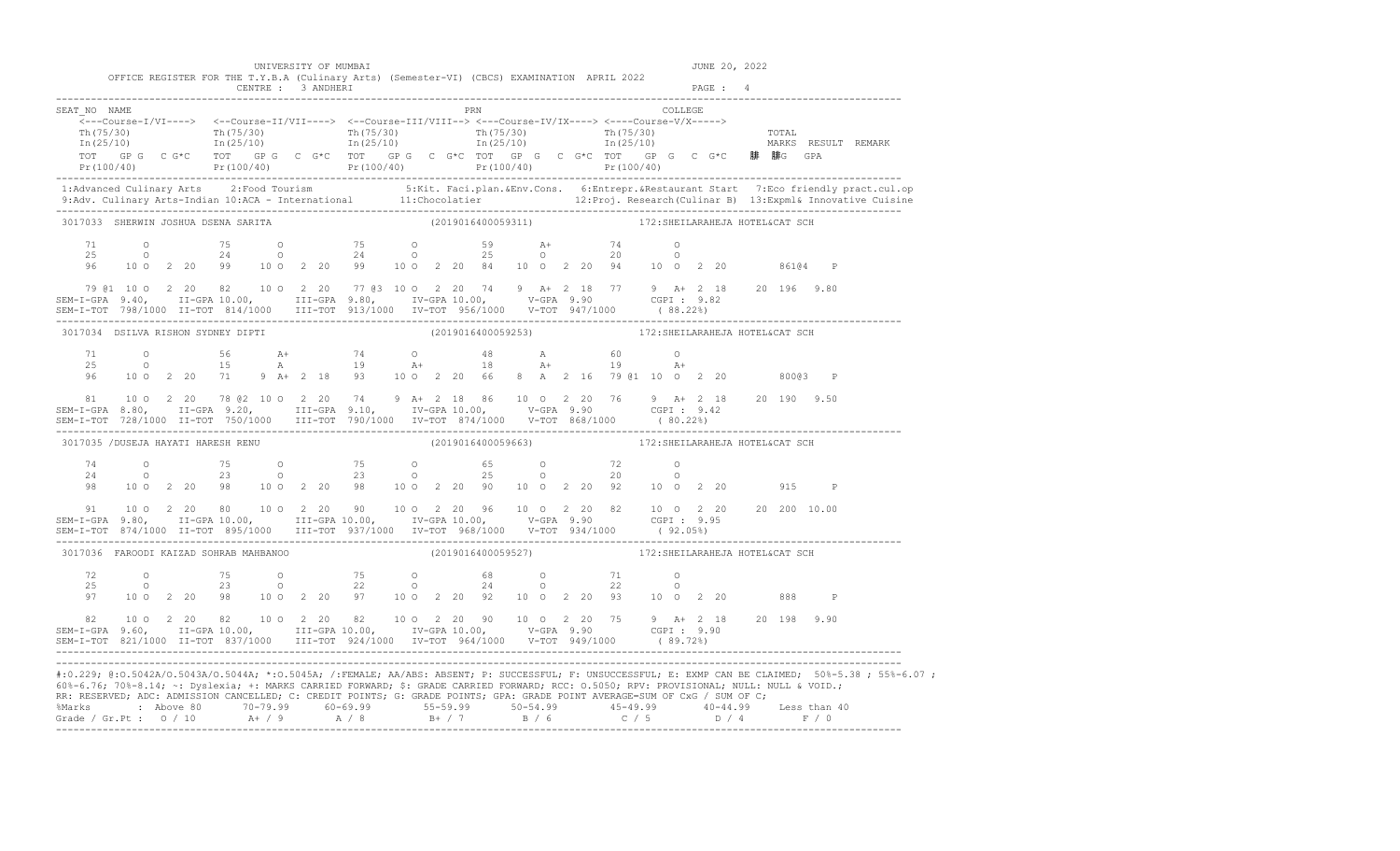|                                                                                                                                                                                                                                                                                                                                                                                                                                      |  |  | UNIVERSITY OF MUMBAI |                                                                                                                                                                                                                                                                                                                                       |     |                    |  |  |                                                    |         |         | JUNE 20, 2022 |              |                                                                                                                                                                                                                                                                                                                          |
|--------------------------------------------------------------------------------------------------------------------------------------------------------------------------------------------------------------------------------------------------------------------------------------------------------------------------------------------------------------------------------------------------------------------------------------|--|--|----------------------|---------------------------------------------------------------------------------------------------------------------------------------------------------------------------------------------------------------------------------------------------------------------------------------------------------------------------------------|-----|--------------------|--|--|----------------------------------------------------|---------|---------|---------------|--------------|--------------------------------------------------------------------------------------------------------------------------------------------------------------------------------------------------------------------------------------------------------------------------------------------------------------------------|
|                                                                                                                                                                                                                                                                                                                                                                                                                                      |  |  | CENTRE : 3 ANDHERI   | OFFICE REGISTER FOR THE T.Y.B.A (Culinary Arts) (Semester-VI) (CBCS) EXAMINATION APRIL 2022                                                                                                                                                                                                                                           |     |                    |  |  |                                                    |         | PAGE: 4 |               |              |                                                                                                                                                                                                                                                                                                                          |
| SEAT NO NAME                                                                                                                                                                                                                                                                                                                                                                                                                         |  |  |                      | <---Course-I/VI----> <--Course-II/VII----> <--Course-III/VIII--> <---Course-IV/IX----> <---Course-V/X----->                                                                                                                                                                                                                           | PRN |                    |  |  |                                                    | COLLEGE |         |               |              |                                                                                                                                                                                                                                                                                                                          |
|                                                                                                                                                                                                                                                                                                                                                                                                                                      |  |  |                      |                                                                                                                                                                                                                                                                                                                                       |     |                    |  |  |                                                    |         |         |               |              | Pr (100/40) Pr (100/40) Pr (100/40) Pr (100/40) Pr (100/40) Pr (100/40) Pr (100/40)<br>1:Advanced Culinary Arts 2:Food Tourism 5:Kit. Faci.plan.&Env.Cons. 6:Entrepr.&Restaurant Start 7:Eco friendly pract.cul.op<br>9:Adv. Culinary Arts-Indian 10:ACA - International 11:Chocolatier 12:Proj. Research (Culinar B) 13 |
| 3017033 SHERWIN JOSHUA DSENA SARITA<br>71<br>25                                                                                                                                                                                                                                                                                                                                                                                      |  |  |                      | 0 75 0 75 0 59 $A+$ 74 0<br>0 24 0 24 0 25 0 20 0<br>10 0 2 20 99 10 0 2 20 84 10 0 2 20 94 10 0 2 20 86104 P                                                                                                                                                                                                                         |     | (2019016400059311) |  |  | 172: SHEILARAHEJA HOTEL&CAT SCH                    |         |         |               |              |                                                                                                                                                                                                                                                                                                                          |
| 96<br>79 @1 10 0 2 20 82 10 0 2 20 77 @3 10 0 2 20 74 9 A+ 2 18 77 9 A+ 2 18 20 196 9.80<br>SEM-I-GPA 9.40, II-GPA 10.00, III-GPA 9.80, IV-GPA 10.00, V-GPA 9.90 CGPI: 9.82                                                                                                                                                                                                                                                          |  |  |                      |                                                                                                                                                                                                                                                                                                                                       |     |                    |  |  |                                                    |         |         |               |              |                                                                                                                                                                                                                                                                                                                          |
| 3017034 DSILVA RISHON SYDNEY DIPTI                                                                                                                                                                                                                                                                                                                                                                                                   |  |  |                      |                                                                                                                                                                                                                                                                                                                                       |     |                    |  |  | (2019016400059253) 172: SHEILARAHEJA HOTEL&CAT SCH |         |         |               |              |                                                                                                                                                                                                                                                                                                                          |
|                                                                                                                                                                                                                                                                                                                                                                                                                                      |  |  |                      | $\begin{array}{cccccccccccccccc} 71 & & & 0 & & & 56 & & A+ & & 74 & & 0 & & 48 & & A & & 60 & & 0 \\ 25 & & & 0 & & & 15 & & A & & 19 & & A+ & & 18 & & A+ & & 19 & & A+ \\ 96 & & 10 & 0 & 2 & 20 & & 71 & 9 & A+ & 2 & 18 & 93 & & 10 & 0 & 2 & 20 & 66 & 8 & A & 2 & 16 & 79 & 01 & 10 & 0 & 2 & 20 & & 800 & 03 & P \end{array}$ |     |                    |  |  |                                                    |         |         |               |              |                                                                                                                                                                                                                                                                                                                          |
|                                                                                                                                                                                                                                                                                                                                                                                                                                      |  |  |                      |                                                                                                                                                                                                                                                                                                                                       |     |                    |  |  |                                                    |         |         |               |              |                                                                                                                                                                                                                                                                                                                          |
| 3017035 /DUSEJA HAYATI HARESH RENU                                                                                                                                                                                                                                                                                                                                                                                                   |  |  |                      |                                                                                                                                                                                                                                                                                                                                       |     |                    |  |  | (2019016400059663) 172: SHEILARAHEJA HOTEL&CAT SCH |         |         |               |              |                                                                                                                                                                                                                                                                                                                          |
|                                                                                                                                                                                                                                                                                                                                                                                                                                      |  |  |                      | $74$ 0 $75$ 0 $75$ 0 $65$ 0 $72$ 0<br>24 0 23 0 23 0 25 0 20 0<br>98 10 0 2 20 98 10 0 2 20 98 10 0 2 20 90 10 0 2 20 92 10 0 2 20 915                                                                                                                                                                                                |     |                    |  |  |                                                    |         |         |               | $\mathbb{P}$ |                                                                                                                                                                                                                                                                                                                          |
| SEM-I-GPA 9.80, II-GPA 10.00, III-GPA 10.00, IV-GPA 10.00, V-GPA 9.90 CGPI: 9.95<br>SEM-I-TOT 874/1000 II-TOT 895/1000 III-TOT 937/1000 IV-TOT 968/1000 V-TOT 934/1000 (92.05%)                                                                                                                                                                                                                                                      |  |  |                      | 91  10  0  2  20  80  10  0  2  20  90  10  0  2  20  96  10  0  2  20  82  10  0  2  20  20  20  10.00                                                                                                                                                                                                                               |     |                    |  |  |                                                    |         |         |               |              |                                                                                                                                                                                                                                                                                                                          |
| 3017036 FAROODI KAIZAD SOHRAB MAHBANOO                                                                                                                                                                                                                                                                                                                                                                                               |  |  |                      |                                                                                                                                                                                                                                                                                                                                       |     |                    |  |  | (2019016400059527) 172:SHEILARAHEJA HOTEL&CAT SCH  |         |         |               |              |                                                                                                                                                                                                                                                                                                                          |
| 72<br>25<br>97                                                                                                                                                                                                                                                                                                                                                                                                                       |  |  |                      | 0 75 0 75 0 68 0 71 0<br>0 23 0 22 0 24 0 22 0<br>10 0 2 20 98 10 0 2 20 97 10 0 2 20 92 10 0 2 20 93 10 0 2 20                                                                                                                                                                                                                       |     |                    |  |  |                                                    |         |         |               | 888 P        |                                                                                                                                                                                                                                                                                                                          |
| SEM-I-TOT 821/1000 II-TOT 837/1000 III-TOT 924/1000 IV-TOT 964/1000 V-TOT 949/1000 (89.72%)                                                                                                                                                                                                                                                                                                                                          |  |  |                      |                                                                                                                                                                                                                                                                                                                                       |     |                    |  |  |                                                    |         |         |               |              |                                                                                                                                                                                                                                                                                                                          |
| 60%-6.76; 70%-8.14; ~: Dyslexia; +: MARKS CARRIED FORWARD; \$: GRADE CARRIED FORWARD; RCC: 0.5050; RPV: PROVISIONAL; NULL: NULL & VOID.;<br>RR: RESERVED; ADC: ADMISSION CANCELLED; C: CREDIT POINTS; G: GRADE POINTS; GPA: GRADE POINT AVERAGE=SUM OF CxG / SUM OF C;<br>%Marks : Above 80 70-79.99 60-69.99 55-59.99 50-54.99 45-49.99 40-44.99 Less than 40<br>Grade / Gr.Pt : 0 / 10 A+ / 9 A / 8 B+ / 7 B / 6 C / 5 D / 4 F / 0 |  |  |                      |                                                                                                                                                                                                                                                                                                                                       |     |                    |  |  |                                                    |         |         |               |              | #:0.229; @:0.5042A/0.5043A/0.5044A; *:0.5045A; /:FEMALE; AA/ABS: ABSENT; P: SUCCESSFUL; F: UNSUCCESSFUL; E: EXMP CAN BE CLAIMED; 50%-5.38 ; 55%-6.07 ;                                                                                                                                                                   |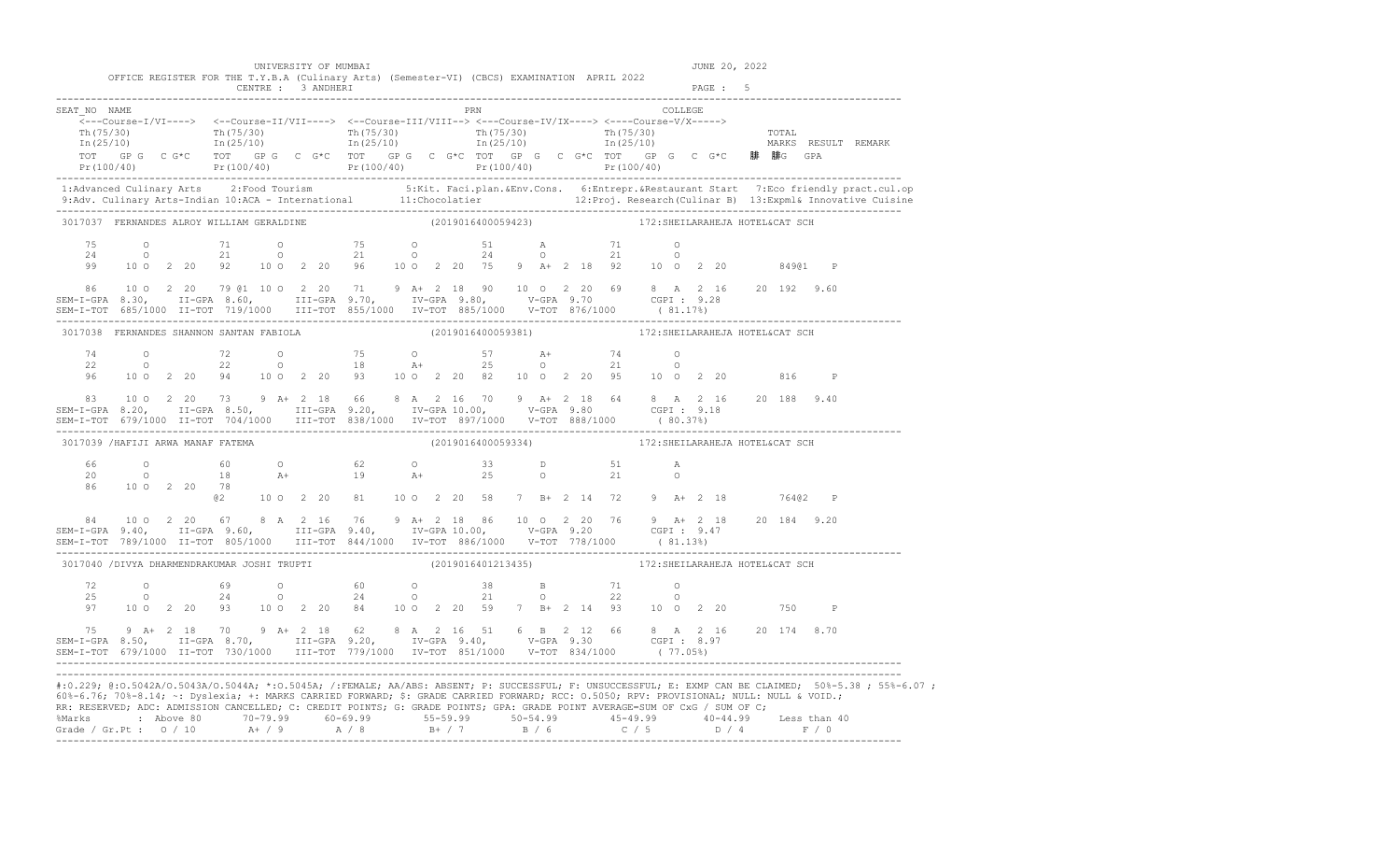|                                                                                                                                                                                                                                                                                                                                                                                                                                                                |                    |              |  |  | UNIVERSITY OF MUMBAI                                                                                                                                                                                                                                                                                                                                                          |  |  |     |                    |  |                                                                                                   |                         |         | JUNE 20, 2022 |       |              |                                                                                                                                                                                                                                   |
|----------------------------------------------------------------------------------------------------------------------------------------------------------------------------------------------------------------------------------------------------------------------------------------------------------------------------------------------------------------------------------------------------------------------------------------------------------------|--------------------|--------------|--|--|-------------------------------------------------------------------------------------------------------------------------------------------------------------------------------------------------------------------------------------------------------------------------------------------------------------------------------------------------------------------------------|--|--|-----|--------------------|--|---------------------------------------------------------------------------------------------------|-------------------------|---------|---------------|-------|--------------|-----------------------------------------------------------------------------------------------------------------------------------------------------------------------------------------------------------------------------------|
|                                                                                                                                                                                                                                                                                                                                                                                                                                                                |                    |              |  |  | OFFICE REGISTER FOR THE T.Y.B.A (Culinary Arts) (Semester-VI) (CBCS) EXAMINATION APRIL 2022<br>CENTRE : 3 ANDHERI                                                                                                                                                                                                                                                             |  |  |     |                    |  |                                                                                                   |                         | PAGE: 5 |               |       |              |                                                                                                                                                                                                                                   |
| SEAT NO NAME                                                                                                                                                                                                                                                                                                                                                                                                                                                   |                    |              |  |  | $\frac{\text{Th}(75/30)}{\text{Th}(25/10)}$ $\frac{\text{Th}(75/30)}{\text{In}(25/10)}$ $\frac{\text{Th}(75/30)}{\text{In}(25/10)}$ $\frac{\text{Th}(75/30)}{\text{In}(25/10)}$ $\frac{\text{Th}(75/30)}{\text{In}(25/10)}$ $\frac{\text{Tr}(75/30)}{\text{In}(25/10)}$ $\frac{\text{Tr}(75/30)}{\text{In}(25/10)}$ $\frac{\text{Tr}(75/30)}{\text{In}(25/10)}$ $\frac{\text$ |  |  | PRN |                    |  |                                                                                                   | COLLEGE                 |         |               |       |              | TOT GP G C G*C TOT GP G C G*C TOT GP G C G*C TOT GP G C G*C C G*C SD# 腓G GPA<br>Pr(100/40) Pr(100/40) Pr(100/40) Pr(100/40) Pr(100/40) Pr(100/40) Pr(100/40)                                                                      |
|                                                                                                                                                                                                                                                                                                                                                                                                                                                                |                    |              |  |  |                                                                                                                                                                                                                                                                                                                                                                               |  |  |     |                    |  |                                                                                                   |                         |         |               |       |              | 1:Advanced Culinary Arts 2:Food Tourism 5:Kit. Faci.plan.&Env.Cons. 6:Entrepr.&Restaurant Start 7:Eco friendly pract.cul.op<br>9:Adv. Culinary Arts-Indian 10:ACA - International 11:Chocolatier 12:Proj. Research (Culinar B) 13 |
| 3017037 FERNANDES ALROY WILLIAM GERALDINE                                                                                                                                                                                                                                                                                                                                                                                                                      |                    |              |  |  |                                                                                                                                                                                                                                                                                                                                                                               |  |  |     | (2019016400059423) |  | 172: SHEILARAHEJA HOTEL&CAT SCH                                                                   |                         |         |               |       |              |                                                                                                                                                                                                                                   |
| 75<br>24<br>99                                                                                                                                                                                                                                                                                                                                                                                                                                                 |                    |              |  |  | 0 71 0 75 0 51 A 71 0<br>0 21 0 21 0 24 0 21 0<br>10 0 2 20 92 10 0 2 20 96 10 0 2 20 75 9 A+ 2 18 92 10 0 2 20                                                                                                                                                                                                                                                               |  |  |     |                    |  |                                                                                                   |                         |         |               | 84901 | $\mathbb{P}$ |                                                                                                                                                                                                                                   |
| 86                                                                                                                                                                                                                                                                                                                                                                                                                                                             |                    |              |  |  | 10 0 2 20 79 @1 10 0 2 20 71 9 A+ 2 18 90 10 0 2 20 69 8 A 2 16 20 192 9.60                                                                                                                                                                                                                                                                                                   |  |  |     |                    |  |                                                                                                   |                         |         |               |       |              |                                                                                                                                                                                                                                   |
| 3017038 FERNANDES SHANNON SANTAN FABIOLA                                                                                                                                                                                                                                                                                                                                                                                                                       |                    |              |  |  |                                                                                                                                                                                                                                                                                                                                                                               |  |  |     | (2019016400059381) |  | 172: SHEILARAHEJA HOTEL&CAT SCH                                                                   |                         |         |               |       |              |                                                                                                                                                                                                                                   |
| 74<br>22<br>96                                                                                                                                                                                                                                                                                                                                                                                                                                                 |                    |              |  |  | 0 72 0 75 0 57 A+ 74 0<br>0 22 0 18 A+ 25 0 21 0<br>10 0 2 20 94 10 0 2 20 93 10 0 2 20 82 10 0 2 20 95 10 0 2 20                                                                                                                                                                                                                                                             |  |  |     |                    |  |                                                                                                   |                         |         |               | 816   | $\mathbb{P}$ |                                                                                                                                                                                                                                   |
| 83                                                                                                                                                                                                                                                                                                                                                                                                                                                             |                    |              |  |  | 10 0 2 20 73 9 A+ 2 18 66 8 A 2 16 70 9 A+ 2 18 64 8 A 2 16 20 188 9.40                                                                                                                                                                                                                                                                                                       |  |  |     |                    |  |                                                                                                   |                         |         |               |       |              |                                                                                                                                                                                                                                   |
| 3017039 / HAFIJI ARWA MANAF FATEMA                                                                                                                                                                                                                                                                                                                                                                                                                             |                    |              |  |  |                                                                                                                                                                                                                                                                                                                                                                               |  |  |     | (2019016400059334) |  | 172: SHEILARAHEJA HOTEL&CAT SCH                                                                   |                         |         |               |       |              |                                                                                                                                                                                                                                   |
| 66<br>20<br>86                                                                                                                                                                                                                                                                                                                                                                                                                                                 |                    | 10 0 2 20 78 |  |  | 0 60 0 62 0 33 D 51<br>0 18 A+ 19 A+ 25 0 21<br>@2 10 0 2 20 81 10 0 2 20 58 7 B+ 2 14 72 9 A+ 2 18                                                                                                                                                                                                                                                                           |  |  |     |                    |  |                                                                                                   | $\mathbb{A}$<br>$\circ$ |         |               |       | 76402 P      |                                                                                                                                                                                                                                   |
|                                                                                                                                                                                                                                                                                                                                                                                                                                                                |                    |              |  |  | SEM-I-TOT 789/1000 II-TOT 805/1000 III-TOT 844/1000 IV-TOT 886/1000 V-TOT 778/1000 (81.13%)                                                                                                                                                                                                                                                                                   |  |  |     |                    |  |                                                                                                   |                         |         |               |       |              |                                                                                                                                                                                                                                   |
|                                                                                                                                                                                                                                                                                                                                                                                                                                                                |                    |              |  |  | 3017040 /DIVYA DHARMENDRAKUMAR JOSHI TRUPTI                                                                                                                                                                                                                                                                                                                                   |  |  |     |                    |  | (2019016401213435) 172: SHEILARAHEJA HOTEL&CAT SCH                                                |                         |         |               |       |              |                                                                                                                                                                                                                                   |
| 72<br>25<br>97                                                                                                                                                                                                                                                                                                                                                                                                                                                 | $\circ$<br>$\circ$ |              |  |  | $69$ 0 $60$ 0 38<br>24 0 24 0 21<br>10 0 2 20 93 10 0 2 20 84 10 0 2 20 59 7 B+ 2 14 93 10 0 2 20 750 P                                                                                                                                                                                                                                                                       |  |  |     |                    |  | $\begin{array}{ccccccc}\n 38 & & & B & & & 71 & & & 0 \\  21 & & & 0 & & & 22 & & 0\n\end{array}$ |                         |         |               |       |              |                                                                                                                                                                                                                                   |
|                                                                                                                                                                                                                                                                                                                                                                                                                                                                |                    |              |  |  | 75 9 A+ 2 18 70 9 A+ 2 18 62 8 A 2 16 51 6 B 2 12 66 8 A 2 16 20 174 8.70<br>SEM-I-GPA 8.50, II-GPA 8.70, III-GPA 9.20, IV-GPA 9.40, V-GPA 9.30 CGPI: 8.97                                                                                                                                                                                                                    |  |  |     |                    |  |                                                                                                   |                         |         |               |       |              |                                                                                                                                                                                                                                   |
| 60%-6.76; 70%-8.14; ~: Dyslexia; +: MARKS CARRIED FORWARD; \$: GRADE CARRIED FORWARD; RCC: 0.5050; RPV: PROVISIONAL; NULL: NULL & VOID.;<br>RR: RESERVED; ADC: ADMISSION CANCELLED; C: CREDIT POINTS; G: GRADE POINTS; GPA: GRADE POINT AVERAGE=SUM OF CxG / SUM OF C;<br>%Marks : Above 80 70-79.99 60-69.99 55-59.99 50-54.99 45-49.99 40-44.99 Less than 40<br>Grade / Gr.Pt : 0 / 10 A+ / 9 A / 8 B+ / 7 B / 6 C / 5 D / 4 F / 0<br>---------------------- |                    |              |  |  |                                                                                                                                                                                                                                                                                                                                                                               |  |  |     |                    |  |                                                                                                   |                         |         |               |       |              | #:0.229; @:0.5042A/0.5043A/0.5044A; *:0.5045A; /:FEMALE; AA/ABS: ABSENT; P: SUCCESSFUL; F: UNSUCCESSFUL; E: EXMP CAN BE CLAIMED; 50%-5.38 ; 55%-6.07 ;                                                                            |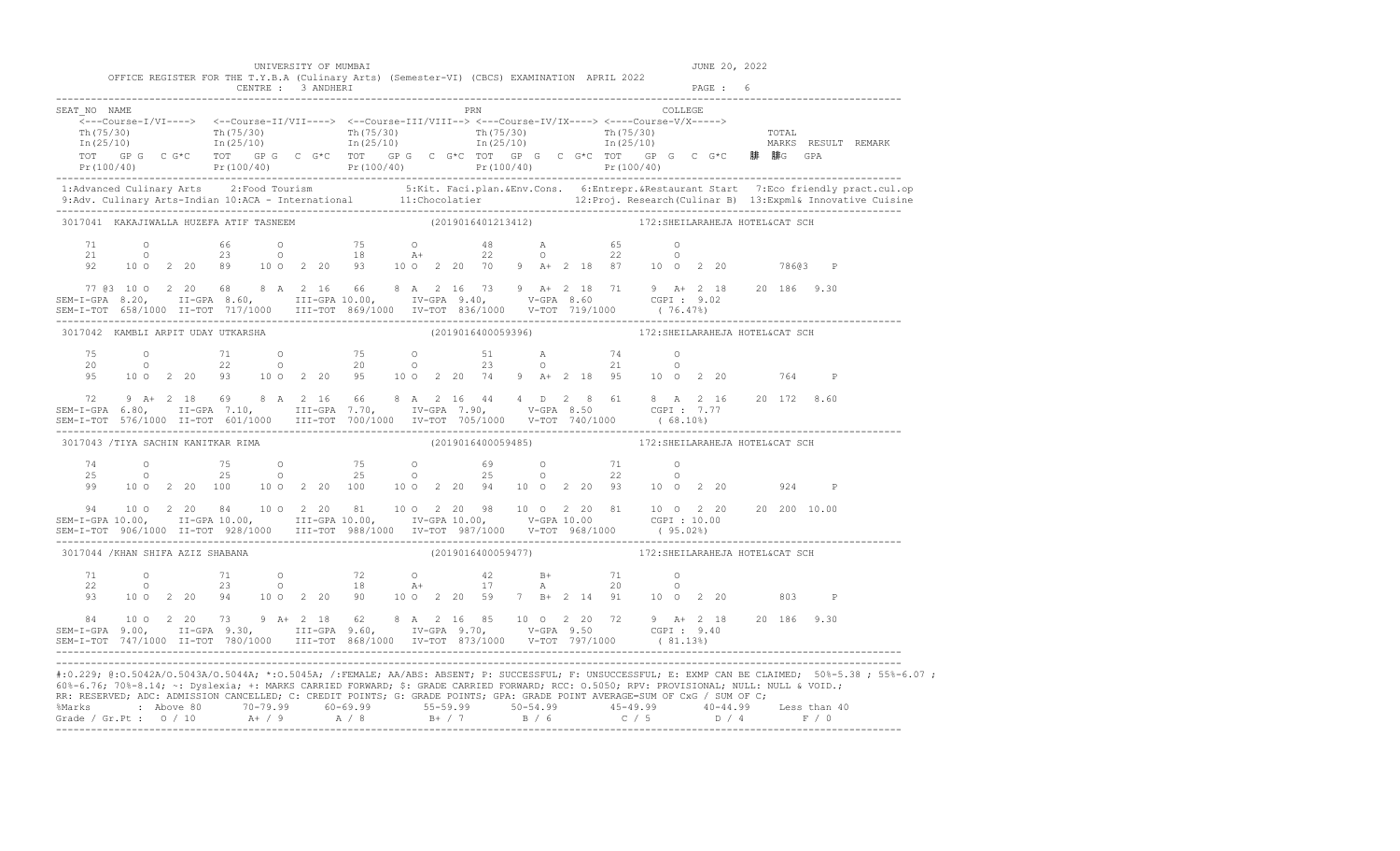|                                                                                                                                                                                                                                                                                              |  |  |                    | UNIVERSITY OF MUMBAI                                                                                                                                                                                                                                                                                                                                                          |  |                    |  |  |                                                                           |  |         | JUNE 20, 2022 |              |                                                                                                                                                      |
|----------------------------------------------------------------------------------------------------------------------------------------------------------------------------------------------------------------------------------------------------------------------------------------------|--|--|--------------------|-------------------------------------------------------------------------------------------------------------------------------------------------------------------------------------------------------------------------------------------------------------------------------------------------------------------------------------------------------------------------------|--|--------------------|--|--|---------------------------------------------------------------------------|--|---------|---------------|--------------|------------------------------------------------------------------------------------------------------------------------------------------------------|
|                                                                                                                                                                                                                                                                                              |  |  | CENTRE : 3 ANDHERI | OFFICE REGISTER FOR THE T.Y.B.A (Culinary Arts) (Semester-VI) (CBCS) EXAMINATION APRIL 2022                                                                                                                                                                                                                                                                                   |  |                    |  |  |                                                                           |  | PAGE: 6 |               |              |                                                                                                                                                      |
| SEAT NO NAME                                                                                                                                                                                                                                                                                 |  |  |                    | $\leftarrow \texttt{--Course-I/VI--->} \quad \leftarrow \texttt{Course-II/VII--->} \quad \leftarrow \texttt{Course-II/VIII--->} \quad \leftarrow \texttt{course-II/VIII--->} \quad \leftarrow \texttt{course=IV/IX--->} \quad \leftarrow \texttt{course-V/X--->}$                                                                                                             |  | <b>PRN</b>         |  |  | COLLEGE                                                                   |  |         |               |              |                                                                                                                                                      |
|                                                                                                                                                                                                                                                                                              |  |  |                    | $\frac{\text{Th}(75/30)}{\text{Th}(25/10)}$ $\frac{\text{Th}(75/30)}{\text{In}(25/10)}$ $\frac{\text{Th}(75/30)}{\text{In}(25/10)}$ $\frac{\text{Th}(75/30)}{\text{In}(25/10)}$ $\frac{\text{Th}(75/30)}{\text{In}(25/10)}$ $\frac{\text{Th}(75/30)}{\text{In}(25/10)}$ $\frac{\text{Th}(75/30)}{\text{In}(25/10)}$ $\frac{\text{Th}(75/30)}{\text{In}(25/10)}$ $\frac{\text$ |  |                    |  |  |                                                                           |  |         |               |              |                                                                                                                                                      |
|                                                                                                                                                                                                                                                                                              |  |  |                    |                                                                                                                                                                                                                                                                                                                                                                               |  |                    |  |  |                                                                           |  |         |               |              |                                                                                                                                                      |
|                                                                                                                                                                                                                                                                                              |  |  |                    |                                                                                                                                                                                                                                                                                                                                                                               |  |                    |  |  |                                                                           |  |         |               |              |                                                                                                                                                      |
| 3017041 KAKAJIWALLA HUZEFA ATIF TASNEEM                                                                                                                                                                                                                                                      |  |  |                    |                                                                                                                                                                                                                                                                                                                                                                               |  | (2019016401213412) |  |  | 172: SHEILARAHEJA HOTEL&CAT SCH                                           |  |         |               |              |                                                                                                                                                      |
|                                                                                                                                                                                                                                                                                              |  |  |                    | $\begin{array}{cccccccccccccccc} 71 & & & 0 & & & 66 & & 0 & & & 75 & & 0 & & & 48 & & \text{A} & & & 65 & & 0 \\ 21 & & & 0 & & & 23 & & 0 & & & 18 & & \text{A}+ & & 22 & & 0 & & 22 & & 0 \\ 92 & & 10 & 0 & 2 & 20 & 89 & & 10 & 0 & 2 & 20 & & 93 & & 10 & 0 & 2 & 20 & & 70 & 9 & \text{A}+ & 2 & 18 & 87 & & 10 & 0 & 2 & 20 & & & 78603$                              |  |                    |  |  |                                                                           |  |         |               |              |                                                                                                                                                      |
|                                                                                                                                                                                                                                                                                              |  |  |                    |                                                                                                                                                                                                                                                                                                                                                                               |  |                    |  |  |                                                                           |  |         |               |              |                                                                                                                                                      |
| 77 (83 10 0 2 20 68 (8 A 2 16 66 (8 A 2 16 73 ) A+ 2 18 71 ) 9 A+ 2 18 20 186 9.30<br>SEM-I-GPA 8.20, II-GPA 8.60, III-GPA 10.00, IV-GPA 9.40, V-GPA 8.60 CGPI: 9.02<br>SEM-I-TOT 658/1000 II-TOT 717/1000 III-TOT 869/1000 IV-TO                                                            |  |  |                    |                                                                                                                                                                                                                                                                                                                                                                               |  |                    |  |  |                                                                           |  |         |               |              |                                                                                                                                                      |
| 3017042 KAMBLI ARPIT UDAY UTKARSHA                                                                                                                                                                                                                                                           |  |  |                    |                                                                                                                                                                                                                                                                                                                                                                               |  |                    |  |  | (2019016400059396)                         172:SHEILARAHEJA HOTEL&CAT SCH |  |         |               |              |                                                                                                                                                      |
|                                                                                                                                                                                                                                                                                              |  |  |                    | $\begin{array}{cccccccccccccccc} 75 & & & 0 & & & 71 & & 0 & & & 75 & & 0 & & 51 & & \text{A} & & 74 & & 0 \\ 20 & & & 0 & & & 22 & & 0 & & 20 & & 0 & & 23 & & 0 & & 21 & & 0 \\ 95 & & 10 & 0 & 2 & 20 & 93 & & 10 & 0 & 2 & 20 & & 95 & & 10 & 0 & 2 & 20 & & 76 & & 10 & 0 & 2 & 20 & & 764 \end{array}$                                                                  |  |                    |  |  |                                                                           |  |         |               | $\mathbb{P}$ |                                                                                                                                                      |
| 72 9 A+ 2 18 69 8 A 2 16 66 8 A 2 16 44 4 D 2 8 61 8 A 2 16 20 172 8.60<br>SEM-I-GPA 6.80, II-GPA 7.10, III-GPA 7.70, IV-GPA 7.90, V-GPA 8.50 CGPI: 7.77                                                                                                                                     |  |  |                    |                                                                                                                                                                                                                                                                                                                                                                               |  |                    |  |  |                                                                           |  |         |               |              |                                                                                                                                                      |
| 3017043 /TIYA SACHIN KANITKAR RIMA                                                                                                                                                                                                                                                           |  |  |                    |                                                                                                                                                                                                                                                                                                                                                                               |  |                    |  |  | (2019016400059485) 172: SHEILARAHEJA HOTEL&CAT SCH                        |  |         |               |              |                                                                                                                                                      |
|                                                                                                                                                                                                                                                                                              |  |  |                    | $\begin{array}{cccccccccccccccc} 74 & & & 0 & & & 75 & & 0 & & & 75 & & 0 & & & 69 & & 0 & & & 71 & & 0 \\ 25 & & & 0 & & & 25 & & 0 & & & 25 & & 0 & & & 25 & & 0 & & 22 & & 0 \\ 99 & & 10 & 0 & 2 & 20 & & 100 & & 10 & 0 & 2 & 20 & & 100 & & 10 & 0 & 2 & 20 & & 94 & & 10 & 0 & 2 & 20 & & 93 & & 10 & 0 & 2 & 20 & & & 924 \end{array}$                                |  |                    |  |  |                                                                           |  |         |               | $\mathbb{P}$ |                                                                                                                                                      |
| SEM-1-GPA 10.00, II-GPA 10.00, III-GPA 10.00, IV-GPA 10.00, IV-GPA 10.00 CGPI: 10.00<br>SEM-I-TOT 906/1000 II-TOT 928/1000 III-TOT 988/1000 IV-TOT 987/1000 V-TOT 968/1000 (95.02%)                                                                                                          |  |  |                    |                                                                                                                                                                                                                                                                                                                                                                               |  |                    |  |  |                                                                           |  |         |               |              |                                                                                                                                                      |
| 3017044 / KHAN SHIFA AZIZ SHABANA                                                                                                                                                                                                                                                            |  |  |                    |                                                                                                                                                                                                                                                                                                                                                                               |  | (2019016400059477) |  |  | 172: SHEILARAHEJA HOTEL&CAT SCH                                           |  |         |               |              |                                                                                                                                                      |
| 71<br>22<br>93                                                                                                                                                                                                                                                                               |  |  |                    | 0 71 0 72 0 42 B+ 71 0<br>0 23 0 18 A+ 17 A 20 0<br>10 0 2 20 94 10 0 2 20 90 10 0 2 20 59 7 B+ 2 14 91 10 0 2 20                                                                                                                                                                                                                                                             |  |                    |  |  |                                                                           |  |         |               | 803 P        |                                                                                                                                                      |
| $\begin{array}{cccccccccccc} 84 & 10&0&2&20&73&9&\text{A}+&2&18&62&8&\text{A}&2&16&85&10&0&2&20&72&9&\text{A}+&2&18&20&186&9.30\\ 84 & 10&0&2&20&73&9&\text{A}+&2&18&62&8&\text{A}&2&16&85&10&0&2&20&72&9&\text{A}+&2&18&20&186&9.30\\ 85\text{E}M-T-GPA & 9.00,& II-GPA & 9.30,& III-GPA &$ |  |  |                    |                                                                                                                                                                                                                                                                                                                                                                               |  |                    |  |  |                                                                           |  |         |               |              |                                                                                                                                                      |
| 60%-6.76; 70%-8.14; ~: Dyslexia; +: MARKS CARRIED FORWARD; \$: GRADE CARRIED FORWARD; RCC: 0.5050; RPV: PROVISIONAL; NULL: NULL & VOID.;<br>RR: RESERVED; ADC: ADMISSION CANCELLED; C: CREDIT POINTS; G: GRADE POINTS; GPA: GRADE POINT AVERAGE=SUM OF CxG / SUM OF C;                       |  |  |                    |                                                                                                                                                                                                                                                                                                                                                                               |  |                    |  |  |                                                                           |  |         |               |              | #:0.229; @:0.5042A/0.5043A/0.5044A; *:0.5045A; /:FEMALE; AA/ABS: ABSENT; P: SUCCESSFUL; F: UNSUCCESSFUL; E: EXMP CAN BE CLAIMED; 50%-5.38; 55%-6.07; |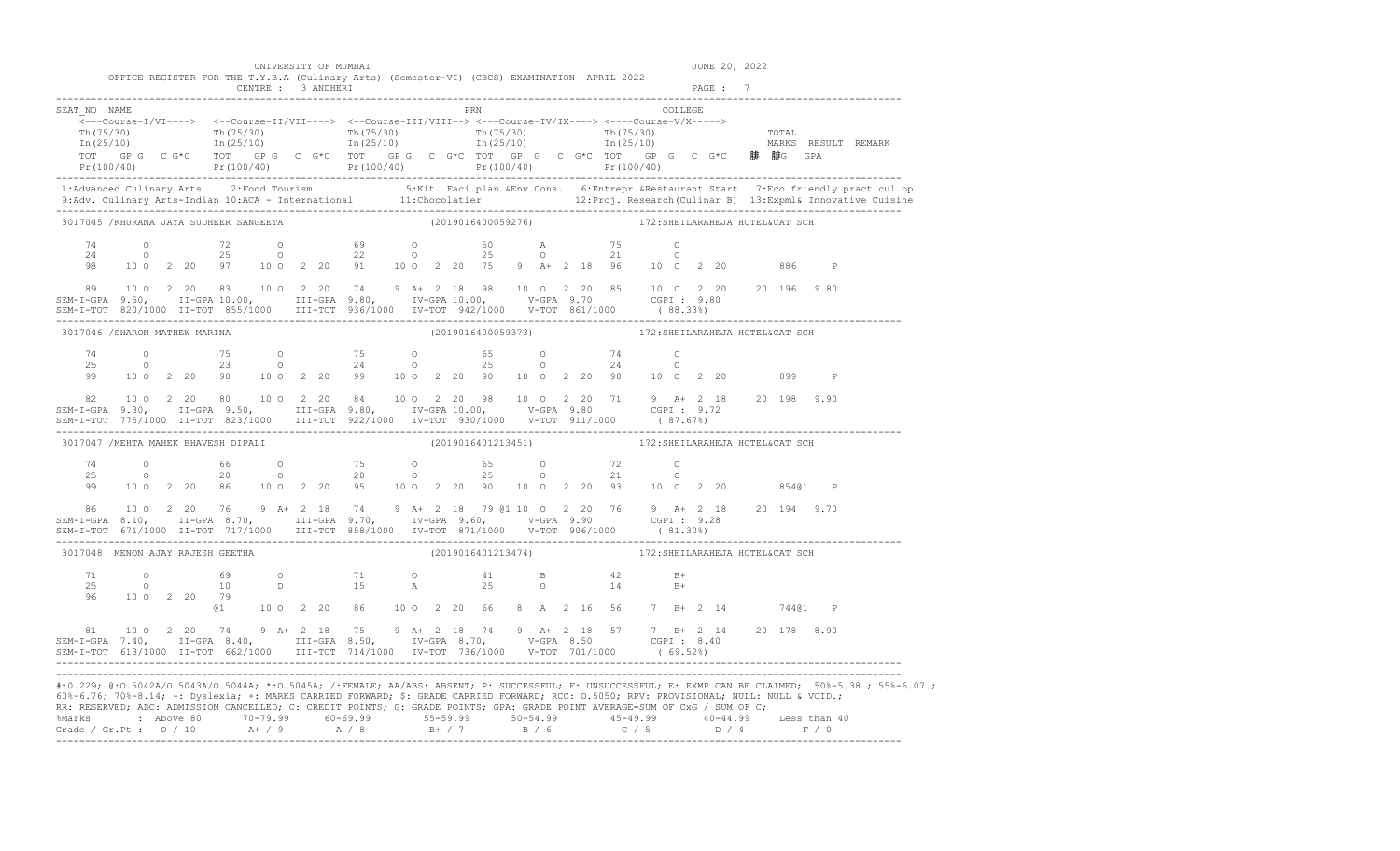|                                                                                                                                                                                                                                                                        |  |              |  | UNIVERSITY OF MUMBAI                                                                                                                                                                                                                                                                                                                                                                                                                                                        |  |  |            |                    |  |  |                                                                                                                                                                                                                                                                                                                                                                                                                                                                                                                  |                | JUNE 20, 2022 |  |       |              |                                                                                                                                                                                                                                                                                                                                                                               |
|------------------------------------------------------------------------------------------------------------------------------------------------------------------------------------------------------------------------------------------------------------------------|--|--------------|--|-----------------------------------------------------------------------------------------------------------------------------------------------------------------------------------------------------------------------------------------------------------------------------------------------------------------------------------------------------------------------------------------------------------------------------------------------------------------------------|--|--|------------|--------------------|--|--|------------------------------------------------------------------------------------------------------------------------------------------------------------------------------------------------------------------------------------------------------------------------------------------------------------------------------------------------------------------------------------------------------------------------------------------------------------------------------------------------------------------|----------------|---------------|--|-------|--------------|-------------------------------------------------------------------------------------------------------------------------------------------------------------------------------------------------------------------------------------------------------------------------------------------------------------------------------------------------------------------------------|
|                                                                                                                                                                                                                                                                        |  |              |  | OFFICE REGISTER FOR THE T.Y.B.A (Culinary Arts) (Semester-VI) (CBCS) EXAMINATION APRIL 2022<br>CENTRE : 3 ANDHERI                                                                                                                                                                                                                                                                                                                                                           |  |  |            |                    |  |  |                                                                                                                                                                                                                                                                                                                                                                                                                                                                                                                  |                | PAGE : 7      |  |       |              |                                                                                                                                                                                                                                                                                                                                                                               |
| SEAT NO NAME                                                                                                                                                                                                                                                           |  |              |  | $\overbrace{\texttt{<--Course-I/VI--->}} \hspace{1.3cm} \xleftarrows -\texttt{Course-II/VII--->} \hspace{1.3cm} \xleftarrows -\texttt{Course-III/VIII--->} \hspace{1.3cm} \xleftarrows -\texttt{Course-V/X--->} \hspace{1.3cm} \xleftarrows -\texttt{Course-V/X--->} \right.$<br>TOT GP G C G*C TOT GP G C G*C TOT GP G C G*C TOT GP G C G*C TOT GP G C G*C TOT GP G C G*C <b>腓 腓</b> G GPA<br>Pr(100/40) Pr(100/40) Pr(100/40) Pr(100/40) Pr(100/40) Pr(100/40) Pr(100/40) |  |  | <b>PRN</b> |                    |  |  | $\begin{tabular}{ll} \multicolumn{2}{l}{{\text{COLLEGE}}} \\ \multicolumn{2}{l}{\text{COLLEGE}} \\ \multicolumn{2}{l}{\text{COLLEGE}} \\ \multicolumn{2}{l}{\text{COLLEGE}} \\ \multicolumn{2}{l}{\text{COLLEGE}} \\ \multicolumn{2}{l}{\text{COLLEGE}} \\ \multicolumn{2}{l}{\text{COLLEGE}} \\ \multicolumn{2}{l}{\text{COLLEGE}} \\ \multicolumn{2}{l}{\text{COLLEGE}} \\ \multicolumn{2}{l}{\text{COLLEGE}} \\ \multicolumn{2}{l}{\text{COLLEGE}} \\ \multicolumn{2}{l}{\text{COLLEGE}} \\ \multicolumn{2}{$ |                |               |  |       |              | $\frac{\text{Th}(75/30)}{\text{Th}(25/10)}$ $\frac{\text{Th}(75/30)}{\text{In}(25/10)}$ $\frac{\text{Th}(75/30)}{\text{In}(25/10)}$ $\frac{\text{Th}(75/30)}{\text{In}(25/10)}$ $\frac{\text{Th}(75/30)}{\text{In}(25/10)}$ $\frac{\text{Tr}(75/30)}{\text{In}(25/10)}$ $\frac{\text{Tr}(75/30)}{\text{In}(25/10)}$ $\frac{\text{Tr}(75/30)}{\text{In}(25/10)}$ $\frac{\text$ |
|                                                                                                                                                                                                                                                                        |  |              |  |                                                                                                                                                                                                                                                                                                                                                                                                                                                                             |  |  |            |                    |  |  |                                                                                                                                                                                                                                                                                                                                                                                                                                                                                                                  |                |               |  |       |              | 1:Advanced Culinary Arts 2:Food Tourism 5:Kit. Faci.plan.&Env.Cons. 6:Entrepr.&Restaurant Start 7:Eco friendly pract.cul.op<br>9:Adv. Culinary Arts-Indian 10:ACA - International 11:Chocolatier 12:Proj. Research (Culinar B) 13                                                                                                                                             |
| 3017045 /KHURANA JAYA SUDHEER SANGEETA                                                                                                                                                                                                                                 |  |              |  |                                                                                                                                                                                                                                                                                                                                                                                                                                                                             |  |  |            | (2019016400059276) |  |  | 172: SHEILARAHEJA HOTEL&CAT SCH                                                                                                                                                                                                                                                                                                                                                                                                                                                                                  |                |               |  |       |              |                                                                                                                                                                                                                                                                                                                                                                               |
| 74<br>24<br>98                                                                                                                                                                                                                                                         |  |              |  | 0 72 0 69 0 50 A 75 0<br>0 25 0 22 0 25 0 21 0<br>10 0 2 20 97 10 0 2 20 91 10 0 2 20 75 9 A+ 2 18 96 10 0 2 20                                                                                                                                                                                                                                                                                                                                                             |  |  |            |                    |  |  |                                                                                                                                                                                                                                                                                                                                                                                                                                                                                                                  | $\overline{O}$ |               |  | 886   | $\mathbb{P}$ |                                                                                                                                                                                                                                                                                                                                                                               |
| 89                                                                                                                                                                                                                                                                     |  |              |  | 10 0 2 20 83 10 0 2 20 74 9 A+ 2 18 98 10 0 2 20 85 10 0 2 20 20 196 9.80                                                                                                                                                                                                                                                                                                                                                                                                   |  |  |            |                    |  |  |                                                                                                                                                                                                                                                                                                                                                                                                                                                                                                                  |                |               |  |       |              |                                                                                                                                                                                                                                                                                                                                                                               |
| 3017046 / SHARON MATHEW MARINA                                                                                                                                                                                                                                         |  |              |  |                                                                                                                                                                                                                                                                                                                                                                                                                                                                             |  |  |            | (2019016400059373) |  |  | 172:SHEILARAHEJA HOTEL&CAT SCH                                                                                                                                                                                                                                                                                                                                                                                                                                                                                   |                |               |  |       |              |                                                                                                                                                                                                                                                                                                                                                                               |
| 99                                                                                                                                                                                                                                                                     |  |              |  | $74$ 0 $75$ 0 $75$ 0 $65$ 0 $74$ 0<br>25 0 23 0 24 0 25 0 24 0<br>10 0 2 20 98 10 0 2 20 99 10 0 2 20 90 10 0 2 20 98 10 0 2 20                                                                                                                                                                                                                                                                                                                                             |  |  |            |                    |  |  |                                                                                                                                                                                                                                                                                                                                                                                                                                                                                                                  |                |               |  | 899   | $\mathbb{P}$ |                                                                                                                                                                                                                                                                                                                                                                               |
|                                                                                                                                                                                                                                                                        |  |              |  |                                                                                                                                                                                                                                                                                                                                                                                                                                                                             |  |  |            |                    |  |  |                                                                                                                                                                                                                                                                                                                                                                                                                                                                                                                  |                |               |  |       |              |                                                                                                                                                                                                                                                                                                                                                                               |
| 3017047 / MEHTA MAHEK BHAVESH DIPALI                                                                                                                                                                                                                                   |  |              |  |                                                                                                                                                                                                                                                                                                                                                                                                                                                                             |  |  |            | (2019016401213451) |  |  | 172: SHEILARAHEJA HOTEL&CAT SCH                                                                                                                                                                                                                                                                                                                                                                                                                                                                                  |                |               |  |       |              |                                                                                                                                                                                                                                                                                                                                                                               |
| 74<br>25<br>99                                                                                                                                                                                                                                                         |  |              |  | 0 66 0 75 0 65 0 72 0<br>0 20 0 20 0 25 0 21 0<br>10 0 2 20 86 10 0 2 20 95 10 0 2 20 90 10 0 2 20 93 10 0 2 20                                                                                                                                                                                                                                                                                                                                                             |  |  |            |                    |  |  |                                                                                                                                                                                                                                                                                                                                                                                                                                                                                                                  |                |               |  | 85401 | $\mathbb{P}$ |                                                                                                                                                                                                                                                                                                                                                                               |
| 86                                                                                                                                                                                                                                                                     |  |              |  | 10 0 2 20 76 9 A+ 2 18 74 9 A+ 2 18 79 @1 10 0 2 20 76 9 A+ 2 18 20 194 9.70                                                                                                                                                                                                                                                                                                                                                                                                |  |  |            |                    |  |  |                                                                                                                                                                                                                                                                                                                                                                                                                                                                                                                  |                |               |  |       |              |                                                                                                                                                                                                                                                                                                                                                                               |
| 3017048 MENON AJAY RAJESH GEETHA                                                                                                                                                                                                                                       |  |              |  |                                                                                                                                                                                                                                                                                                                                                                                                                                                                             |  |  |            | (2019016401213474) |  |  | 172: SHEILARAHEJA HOTEL&CAT SCH                                                                                                                                                                                                                                                                                                                                                                                                                                                                                  |                |               |  |       |              |                                                                                                                                                                                                                                                                                                                                                                               |
| 96                                                                                                                                                                                                                                                                     |  | 10 0 2 20 79 |  | @1   10   2   20   86   10   2   20   66   8   A   2   16   56   7   B+   2   14                                                                                                                                                                                                                                                                                                                                                                                            |  |  |            |                    |  |  |                                                                                                                                                                                                                                                                                                                                                                                                                                                                                                                  | $B+$<br>$B+$   |               |  |       | 74401 P      |                                                                                                                                                                                                                                                                                                                                                                               |
|                                                                                                                                                                                                                                                                        |  |              |  | 81 10 0 2 20 74 9 A+ 2 18 75 9 A+ 2 18 74 9 A+ 2 18 57 7 B+ 2 14 20 178 8.90<br>SEM-I-GPA 7.40, II-GPA 8.40, III-GPA 8.50, IV-GPA 8.70, V-GPA 8.50 CGPI: 8.40                                                                                                                                                                                                                                                                                                               |  |  |            |                    |  |  |                                                                                                                                                                                                                                                                                                                                                                                                                                                                                                                  |                |               |  |       |              |                                                                                                                                                                                                                                                                                                                                                                               |
| 60%-6.76; 70%-8.14; ~: Dyslexia; +: MARKS CARRIED FORWARD; \$: GRADE CARRIED FORWARD; RCC: 0.5050; RPV: PROVISIONAL; NULL: NULL & VOID.;<br>RR: RESERVED; ADC: ADMISSION CANCELLED; C: CREDIT POINTS; G: GRADE POINTS; GPA: GRADE POINT AVERAGE=SUM OF CxG / SUM OF C; |  |              |  |                                                                                                                                                                                                                                                                                                                                                                                                                                                                             |  |  |            |                    |  |  |                                                                                                                                                                                                                                                                                                                                                                                                                                                                                                                  |                |               |  |       |              | #:0.229; @:0.5042A/0.5043A/0.5044A; *:0.5045A; /:FEMALE; AA/ABS: ABSENT; P: SUCCESSFUL; F: UNSUCCESSFUL; E: EXMP CAN BE CLAIMED; 50%-5.38; 55%-6.07;                                                                                                                                                                                                                          |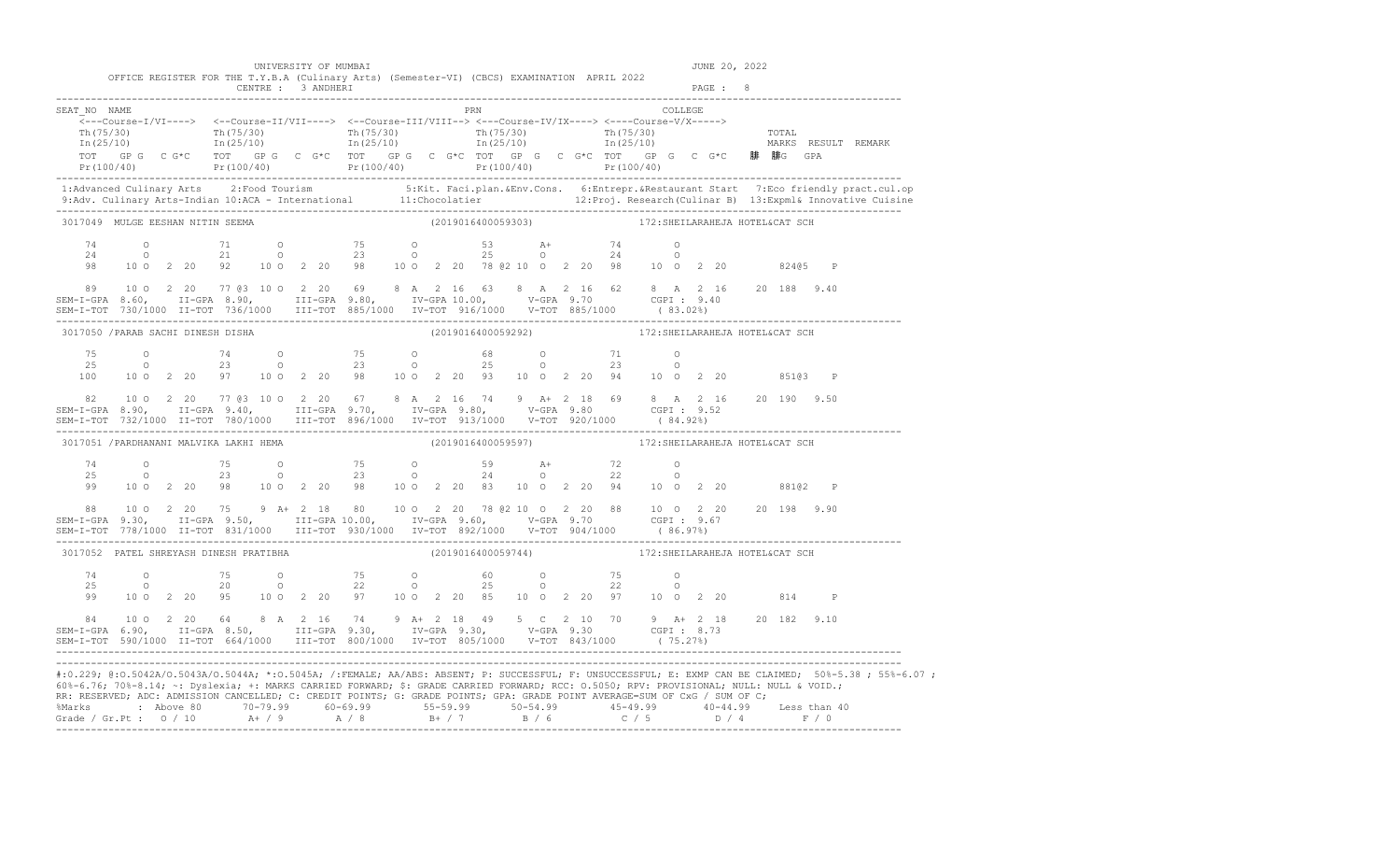|                                         |      |                |  |  | 60%-6.76; 70%-8.14; ~: Dyslexia; +: MARKS CARRIED FORWARD; \$: GRADE CARRIED FORWARD; RCC: 0.5050; RPV: PROVISIONAL; NULL: NULL & VOID.;<br>RR: RESERVED; ADC: ADMISSION CANCELLED; C: CREDIT POINTS; G: GRADE POINTS; GPA: GRADE POINT AVERAGE=SUM OF CxG / SUM OF C;<br>%Marks : Above 80 70-79.99 60-69.99 55-59.99 50-54.99 45-49.99 40-44.99 Less than 40<br>Grade / Gr.Pt : 0 / 10 A+ / 9 A / 8 B+ / 7 B / 6 C / 5 D / 4 F / 0 |  |                    |  |  |                                                    |         |  |               |         | #:0.229; @:0.5042A/0.5043A/0.5044A; *:0.5045A; /:FEMALE; AA/ABS: ABSENT; P: SUCCESSFUL; F: UNSUCCESSFUL; E: EXMP CAN BE CLAIMED; 50%-5.38; 55%-6.07;                                                                              |
|-----------------------------------------|------|----------------|--|--|--------------------------------------------------------------------------------------------------------------------------------------------------------------------------------------------------------------------------------------------------------------------------------------------------------------------------------------------------------------------------------------------------------------------------------------|--|--------------------|--|--|----------------------------------------------------|---------|--|---------------|---------|-----------------------------------------------------------------------------------------------------------------------------------------------------------------------------------------------------------------------------------|
|                                         |      |                |  |  | $\begin{array}{cccccccccccccccc} 84 & 10&0&2&20&64&8&\text{A}&2&16&74&9&\text{A}+&2&18&49&5&\text{C}&2&10&70&9&\text{A}+&2&18&20&182&9.10\\ \text{SEM-I-GPA} & 6.90, & \text{II-GPA} & 8.50, & \text{III-GPA} & 9.30, & \text{IV-GPA} & 9.30, & \text{V-GPA} & 9.30 & \text{CGPI}: & 8.73& \\ \text{SEM-I-TOT} & 590/1000 & \text{II-TOT} & 6$                                                                                       |  |                    |  |  |                                                    |         |  |               |         |                                                                                                                                                                                                                                   |
| 74                                      | 25 0 | $\overline{O}$ |  |  | 99 10 0 2 20 95 10 0 2 20 97 10 0 2 20 85 10 0 2 20 97 10 0 2 20                                                                                                                                                                                                                                                                                                                                                                     |  |                    |  |  |                                                    |         |  |               | 814 P   |                                                                                                                                                                                                                                   |
| 3017052 PATEL SHREYASH DINESH PRATIBHA  |      |                |  |  |                                                                                                                                                                                                                                                                                                                                                                                                                                      |  | (2019016400059744) |  |  | 172: SHEILARAHEJA HOTEL&CAT SCH                    |         |  |               |         |                                                                                                                                                                                                                                   |
|                                         |      |                |  |  | $$\tt 88 \quad 10\, \,O \quad 2\, \, 20 \quad 75 \quad 9 \quad A +\, 2\, \, 18 \quad 80 \quad 10\, \,O \quad 2\, \, 20 \quad 78\, \, 62\, \, 10\, \,O \quad 2\, \, 20 \quad 88 \quad 10\, \,O \quad 2\, \, 20 \quad 20 \quad 20 \quad 20 \quad 198 \quad 9\, \, 90$ }$ $$\tt SEM-T-GPA \quad 9\, .30, \quad\phantom{33333333333333333333333$                                                                                         |  |                    |  |  |                                                    |         |  |               |         |                                                                                                                                                                                                                                   |
|                                         |      |                |  |  | $\begin{array}{cccccccccccccccc} 74 & & & 0 & & & 75 & & 0 & & & 75 & & 0 & & & 59 & & \text{A+} & & 72 & & 0 \\ 25 & & & 0 & & & 23 & & 0 & & & 23 & & 0 & & 24 & & 0 & & 22 & & 0 \\ 99 & & 10 & 0 & 2 & 20 & 98 & & 10 & 0 & 2 & 20 & 83 & & 10 & 0 & 2 & 20 & 94 & & 10 & 0 & 2 & 20 & & 88102 & & \text{P} \end{array}$                                                                                                         |  |                    |  |  |                                                    |         |  |               |         |                                                                                                                                                                                                                                   |
| 3017051 / PARDHANANI MALVIKA LAKHI HEMA |      |                |  |  |                                                                                                                                                                                                                                                                                                                                                                                                                                      |  | (2019016400059597) |  |  | 172: SHEILARAHEJA HOTEL&CAT SCH                    |         |  |               |         |                                                                                                                                                                                                                                   |
|                                         |      |                |  |  | ${\small 82\qquad 10\;0\quad 2\;20\qquad 77\;03\;10\;0\quad 2\;20\qquad 67\qquad 8\;A\quad 2\;16\quad 74\qquad 9\quad A+2\;18\quad 69\qquad 8\;A\quad 2\;16\qquad 20\;190\quad 9.50\;8}\\ {\small 82\qquad 10\;0\quad 2\;20\qquad 77\;03\;10\;0\quad 2\;20\qquad 67\qquad 8\;A\quad 2\;16\quad 74\qquad 9\;A+2\;18\$                                                                                                                 |  |                    |  |  |                                                    |         |  |               |         |                                                                                                                                                                                                                                   |
| 75<br>25<br>100                         |      |                |  |  | $0$ $74$ $0$ $75$ $0$ $68$ $0$ $71$ $0$<br>$0$ $23$ $0$ $23$ $0$ $25$ $0$ $23$ $0$<br>10 0 2 20 97 10 0 2 20 98 10 0 2 20 93 10 0 2 20 94 10 0 2 20 95103 P                                                                                                                                                                                                                                                                          |  |                    |  |  |                                                    |         |  |               |         |                                                                                                                                                                                                                                   |
| 3017050 / PARAB SACHI DINESH DISHA      |      |                |  |  |                                                                                                                                                                                                                                                                                                                                                                                                                                      |  |                    |  |  | (2019016400059292) 172: SHEILARAHEJA HOTEL&CAT SCH |         |  |               |         |                                                                                                                                                                                                                                   |
|                                         |      |                |  |  | $\begin{array}{cccccccccccc} 89 & 10&0&2&20&77&63&10&0&2&20&69&8&\text{A}&2&16&63&8&\text{A}&2&16&62&8&\text{A}&2&16&20&188&9.40\\ \texttt{SEM-I-GPA} & 8.60,&\texttt{II-GPA} & 8.90,&\texttt{III-GPA} & 9.80,&\texttt{IV-GPA} & 10.00,&\texttt{V-GPA} & 9.70&\texttt{CGPI}:&9.40\\ \texttt{SEM-I-TOT} & 730/1000&\texttt{II-TOT} & 73$                                                                                              |  |                    |  |  |                                                    |         |  |               |         |                                                                                                                                                                                                                                   |
| 74<br>24<br>98                          |      |                |  |  | 0 71 0 75 0 53 A+ 74 0<br>0 21 0 23 0 25 0 24 0<br>10 0 2 20 92 10 0 2 20 98 10 0 2 20 78 @ 2 10 0 2 20 98 10 0 2 20                                                                                                                                                                                                                                                                                                                 |  |                    |  |  |                                                    |         |  |               | 82405 P |                                                                                                                                                                                                                                   |
| 3017049 MULGE EESHAN NITIN SEEMA        |      |                |  |  |                                                                                                                                                                                                                                                                                                                                                                                                                                      |  | (2019016400059303) |  |  | 172: SHEILARAHEJA HOTEL&CAT SCH                    |         |  |               |         |                                                                                                                                                                                                                                   |
|                                         |      |                |  |  |                                                                                                                                                                                                                                                                                                                                                                                                                                      |  |                    |  |  |                                                    |         |  |               |         | 1:Advanced Culinary Arts 2:Food Tourism 5:Kit. Faci.plan.&Env.Cons. 6:Entrepr.&Restaurant Start 7:Eco friendly pract.cul.op<br>9:Adv. Culinary Arts-Indian 10:ACA - International 11:Chocolatier 12:Proj. Research(Culinar B) 13: |
|                                         |      |                |  |  |                                                                                                                                                                                                                                                                                                                                                                                                                                      |  |                    |  |  |                                                    |         |  |               |         |                                                                                                                                                                                                                                   |
| SEAT NO NAME                            |      |                |  |  | $\overbrace{\texttt{<--Course-I/VI--->}}$                                                                                                                                                                                                                                                                                                                                                                                            |  | PRN                |  |  |                                                    | COLLEGE |  |               |         |                                                                                                                                                                                                                                   |
|                                         |      |                |  |  | UNIVERSITY OF MUMBAI<br>OFFICE REGISTER FOR THE T.Y.B.A (Culinary Arts) (Semester-VI) (CBCS) EXAMINATION APRIL 2022                                                                                                                                                                                                                                                                                                                  |  |                    |  |  |                                                    |         |  | JUNE 20, 2022 |         |                                                                                                                                                                                                                                   |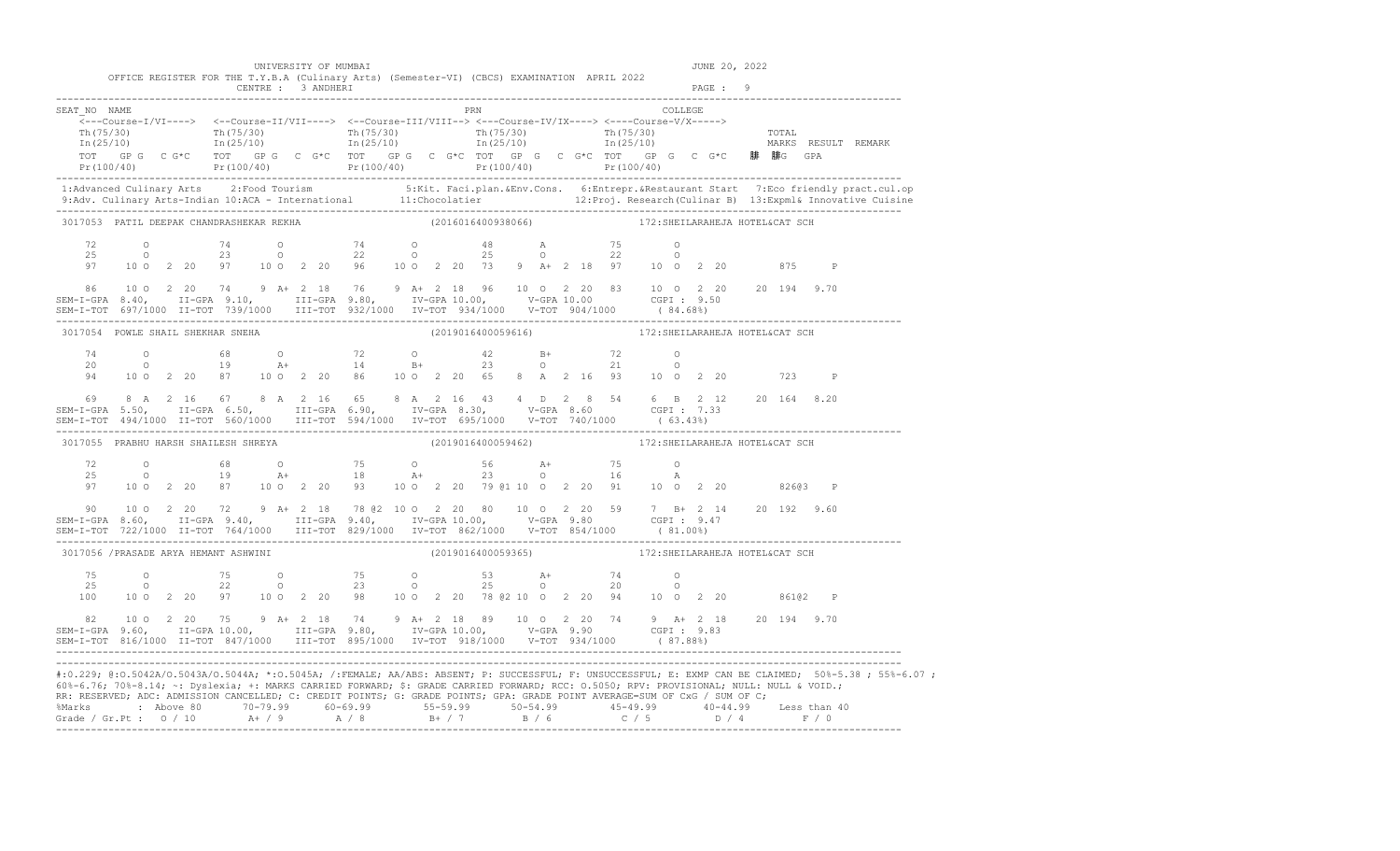|                                                                                                                                                                                                                                                                                                                                                                                                                                               |  |  | UNIVERSITY OF MUMBAI |                                                                                                                                                                                                                                                                                                                                            |     |                    |  |  |                                                    |         |          | JUNE 20, 2022 |         |                                                                                                                                                                                                                                   |
|-----------------------------------------------------------------------------------------------------------------------------------------------------------------------------------------------------------------------------------------------------------------------------------------------------------------------------------------------------------------------------------------------------------------------------------------------|--|--|----------------------|--------------------------------------------------------------------------------------------------------------------------------------------------------------------------------------------------------------------------------------------------------------------------------------------------------------------------------------------|-----|--------------------|--|--|----------------------------------------------------|---------|----------|---------------|---------|-----------------------------------------------------------------------------------------------------------------------------------------------------------------------------------------------------------------------------------|
|                                                                                                                                                                                                                                                                                                                                                                                                                                               |  |  | CENTRE : 3 ANDHERI   | OFFICE REGISTER FOR THE T.Y.B.A (Culinary Arts) (Semester-VI) (CBCS) EXAMINATION APRIL 2022                                                                                                                                                                                                                                                |     |                    |  |  |                                                    |         | PAGE : 9 |               |         |                                                                                                                                                                                                                                   |
| SEAT NO NAME                                                                                                                                                                                                                                                                                                                                                                                                                                  |  |  |                      | $\overline{\langle}\text{---Course-I/VI--->}\rangle\quad\text{<-Course-II/VII--->} \quad\text{---Course-III/VIII--->} \quad\text{---Course-IV/IX--->} \quad\text{---Course-V/I---}$<br>TOT GPG CG*C TOT GPG CG*C TOT GPG CG*C TOT GPG CG*C TOT GPG CG*C 腓 腓G GPA                                                                           | PRN |                    |  |  |                                                    | COLLEGE |          |               |         | $Pr(100/40)$ $Pr(100/40)$ $Pr(100/40)$ $Pr(100/40)$ $Pr(100/40)$ $Pr(100/40)$ $Pr(100/40)$                                                                                                                                        |
|                                                                                                                                                                                                                                                                                                                                                                                                                                               |  |  |                      |                                                                                                                                                                                                                                                                                                                                            |     |                    |  |  |                                                    |         |          |               |         | 1:Advanced Culinary Arts 2:Food Tourism 5:Kit. Faci.plan.&Env.Cons. 6:Entrepr.&Restaurant Start 7:Eco friendly pract.cul.op<br>9:Adv. Culinary Arts-Indian 10:ACA - International 11:Chocolatier 12:Proj. Research (Culinar B) 13 |
| 3017053 PATIL DEEPAK CHANDRASHEKAR REKHA<br>72<br>25<br>97                                                                                                                                                                                                                                                                                                                                                                                    |  |  |                      | 0 74 0 74 0 48 A 75 0<br>0 23 0 22 0 25 0 22 0<br>10 0 2 20 97 10 0 2 20 96 10 0 2 20 73 9 A+ 2 18 97 10 0 2 20 875 P                                                                                                                                                                                                                      |     | (2016016400938066) |  |  | 172: SHEILARAHEJA HOTEL&CAT SCH                    |         |          |               |         |                                                                                                                                                                                                                                   |
| ${\small 86\hspace{0.2cm}10\hspace{0.2cm}0\hspace{0.2cm}2\hspace{0.2cm}20\hspace{0.2cm}74\hspace{0.2cm}9\hspace{0.2cm}\text{A}+2\hspace{0.2cm}18\hspace{0.2cm}76\hspace{0.2cm}9\hspace{0.2cm}\text{A}+2\hspace{0.2cm}18\hspace{0.2cm}96\hspace{0.2cm}10\hspace{0.2cm}0\hspace{0.2cm}2\hspace{0.2cm}20\hspace{0.2cm}83\hspace{0.2cm}10\hspace{$<br>SEM-I-TOT 697/1000 II-TOT 739/1000 III-TOT 932/1000 IV-TOT 934/1000 V-TOT 904/1000 (84.68%) |  |  |                      |                                                                                                                                                                                                                                                                                                                                            |     |                    |  |  |                                                    |         |          |               |         |                                                                                                                                                                                                                                   |
| 3017054 POWLE SHAIL SHEKHAR SNEHA                                                                                                                                                                                                                                                                                                                                                                                                             |  |  |                      |                                                                                                                                                                                                                                                                                                                                            |     |                    |  |  |                                                    |         |          |               |         |                                                                                                                                                                                                                                   |
|                                                                                                                                                                                                                                                                                                                                                                                                                                               |  |  |                      | $\begin{array}{cccccccccccccccc} 74 & & & 0 & & & 68 & & 0 & & & 72 & & 0 & & & 42 & & B+ & & & 72 & & 0 \\ 20 & & & 0 & & & 19 & & A+ & & 14 & & B+ & & 23 & & 0 & & 21 & & 0 \\ 94 & & 10 & 0 & 2 & 20 & 87 & & 10 & 0 & 2 & 20 & & 86 & & 10 & 0 & 2 & 20 & & 65 & 8 & A & 2 & 16 & 93 & & 10 & 0 & 2 & 20 & & & 723 & & P \end{array}$ |     |                    |  |  |                                                    |         |          |               |         |                                                                                                                                                                                                                                   |
| $\begin{array}{cccccccccccccccc} 69 & 8 & A & 2 & 16 & 67 & 8 & A & 2 & 16 & 65 & 8 & A & 2 & 16 & 43 & 4 & D & 2 & 8 & 54 & 6 & B & 2 & 12 & 20 & 164 & 8.20 \\ SEM-I-GPA & 5.50, & II-GPA & 6.50, & III-GPA & 6.90, & IV-GPA & 8.30, & V-GPA & 8.60 & CGPI : 7.33 & \\ SEM-I-TOT & 494/1000 & II-TOT & 560/1000 & III-TOT & 594/1000 & IV-TOT & 6$                                                                                          |  |  |                      |                                                                                                                                                                                                                                                                                                                                            |     |                    |  |  |                                                    |         |          |               |         |                                                                                                                                                                                                                                   |
| 3017055 PRABHU HARSH SHAILESH SHREYA                                                                                                                                                                                                                                                                                                                                                                                                          |  |  |                      |                                                                                                                                                                                                                                                                                                                                            |     |                    |  |  | (2019016400059462) 172: SHEILARAHEJA HOTEL&CAT SCH |         |          |               |         |                                                                                                                                                                                                                                   |
|                                                                                                                                                                                                                                                                                                                                                                                                                                               |  |  |                      | 97 10 0 2 20 87 10 0 2 20 93 10 0 2 20 79 @1 10 0 2 20 91 10 0 2 20 826@3 P                                                                                                                                                                                                                                                                |     |                    |  |  |                                                    |         |          |               |         |                                                                                                                                                                                                                                   |
| $\begin{array}{cccccccccccc} 90 & 10&0&2&20&72&9&\text{A}+&2&18&78&62&10&0&2&20&80&10&0&2&20&59&7&\text{B}+&2&14&20&192&9.60\\ \text{SEM-I-GPA} & 8.60, & \text{II-GPA} & 9.40, & \text{III-GPA} & 9.40, & \text{IV-GPA} & 10.00, & \text{V-GPA} & 9.80& \text{CGPI}: & 9.47&\\ \text{SEM-I-TOT} & 722/1000 & \text{II-TOT} & 764$                                                                                                            |  |  |                      |                                                                                                                                                                                                                                                                                                                                            |     |                    |  |  |                                                    |         |          |               |         |                                                                                                                                                                                                                                   |
| 3017056 /PRASADE ARYA HEMANT ASHWINI                                                                                                                                                                                                                                                                                                                                                                                                          |  |  |                      |                                                                                                                                                                                                                                                                                                                                            |     |                    |  |  | (2019016400059365) 172: SHEILARAHEJA HOTEL&CAT SCH |         |          |               |         |                                                                                                                                                                                                                                   |
| 75<br>25                                                                                                                                                                                                                                                                                                                                                                                                                                      |  |  |                      | 0 75 0 75 0 53 $A +$ 74 0<br>0 22 0 23 0 25 0 20 0<br>100 10 0 2 20 97 10 0 2 20 98 10 0 2 20 78 @ 2 10 0 2 20 94 10 0 2 20                                                                                                                                                                                                                |     |                    |  |  |                                                    |         |          |               | 86102 P |                                                                                                                                                                                                                                   |
| 82 10 0 2 20 75 9 A+ 2 18 74 9 A+ 2 18 89 10 0 2 20 74 9 A+ 2 18 20 194 9.70<br>SEM-I-GPA 9.60, II-GPA 10.00, III-GPA 9.80, IV-GPA 10.00, V-GPA 9.90 CGPI 9.83<br>SEM-I-TOT 816/1000 II-TOT 847/1000 III-TOT 895/1000 IV-TOT 918/1000 V-TOT 934/1000 (87.88%)                                                                                                                                                                                 |  |  |                      |                                                                                                                                                                                                                                                                                                                                            |     |                    |  |  |                                                    |         |          |               |         |                                                                                                                                                                                                                                   |
| 60%-6.76; 70%-8.14; ~: Dyslexia; +: MARKS CARRIED FORWARD; \$: GRADE CARRIED FORWARD; RCC: 0.5050; RPV: PROVISIONAL; NULL: NULL & VOID.;<br>RR: RESERVED; ADC: ADMISSION CANCELLED; C: CREDIT POINTS; G: GRADE POINTS; GPA: GRADE POINT AVERAGE=SUM OF CxG / SUM OF C;<br>%Marks : Above 80 70-79.99 60-69.99 55-59.99 50-54.99 45-49.99 40-44.99 Less than 40<br>Grade / Gr.Pt : 0 / 10 A+ / 9 A / 8 B+ / 7 B / 6 C / 5 D / 4 F / 0          |  |  |                      |                                                                                                                                                                                                                                                                                                                                            |     |                    |  |  |                                                    |         |          |               |         | #:0.229; @:0.5042A/0.5043A/0.5044A; *:0.5045A; /:FEMALE; AA/ABS: ABSENT; P: SUCCESSFUL; F: UNSUCCESSFUL; E: EXMP CAN BE CLAIMED; 50%-5.38 ; 55%-6.07 ;                                                                            |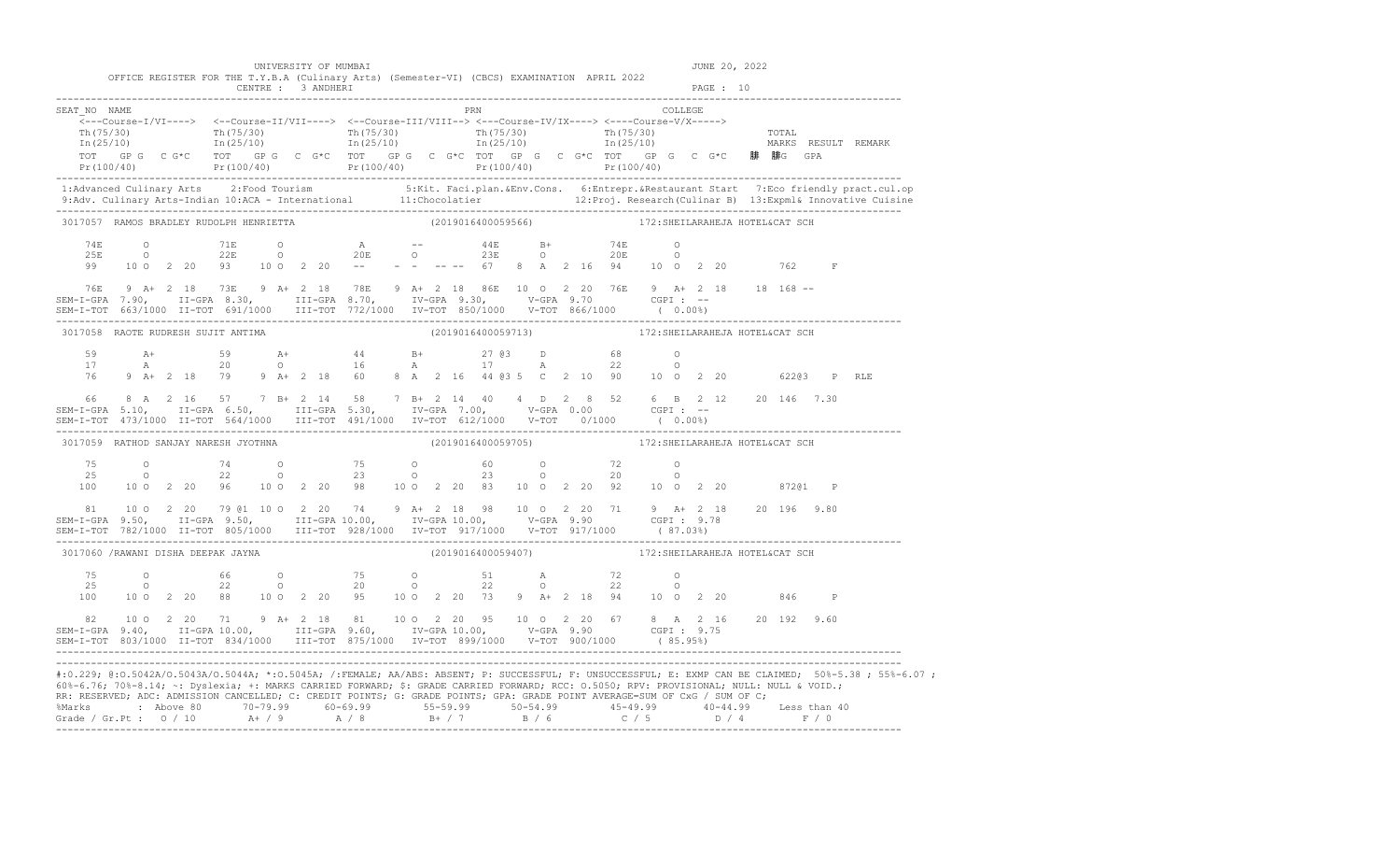| RR: RESERVED; ADC: ADMISSION CANCELLED; C: CREDIT POINTS; G: GRADE POINTS; GPA: GRADE POINT AVERAGE=SUM OF CxG / SUM OF C;<br>%Marks : Above 80 70-79.99 60-69.99 55-59.99 50-54.99 45-49.99 40-44.99 Less than 40<br>Grade / Gr.Pt : 0 / 10 A+ / 9 A / 8 B+ / 7 B / 6 C / 5 D / 4 F / 0 |                |                                                                         |                                                                                                                                                                                                                                                                                                                                                 |                      |  |  |  |                                                    |  |  |                                 |         |               |     |                                                                                                                                                                                                                                    |                                                                                                                                                                                                                                   |
|------------------------------------------------------------------------------------------------------------------------------------------------------------------------------------------------------------------------------------------------------------------------------------------|----------------|-------------------------------------------------------------------------|-------------------------------------------------------------------------------------------------------------------------------------------------------------------------------------------------------------------------------------------------------------------------------------------------------------------------------------------------|----------------------|--|--|--|----------------------------------------------------|--|--|---------------------------------|---------|---------------|-----|------------------------------------------------------------------------------------------------------------------------------------------------------------------------------------------------------------------------------------|-----------------------------------------------------------------------------------------------------------------------------------------------------------------------------------------------------------------------------------|
| 60%-6.76; 70%-8.14; ~: Dyslexia; +: MARKS CARRIED FORWARD; \$: GRADE CARRIED FORWARD; RCC: 0.5050; RPV: PROVISIONAL; NULL: NULL & VOID.;                                                                                                                                                 |                |                                                                         |                                                                                                                                                                                                                                                                                                                                                 |                      |  |  |  |                                                    |  |  |                                 |         |               |     |                                                                                                                                                                                                                                    | #:0.229; @:0.5042A/0.5043A/0.5044A; *:0.5045A; /:FEMALE; AA/ABS: ABSENT; P: SUCCESSFUL; F: UNSUCCESSFUL; E: EXMP CAN BE CLAIMED; 50%-5.38; 55%-6.07;                                                                              |
| 82 10 0 2 20 71 9 A + 2 18 81 10 0 2 20 95 10 0 2 20 67 8 A 2 16 20 192 9.60<br>SEM-I-GPA 9.40, II-GPA 10.00, III-GPA 9.60, IV-GPA 10.00, V-GPA 9.90 CGPI : 9.75<br>SEM-I-TOT 803/1000 II-TOT 834/1000 III-TOT 875/1000 IV-TOT 899/1000 V-TOT 900/1000 (85.95%)                          |                |                                                                         |                                                                                                                                                                                                                                                                                                                                                 |                      |  |  |  |                                                    |  |  |                                 |         |               |     |                                                                                                                                                                                                                                    |                                                                                                                                                                                                                                   |
| 75<br>25                                                                                                                                                                                                                                                                                 | $\overline{0}$ | $\overline{O}$ and $\overline{O}$ and $\overline{O}$ and $\overline{O}$ | 100 10 0 2 20 88 10 0 2 20 95 10 0 2 20 73 9 A+ 2 18 94 10 0 2 20                                                                                                                                                                                                                                                                               |                      |  |  |  |                                                    |  |  |                                 |         |               |     | 846 P                                                                                                                                                                                                                              |                                                                                                                                                                                                                                   |
| 3017060 /RAWANI DISHA DEEPAK JAYNA                                                                                                                                                                                                                                                       |                |                                                                         |                                                                                                                                                                                                                                                                                                                                                 |                      |  |  |  | (2019016400059407)                                 |  |  | 172: SHEILARAHEJA HOTEL&CAT SCH |         |               |     |                                                                                                                                                                                                                                    |                                                                                                                                                                                                                                   |
| $\begin{array}{cccccccccccc} 81 & 10&0&2&20&79&01&10&0&2&20&74&9&\text{A}+&2&18&98&10&0&2&20&71&9&\text{A}+&2&18&20&196&9.80\\ 818&10&0&2&20&79&01&10&0&2&20&74&9&\text{A}+&2&18&98&10&0&2&20&71&9&\text{A}+&2&18&20&196&9.80\\ 819&1-1-GPA&9.50,&11-GPA&9.50,&111-GPA$                  |                |                                                                         |                                                                                                                                                                                                                                                                                                                                                 |                      |  |  |  |                                                    |  |  |                                 |         |               |     |                                                                                                                                                                                                                                    |                                                                                                                                                                                                                                   |
| 25<br>100                                                                                                                                                                                                                                                                                |                |                                                                         | $\begin{array}{cccccccccccccccc} 75 & & & 0 & & & 74 & & 0 & & & 75 & & 0 & & & 60 & & 0 & & & 72 & & 0 \\ 25 & & & 0 & & & 22 & & 0 & & & 23 & & 0 & & & 23 & & 0 & & & 20 & & 0 \\ 100 & & 10 & 0 & 2 & 20 & & 96 & & 10 & 0 & 2 & 20 & & 98 & & 10 & 0 & 2 & 20 & & 83 & & 10 & 0 & 2 & 20 & & 92 & & 10 & 0 & 2 & 20 & & & 872@1 & & \math$ |                      |  |  |  |                                                    |  |  |                                 |         |               |     |                                                                                                                                                                                                                                    |                                                                                                                                                                                                                                   |
| 3017059 RATHOD SANJAY NARESH JYOTHNA                                                                                                                                                                                                                                                     |                |                                                                         |                                                                                                                                                                                                                                                                                                                                                 |                      |  |  |  | (2019016400059705) 172: SHEILARAHEJA HOTEL&CAT SCH |  |  |                                 |         |               |     |                                                                                                                                                                                                                                    |                                                                                                                                                                                                                                   |
| 66 8 A 2 16 57 7 B+ 2 14 58 7 B+ 2 14 40 4 D 2 8 52 6 B 2 12 20 146 7.30<br>SEM-I-GPA 5.10, II-GPA 6.50, III-GPA 5.30, IV-GPA 7.00, V-GPA 0.00 CGPI: --                                                                                                                                  |                |                                                                         |                                                                                                                                                                                                                                                                                                                                                 |                      |  |  |  |                                                    |  |  |                                 |         |               |     |                                                                                                                                                                                                                                    |                                                                                                                                                                                                                                   |
| 59<br>17<br>76                                                                                                                                                                                                                                                                           |                |                                                                         |                                                                                                                                                                                                                                                                                                                                                 |                      |  |  |  |                                                    |  |  |                                 |         |               |     | P RLE                                                                                                                                                                                                                              |                                                                                                                                                                                                                                   |
|                                                                                                                                                                                                                                                                                          |                |                                                                         | 3017058 RAOTE RUDRESH SUJIT ANTIMA                                                                                                                                                                                                                                                                                                              |                      |  |  |  | (2019016400059713) 172: SHEILARAHEJA HOTEL&CAT SCH |  |  |                                 |         |               |     |                                                                                                                                                                                                                                    |                                                                                                                                                                                                                                   |
|                                                                                                                                                                                                                                                                                          |                |                                                                         |                                                                                                                                                                                                                                                                                                                                                 |                      |  |  |  |                                                    |  |  |                                 |         |               |     | 76E 9 A+ 2 18 73E 9 A+ 2 18 78E 9 A+ 2 18 86E 10 0 2 20 76E 9 A+ 2 18 168 --<br>SEM-I-GPA 7.90, II-GPA 8.30, III-GPA 8.70, IV-GPA 9.30, V-GPA 9.70 CGPI : --<br>SEM-I-TOT 663/1000 II-TOT 691/1000 III-TOT 772/1000 IV-TOT 850/100 |                                                                                                                                                                                                                                   |
|                                                                                                                                                                                                                                                                                          |                |                                                                         | $\begin{array}{ccccccccc} 74\text{E} & & \text{O} & & & 71\text{E} & & \text{O} & & \text{A} \\ 25\text{E} & & \text{O} & & & 22\text{E} & & \text{O} & & & 20\text{E} \end{array}$<br>99 10 0 2 20 93 10 0 2 20 -- - - -- -- -- 67 8 A 2 16 94 10 0 2 20                                                                                       |                      |  |  |  | -- 44E B+ 74E O<br>O 23E O 20E O                   |  |  |                                 |         |               | 762 | $\quad$ F                                                                                                                                                                                                                          |                                                                                                                                                                                                                                   |
|                                                                                                                                                                                                                                                                                          |                |                                                                         | 3017057 RAMOS BRADLEY RUDOLPH HENRIETTA                                                                                                                                                                                                                                                                                                         |                      |  |  |  |                                                    |  |  |                                 |         |               |     |                                                                                                                                                                                                                                    |                                                                                                                                                                                                                                   |
|                                                                                                                                                                                                                                                                                          |                |                                                                         |                                                                                                                                                                                                                                                                                                                                                 |                      |  |  |  |                                                    |  |  |                                 |         |               |     |                                                                                                                                                                                                                                    | 1:Advanced Culinary Arts 2:Food Tourism 5:Kit. Faci.plan.&Env.Cons. 6:Entrepr.&Restaurant Start 7:Eco friendly pract.cul.op<br>9:Adv. Culinary Arts-Indian 10:ACA - International 11:Chocolatier 12:Proj. Research(Culinar B) 13: |
|                                                                                                                                                                                                                                                                                          |                |                                                                         |                                                                                                                                                                                                                                                                                                                                                 |                      |  |  |  |                                                    |  |  |                                 |         |               |     |                                                                                                                                                                                                                                    |                                                                                                                                                                                                                                   |
| SEAT NO NAME                                                                                                                                                                                                                                                                             |                |                                                                         | $\overbrace{\texttt{<--Course-I/VI--->}}$                                                                                                                                                                                                                                                                                                       |                      |  |  |  | PRN                                                |  |  |                                 | COLLEGE |               |     |                                                                                                                                                                                                                                    |                                                                                                                                                                                                                                   |
|                                                                                                                                                                                                                                                                                          |                |                                                                         | OFFICE REGISTER FOR THE T.Y.B.A (Culinary Arts) (Semester-VI) (CBCS) EXAMINATION APRIL 2022                                                                                                                                                                                                                                                     |                      |  |  |  |                                                    |  |  |                                 |         |               |     |                                                                                                                                                                                                                                    |                                                                                                                                                                                                                                   |
|                                                                                                                                                                                                                                                                                          |                |                                                                         |                                                                                                                                                                                                                                                                                                                                                 | UNIVERSITY OF MUMBAI |  |  |  |                                                    |  |  |                                 |         | JUNE 20, 2022 |     |                                                                                                                                                                                                                                    |                                                                                                                                                                                                                                   |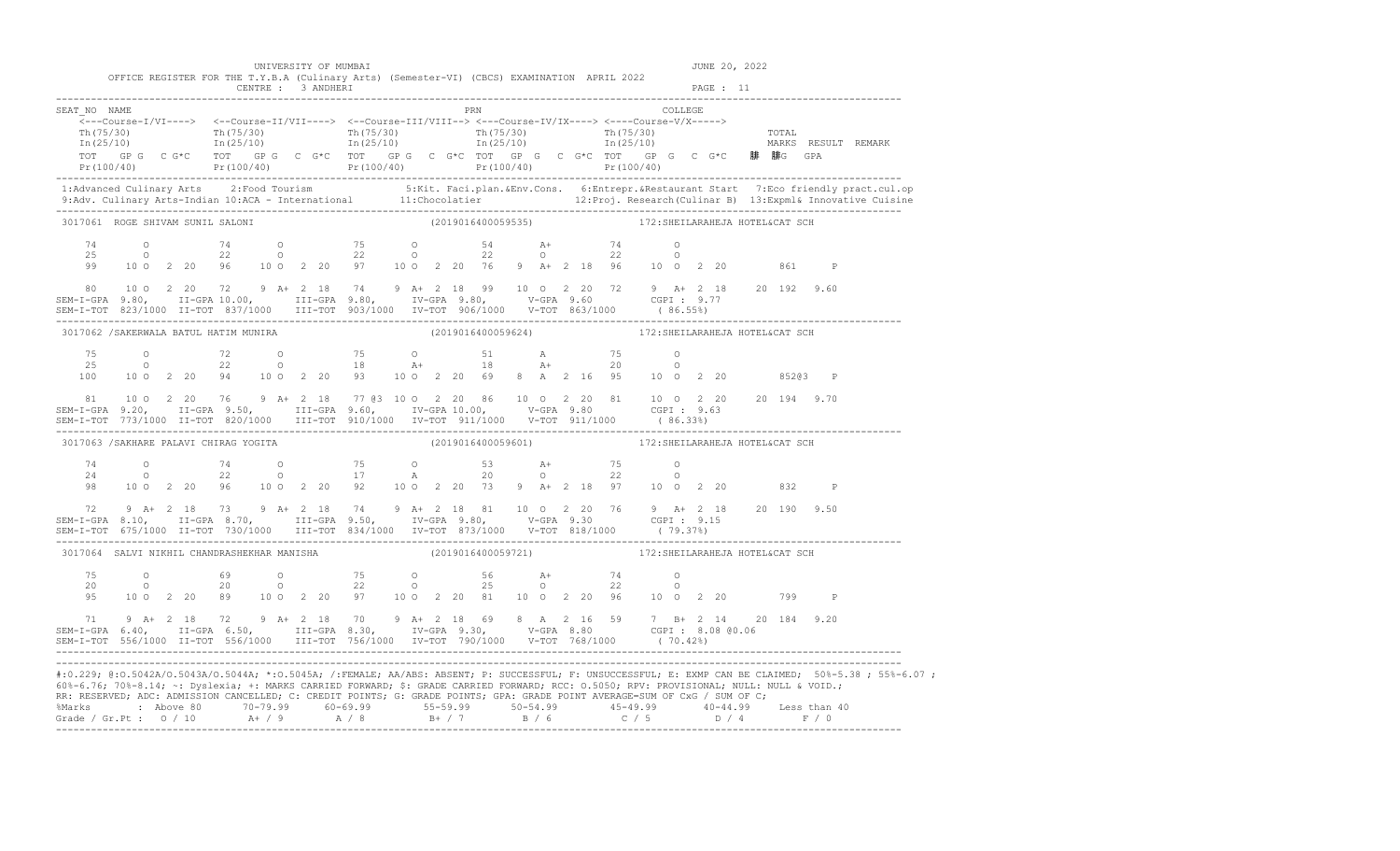| 60%-6.76; 70%-8.14; ~: Dyslexia; +: MARKS CARRIED FORWARD; \$: GRADE CARRIED FORWARD; RCC: 0.5050; RPV: PROVISIONAL; NULL: NULL & VOID.;<br>RR: RESERVED; ADC: ADMISSION CANCELLED; C: CREDIT POINTS; G: GRADE POINTS; GPA: GRADE POINT AVERAGE=SUM OF CxG / SUM OF C; |  |  |  |                      |  |  |     | %Marks : Above 80 70-79.99 60-69.99 55-59.99 50-54.99 45-49.99 40-44.99 Less than 40<br>Grade / Gr.Pt : 0 / 10 A+ / 9 A / 8 B+ / 7 B / 6 C / 5 D / 4 F / 0                                                                                                                                                                   |  |                                 |         |               |     |              | #:0.229; @:0.5042A/0.5043A/0.5044A; *:0.5045A; /:FEMALE; AA/ABS: ABSENT; P: SUCCESSFUL; F: UNSUCCESSFUL; E: EXMP CAN BE CLAIMED; 50%-5.38; 55%-6.07;                                                                              |
|------------------------------------------------------------------------------------------------------------------------------------------------------------------------------------------------------------------------------------------------------------------------|--|--|--|----------------------|--|--|-----|------------------------------------------------------------------------------------------------------------------------------------------------------------------------------------------------------------------------------------------------------------------------------------------------------------------------------|--|---------------------------------|---------|---------------|-----|--------------|-----------------------------------------------------------------------------------------------------------------------------------------------------------------------------------------------------------------------------------|
| 71 9 A+ 2 18 72 9 A+ 2 18 70 9 A+ 2 18 69 8 A 2 16 59 7 B+ 2 14 20 184 9.20<br>SEM-I-GPA 6.40, II-GPA 6.50, III-GPA 8.30, IV-GPA 9.30, V-GPA 8.80 CGPI: 8.08 @0.06<br>SEM-I-TOT 556/1000 II-TOT 556/1000 III-TOT 756/1000 IV-TOT                                       |  |  |  |                      |  |  |     |                                                                                                                                                                                                                                                                                                                              |  |                                 |         |               |     |              |                                                                                                                                                                                                                                   |
|                                                                                                                                                                                                                                                                        |  |  |  |                      |  |  |     | 95 10 0 2 20 89 10 0 2 20 97 10 0 2 20 81 10 0 2 20 96 10 0 2 20 799 P                                                                                                                                                                                                                                                       |  |                                 |         |               |     |              |                                                                                                                                                                                                                                   |
| 3017064 SALVI NIKHIL CHANDRASHEKHAR MANISHA                                                                                                                                                                                                                            |  |  |  |                      |  |  |     | (2019016400059721)                                                                                                                                                                                                                                                                                                           |  | 172: SHEILARAHEJA HOTEL&CAT SCH |         |               |     |              |                                                                                                                                                                                                                                   |
| 72 9 A+ 2 18 73 9 A+ 2 18 74 9 A+ 2 18 81 10 0 2 20 76 9 A+ 2 18 20 190 9.50<br>SEM-I-GPA 8.10, II-GPA 8.70, III-GPA 9.50, IV-GPA 9.80, V-GPA 9.30 CGPI: 9.15<br>SEM-I-TOT 675/1000 II-TOT 730/1000 III-TOT 834/1000 IV-TOT 873/1                                      |  |  |  |                      |  |  |     |                                                                                                                                                                                                                                                                                                                              |  |                                 |         |               |     |              |                                                                                                                                                                                                                                   |
|                                                                                                                                                                                                                                                                        |  |  |  |                      |  |  |     | $\begin{array}{cccccccccccccccc} 74 & 0 & 74 & 0 & 75 & 0 & 53 & A+ & 75 & 0 \\ 24 & 0 & 22 & 0 & 17 & A & 20 & 0 & 22 & 0 \\ 98 & 100 & 2 & 20 & 96 & 10 & 0 & 2 & 20 & 92 & 10 & 0 & 2 & 20 & 73 & 9 & A+ & 2 & 18 & 97 & 10 & 0 & 2 & 20 & 832 \end{array}$                                                               |  |                                 |         |               |     | $\mathbb{P}$ |                                                                                                                                                                                                                                   |
| 3017063 /SAKHARE PALAVI CHIRAG YOGITA                                                                                                                                                                                                                                  |  |  |  |                      |  |  |     | (2019016400059601) 172: SHEILARAHEJA HOTEL&CAT SCH                                                                                                                                                                                                                                                                           |  |                                 |         |               |     |              |                                                                                                                                                                                                                                   |
|                                                                                                                                                                                                                                                                        |  |  |  |                      |  |  |     | 81 10 0 2 20 76 9 A+ 2 18 77 03 10 0 2 20 86 10 0 2 20 81 10 0 2 20 20 194 9.70<br>SEM-I-GPA 9.20, II-GPA 9.50, III-GPA 9.60, IV-GPA 10.00, V-GPA 9.80 CGPI: 9.63                                                                                                                                                            |  |                                 |         |               |     |              |                                                                                                                                                                                                                                   |
| 75<br>25<br>100                                                                                                                                                                                                                                                        |  |  |  |                      |  |  |     | 0 72 0 75 0 51 A 75 0<br>0 22 0 18 A+ 18 A+ 20 0<br>10 0 2 20 94 10 0 2 20 93 10 0 2 20 69 8 A 2 16 95 10 0 2 20 852@3 P                                                                                                                                                                                                     |  |                                 |         |               |     |              |                                                                                                                                                                                                                                   |
| 3017062 / SAKERWALA BATUL HATIM MUNIRA                                                                                                                                                                                                                                 |  |  |  |                      |  |  |     | (2019016400059624) 172: SHEILARAHEJA HOTEL&CAT SCH                                                                                                                                                                                                                                                                           |  |                                 |         |               |     |              |                                                                                                                                                                                                                                   |
|                                                                                                                                                                                                                                                                        |  |  |  |                      |  |  |     | $\begin{array}{cccccccccccc} 80 & 10& 0& 2& 20& 72& 9& \text{A}+& 2& 18& 74& 9& \text{A}+& 2& 18& 99& 10& 0& 2& 20& 72& 9& \text{A}+& 2& 18& 20& 192& 9.60 \\ \texttt{SEM-I-GPA} & 9.80, & \texttt{II-GPA} & 10.00, & \texttt{III-GPA} & 9.80, & \texttt{IV-GPA} & 9.80, & \texttt{V-GPA} & 9.60 & \texttt{CGPI}: & 9.77 \\$ |  |                                 |         |               |     |              |                                                                                                                                                                                                                                   |
| 99                                                                                                                                                                                                                                                                     |  |  |  |                      |  |  |     | $74$ 0 $74$ 0 $75$ 0 $54$ $24$ $22$ 0 $22$ 0 $22$ 0 $22$ 0 $22$ 0<br>10 0 2 20 96 10 0 2 20 97 10 0 2 20 76 9 A+ 2 18 96 10 0 2 20                                                                                                                                                                                           |  |                                 |         |               | 861 | $\mathbb{P}$ |                                                                                                                                                                                                                                   |
| 3017061 ROGE SHIVAM SUNIL SALONI                                                                                                                                                                                                                                       |  |  |  |                      |  |  |     | (2019016400059535) 172: SHEILARAHEJA HOTEL&CAT SCH                                                                                                                                                                                                                                                                           |  |                                 |         |               |     |              |                                                                                                                                                                                                                                   |
|                                                                                                                                                                                                                                                                        |  |  |  |                      |  |  |     |                                                                                                                                                                                                                                                                                                                              |  |                                 |         |               |     |              | 1:Advanced Culinary Arts 2:Food Tourism 5:Kit. Faci.plan.&Env.Cons. 6:Entrepr.&Restaurant Start 7:Eco friendly pract.cul.op<br>9:Adv. Culinary Arts-Indian 10:ACA - International 11:Chocolatier 12:Proj. Research(Culinar B) 13: |
|                                                                                                                                                                                                                                                                        |  |  |  |                      |  |  |     |                                                                                                                                                                                                                                                                                                                              |  |                                 |         |               |     |              |                                                                                                                                                                                                                                   |
| SEAT NO NAME                                                                                                                                                                                                                                                           |  |  |  |                      |  |  | PRN | $\overbrace{\texttt{<--Course-I/VI--->}}$                                                                                                                                                                                                                                                                                    |  |                                 | COLLEGE |               |     |              |                                                                                                                                                                                                                                   |
|                                                                                                                                                                                                                                                                        |  |  |  |                      |  |  |     | OFFICE REGISTER FOR THE T.Y.B.A (Culinary Arts) (Semester-VI) (CBCS) EXAMINATION APRIL 2022                                                                                                                                                                                                                                  |  |                                 |         |               |     |              |                                                                                                                                                                                                                                   |
|                                                                                                                                                                                                                                                                        |  |  |  | UNIVERSITY OF MUMBAI |  |  |     |                                                                                                                                                                                                                                                                                                                              |  |                                 |         | JUNE 20, 2022 |     |              |                                                                                                                                                                                                                                   |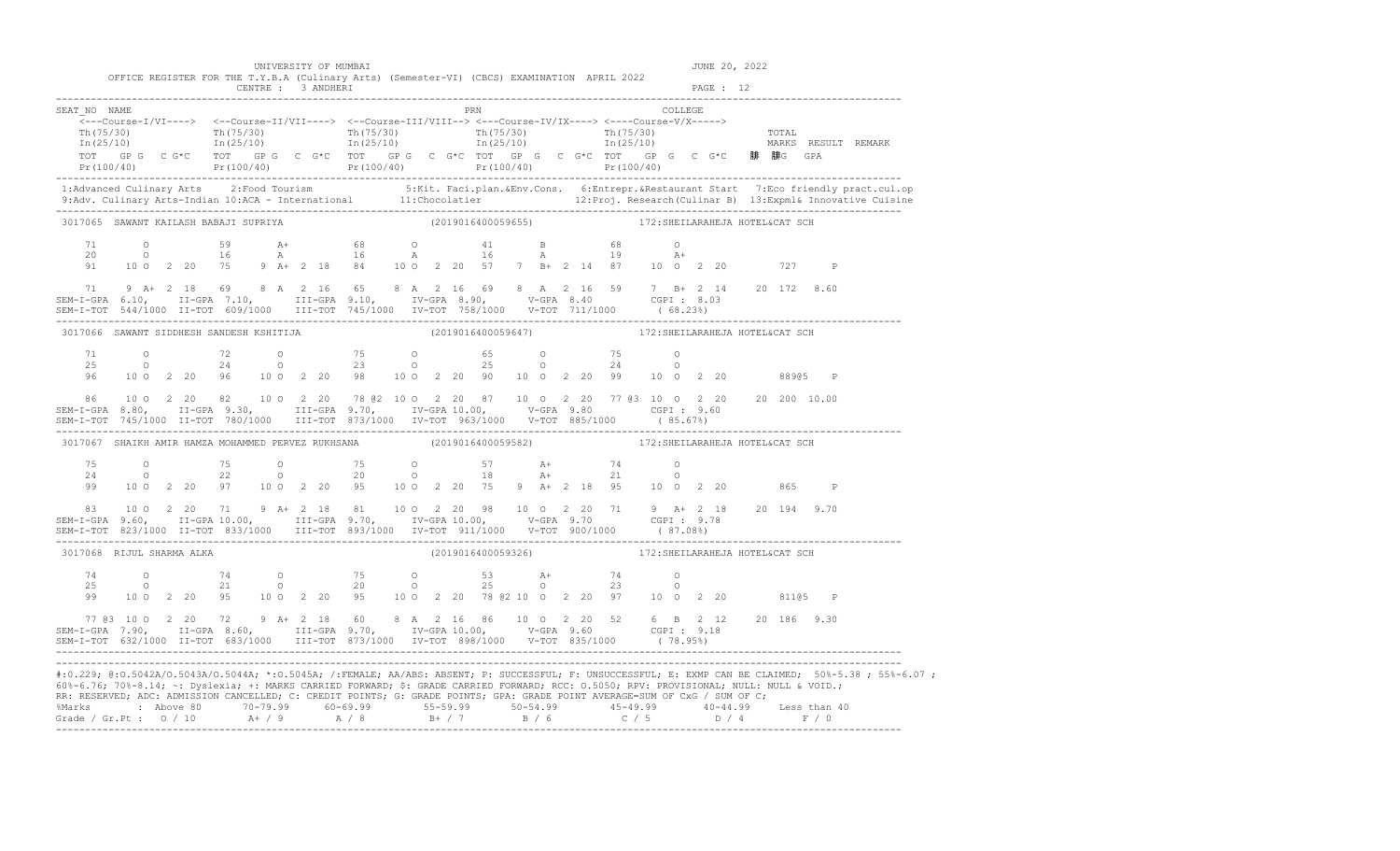|                                                                                                                                                                                                                                                                                                                                                                                                                                      |                |                |  | UNIVERSITY OF MUMBAI |  |                                                                                                                                                                                                                                                                                                                      |  |                    |  |                                                    |  |           | JUNE 20, 2022 |  |   |                                                                                                                                                                                                                                   |
|--------------------------------------------------------------------------------------------------------------------------------------------------------------------------------------------------------------------------------------------------------------------------------------------------------------------------------------------------------------------------------------------------------------------------------------|----------------|----------------|--|----------------------|--|----------------------------------------------------------------------------------------------------------------------------------------------------------------------------------------------------------------------------------------------------------------------------------------------------------------------|--|--------------------|--|----------------------------------------------------|--|-----------|---------------|--|---|-----------------------------------------------------------------------------------------------------------------------------------------------------------------------------------------------------------------------------------|
|                                                                                                                                                                                                                                                                                                                                                                                                                                      |                |                |  | CENTRE : 3 ANDHERI   |  | OFFICE REGISTER FOR THE T.Y.B.A (Culinary Arts) (Semester-VI) (CBCS) EXAMINATION APRIL 2022                                                                                                                                                                                                                          |  |                    |  |                                                    |  | PAGE : 12 |               |  |   |                                                                                                                                                                                                                                   |
| SEAT NO NAME                                                                                                                                                                                                                                                                                                                                                                                                                         |                |                |  |                      |  | $\overline{\langle}\text{---Course-I/VI--->}\rangle\quad \text{\begin{subarray}{c} <- \text{--Course-II/VII--->}\end{subarray}}\quad \text{\begin{subarray}{c} <- \text{--Course-III/VIII-->}\end{subarray}}\quad \text{--- Course-IVI/VIII-->}\quad \text{--- Course-IVIX--->}\quad \text{--- Course-V/X--->}\quad$ |  |                    |  | PRN COLLEGE                                        |  |           |               |  |   |                                                                                                                                                                                                                                   |
|                                                                                                                                                                                                                                                                                                                                                                                                                                      |                |                |  |                      |  |                                                                                                                                                                                                                                                                                                                      |  |                    |  |                                                    |  |           |               |  |   | $Pr(100/40)$ $Pr(100/40)$ $Pr(100/40)$ $Pr(100/40)$ $Pr(100/40)$ $Pr(100/40)$ $Pr(100/40)$                                                                                                                                        |
|                                                                                                                                                                                                                                                                                                                                                                                                                                      |                |                |  |                      |  |                                                                                                                                                                                                                                                                                                                      |  |                    |  |                                                    |  |           |               |  |   | 1:Advanced Culinary Arts 2:Food Tourism 5:Kit. Faci.plan.&Env.Cons. 6:Entrepr.&Restaurant Start 7:Eco friendly pract.cul.op<br>9:Adv. Culinary Arts-Indian 10:ACA - International 11:Chocolatier 12:Proj. Research (Culinar B) 13 |
| 3017065 SAWANT KAILASH BABAJI SUPRIYA                                                                                                                                                                                                                                                                                                                                                                                                |                |                |  |                      |  |                                                                                                                                                                                                                                                                                                                      |  | (2019016400059655) |  | 172: SHEILARAHEJA HOTEL&CAT SCH                    |  |           |               |  |   |                                                                                                                                                                                                                                   |
| 71<br>20<br>91                                                                                                                                                                                                                                                                                                                                                                                                                       |                |                |  |                      |  | 0 59 A+ 68 O 41 B 68 O<br>0 16 A 16 A 16 A 19 A+<br>10 0 2 20 75 9 A+ 2 18 84 10 0 2 20 57 7 B+ 2 14 87 10 0 2 20 727 P                                                                                                                                                                                              |  |                    |  |                                                    |  |           |               |  |   |                                                                                                                                                                                                                                   |
| 71 9 A+ 2 18 69 8 A 2 16 65 8 A 2 16 69 8 A 2 16 59 7 B+ 2 14 20 172 8.60<br>SEM-I-GPA 6.10, II-GPA 7.10, III-GPA 9.10, IV-GPA 8.90, V-GPA 8.40 CGPI: 8.03<br>SEM-I-TOT 544/1000 II-TOT 609/1000 III-TOT 745/1000 IV-TOT 758/1000 V-TOT 711/1000 (68.23%)                                                                                                                                                                            |                |                |  |                      |  |                                                                                                                                                                                                                                                                                                                      |  |                    |  |                                                    |  |           |               |  |   |                                                                                                                                                                                                                                   |
| 3017066 SAWANT SIDDHESH SANDESH KSHITIJA                                                                                                                                                                                                                                                                                                                                                                                             |                |                |  |                      |  |                                                                                                                                                                                                                                                                                                                      |  |                    |  |                                                    |  |           |               |  |   |                                                                                                                                                                                                                                   |
|                                                                                                                                                                                                                                                                                                                                                                                                                                      |                |                |  |                      |  | $\begin{array}{cccccccccccccccc} 71 & & & 0 & & & 72 & & 0 & & & 75 & & 0 & & & 65 & & 0 & & & 75 & & 0 \\ 25 & & & 0 & & & 24 & & 0 & & & 23 & & 0 & & & 25 & & 0 & & 24 & & 0 \\ 96 & & 10 & 0 & 2 & 20 & 96 & & 10 & 0 & 2 & 20 & 98 & & 10 & 0 & 2 & 20 & 99 & & 10 & 0 & 2 & 20 & & & 208965 & P \end{array}$   |  |                    |  |                                                    |  |           |               |  |   |                                                                                                                                                                                                                                   |
| 86<br>SEM-I-GPA 8.80, II-GPA 9.30, III-GPA 9.70, IV-GPA 10.00, V-GPA 9.80 CGPI : 9.60<br>SEM-I-TOT 745/1000 II-TOT 780/1000 III-TOT 873/1000 IV-TOT 963/1000 V-TOT 885/1000 (85.67%)                                                                                                                                                                                                                                                 |                |                |  |                      |  | 10 0 2 20 82 10 0 2 20 78 02 10 0 2 20 87 10 0 2 20 77 03 10 0 2 20 20 200 10.00                                                                                                                                                                                                                                     |  |                    |  |                                                    |  |           |               |  |   |                                                                                                                                                                                                                                   |
| 3017067 SHAIKH AMIR HAMZA MOHAMMED PERVEZ RUKHSANA                                                                                                                                                                                                                                                                                                                                                                                   |                |                |  |                      |  |                                                                                                                                                                                                                                                                                                                      |  |                    |  | (2019016400059582) 172: SHEILARAHEJA HOTEL&CAT SCH |  |           |               |  |   |                                                                                                                                                                                                                                   |
| 75<br>24                                                                                                                                                                                                                                                                                                                                                                                                                             |                |                |  |                      |  | 0 75 0 75 0 57 A+ 74 0<br>0 22 0 20 0 18 A+ 21 0<br>99 10 0 2 20 97 10 0 2 20 95 10 0 2 20 75 9 A+ 2 18 95 10 0 2 20 865                                                                                                                                                                                             |  |                    |  |                                                    |  |           |               |  | P |                                                                                                                                                                                                                                   |
| SEM-I-GPA 9.60, II-GPA 10.00, III-GPA 9.70, IV-GPA 10.00, V-GPA 9.70 CGPI 9.78<br>SEM-I-TOT 823/1000 II-TOT 833/1000 III-TOT 893/1000 IV-TOT 911/1000 V-TOT 900/1000 (87.08%)                                                                                                                                                                                                                                                        |                |                |  |                      |  | 83 10 0 2 20 71 9 A+ 2 18 81 10 0 2 20 98 10 0 2 20 71 9 A+ 2 18 20 194 9.70                                                                                                                                                                                                                                         |  |                    |  |                                                    |  |           |               |  |   |                                                                                                                                                                                                                                   |
| 3017068 RIJUL SHARMA ALKA                                                                                                                                                                                                                                                                                                                                                                                                            |                |                |  |                      |  |                                                                                                                                                                                                                                                                                                                      |  |                    |  | (2019016400059326) 172: SHEILARAHEJA HOTEL&CAT SCH |  |           |               |  |   |                                                                                                                                                                                                                                   |
| 74<br>25                                                                                                                                                                                                                                                                                                                                                                                                                             | $\overline{a}$ | $\overline{O}$ |  |                      |  | $\begin{array}{ccccccccccc}\n74 & & & 0 & & & 75 & & 0 & & & 53 & & \text{A+} & & & 74 & & 0 \\ 21 & & & 0 & & & 20 & & 0 & & & 25 & & 0 & & & 23 & & 0\n\end{array}$<br>99 10 0 2 20 95 10 0 2 20 95 10 0 2 20 78 @ 2 10 0 2 20 97 10 0 2 20 811@ 5 P                                                               |  |                    |  |                                                    |  |           |               |  |   |                                                                                                                                                                                                                                   |
| 77 (83 10 0 2 20 72 9 A + 2 18 60 8 A 2 16 86 10 0 2 20 52 6 B 2 12 20 186 9.30<br>SEM-I-GPA 7.90, II-GPA 8.60, III-GPA 9.70, IV-GPA 10.00, V-GPA 9.60 CGPI: 9.18<br>SEM-I-TOT 632/1000 II-TOT 683/1000 III-TOT 873/1000 IV-TOT 898/1000 V-TOT 835/1000 (78.95%)                                                                                                                                                                     |                |                |  |                      |  |                                                                                                                                                                                                                                                                                                                      |  |                    |  |                                                    |  |           |               |  |   |                                                                                                                                                                                                                                   |
| 60%-6.76; 70%-8.14; ~: Dyslexia; +: MARKS CARRIED FORWARD; \$: GRADE CARRIED FORWARD; RCC: 0.5050; RPV: PROVISIONAL; NULL: NULL & VOID.;<br>RR: RESERVED; ADC: ADMISSION CANCELLED; C: CREDIT POINTS; G: GRADE POINTS; GPA: GRADE POINT AVERAGE=SUM OF CxG / SUM OF C;<br>%Marks : Above 80 70-79.99 60-69.99 55-59.99 50-54.99 45-49.99 40-44.99 Less than 40<br>Grade / Gr.Pt : 0 / 10 A+ / 9 A / 8 B+ / 7 B / 6 C / 5 D / 4 F / 0 |                |                |  |                      |  |                                                                                                                                                                                                                                                                                                                      |  |                    |  |                                                    |  |           |               |  |   | #:0.229; @:0.5042A/0.5043A/0.5044A; *:0.5045A; /:FEMALE; AA/ABS: ABSENT; P: SUCCESSFUL; F: UNSUCCESSFUL; E: EXMP CAN BE CLAIMED; 50%-5.38 ; 55%-6.07 ;                                                                            |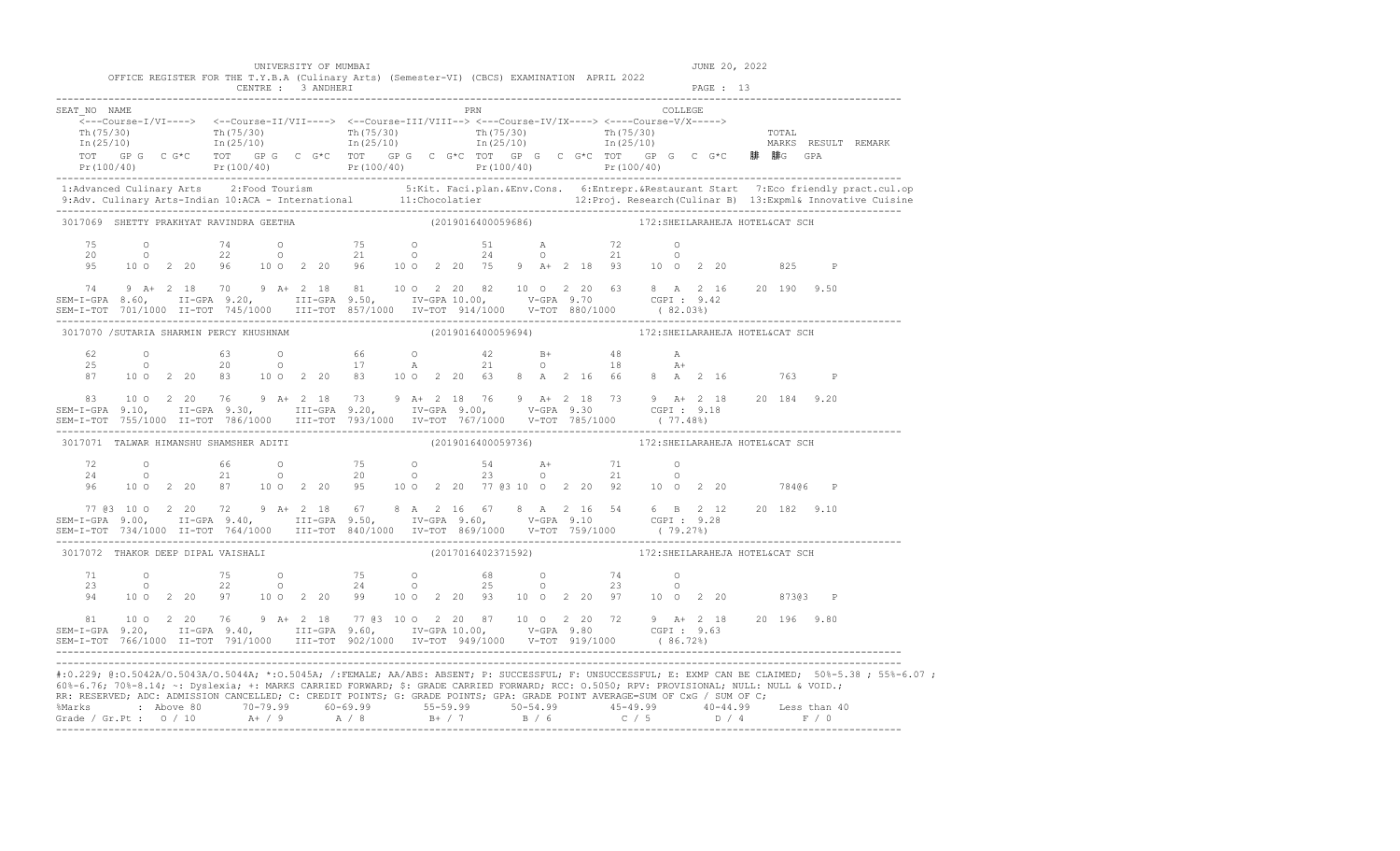|                                                                                                                                                                                                                                                                                                                                                                                                                                      |  |  |                    | UNIVERSITY OF MUMBAI |                                                                                             |                     |                    |  |  |                                                                                                                                                                                                                                                                                                                                     |         |           | JUNE 20, 2022 |              |                                                                                                                                                                                                                                                                                                                                                                               |
|--------------------------------------------------------------------------------------------------------------------------------------------------------------------------------------------------------------------------------------------------------------------------------------------------------------------------------------------------------------------------------------------------------------------------------------|--|--|--------------------|----------------------|---------------------------------------------------------------------------------------------|---------------------|--------------------|--|--|-------------------------------------------------------------------------------------------------------------------------------------------------------------------------------------------------------------------------------------------------------------------------------------------------------------------------------------|---------|-----------|---------------|--------------|-------------------------------------------------------------------------------------------------------------------------------------------------------------------------------------------------------------------------------------------------------------------------------------------------------------------------------------------------------------------------------|
|                                                                                                                                                                                                                                                                                                                                                                                                                                      |  |  | CENTRE : 3 ANDHERI |                      | OFFICE REGISTER FOR THE T.Y.B.A (Culinary Arts) (Semester-VI) (CBCS) EXAMINATION APRIL 2022 |                     |                    |  |  |                                                                                                                                                                                                                                                                                                                                     |         | PAGE : 13 |               |              |                                                                                                                                                                                                                                                                                                                                                                               |
| SEAT NO NAME                                                                                                                                                                                                                                                                                                                                                                                                                         |  |  |                    |                      |                                                                                             | <b>EXAMPLE 1988</b> |                    |  |  | $\overbrace{\texttt{<--Course-I/VI--->}} \hspace{1.5cm} \xleftarrows\texttt{--Course-II/VII--->} \hspace{1.5cm} \xleftarrows\texttt{--Course-II/VIII--->} \hspace{1.5cm} \xleftarrows\texttt{--Course-IV/IX--->} \hspace{1.5cm} \xleftarrows\texttt{--Course-V/X--->} \hspace{1.5cm} \xleftarrows\texttt{--Course-V/X--->} \right.$ | COLLEGE |           |               |              | $\frac{\text{Th}(75/30)}{\text{Th}(25/10)}$ $\frac{\text{Th}(75/30)}{\text{In}(25/10)}$ $\frac{\text{Th}(75/30)}{\text{In}(25/10)}$ $\frac{\text{Th}(75/30)}{\text{In}(25/10)}$ $\frac{\text{Th}(75/30)}{\text{In}(25/10)}$ $\frac{\text{Th}(75/30)}{\text{In}(25/10)}$ $\frac{\text{Th}(75/30)}{\text{In}(25/10)}$ $\frac{\text{Th}(75/30)}{\text{In}(25/10)}$ $\frac{\text$ |
|                                                                                                                                                                                                                                                                                                                                                                                                                                      |  |  |                    |                      |                                                                                             |                     |                    |  |  |                                                                                                                                                                                                                                                                                                                                     |         |           |               |              | TOT GP G C G*C TOT GP G C G*C TOT GP G C G*C TOT GP G C G*C TOT GP G C G*C 哪 哪GPA<br>Pr(100/40) Pr(100/40) Pr(100/40) Pr(100/40) Pr(100/40) Pr(100/40) Pr(100/40)                                                                                                                                                                                                             |
|                                                                                                                                                                                                                                                                                                                                                                                                                                      |  |  |                    |                      |                                                                                             |                     |                    |  |  |                                                                                                                                                                                                                                                                                                                                     |         |           |               |              |                                                                                                                                                                                                                                                                                                                                                                               |
| 3017069 SHETTY PRAKHYAT RAVINDRA GEETHA                                                                                                                                                                                                                                                                                                                                                                                              |  |  |                    |                      |                                                                                             |                     | (2019016400059686) |  |  | 172: SHEILARAHEJA HOTEL&CAT SCH                                                                                                                                                                                                                                                                                                     |         |           |               |              |                                                                                                                                                                                                                                                                                                                                                                               |
| 75<br>20<br>95                                                                                                                                                                                                                                                                                                                                                                                                                       |  |  |                    |                      |                                                                                             |                     |                    |  |  | 0 74 0 75 0 51 A 72 0<br>0 22 0 21 0 24 0 21 0<br>10 0 2 20 96 10 0 2 20 75 9 A + 2 18 93 10 0 2 20 825 P                                                                                                                                                                                                                           |         |           |               |              |                                                                                                                                                                                                                                                                                                                                                                               |
| 74<br>SEM-I-GPA 8.60, II-GPA 9.20, III-GPA 9.50, IV-GPA 10.00, V-GPA 9.70 CGPI: 9.42                                                                                                                                                                                                                                                                                                                                                 |  |  |                    |                      |                                                                                             |                     |                    |  |  | 9 A+ 2 18 70 9 A+ 2 18 81 10 0 2 20 82 10 0 2 20 63 8 A 2 16 20 190 9.50                                                                                                                                                                                                                                                            |         |           |               |              |                                                                                                                                                                                                                                                                                                                                                                               |
| 3017070 / SUTARIA SHARMIN PERCY KHUSHNAM                                                                                                                                                                                                                                                                                                                                                                                             |  |  |                    |                      |                                                                                             |                     |                    |  |  | (2019016400059694) 172: SHEILARAHEJA HOTEL&CAT SCH                                                                                                                                                                                                                                                                                  |         |           |               |              |                                                                                                                                                                                                                                                                                                                                                                               |
| 62<br>25<br>87                                                                                                                                                                                                                                                                                                                                                                                                                       |  |  |                    |                      |                                                                                             |                     |                    |  |  | 0 63 0 66 0 42 B+ 48 A<br>0 20 0 17 A 21 0 18 A+<br>10 0 2 20 83 10 0 2 20 63 8 A 2 16 66 8 A 2 16 763                                                                                                                                                                                                                              |         |           |               | $\mathbb{P}$ |                                                                                                                                                                                                                                                                                                                                                                               |
| $\begin{array}{cccccccccccc} 83 & 10&0&2&20&76&9&\text{A}+&2&18&73&9&\text{A}+&2&18&76&9&\text{A}+&2&18&73&9&\text{A}+&2&18&20&184&9.20\\ \texttt{SEM-I-GPA} & 9.10, & \texttt{II-GPA} & 9.30, & \texttt{III-GPA} & 9.20, & \texttt{IV-GPA} & 9.00, & \texttt{V-GPA} & 9.30 & \texttt{CGPI}: & 9.18 &\\ \texttt{SEM-I-TOT} & 755/1000 &$                                                                                             |  |  |                    |                      |                                                                                             |                     |                    |  |  |                                                                                                                                                                                                                                                                                                                                     |         |           |               |              |                                                                                                                                                                                                                                                                                                                                                                               |
| 3017071 TALWAR HIMANSHU SHAMSHER ADITI                                                                                                                                                                                                                                                                                                                                                                                               |  |  |                    |                      |                                                                                             |                     |                    |  |  | (2019016400059736) 172:SHEILARAHEJA HOTEL&CAT SCH                                                                                                                                                                                                                                                                                   |         |           |               |              |                                                                                                                                                                                                                                                                                                                                                                               |
| 72<br>24<br>96                                                                                                                                                                                                                                                                                                                                                                                                                       |  |  |                    |                      |                                                                                             |                     |                    |  |  | 0 66 0 75 0 54 $A+$ 71 0<br>0 21 0 20 0 23 0 21 0<br>10 0 2 20 87 10 0 2 20 95 10 0 2 20 77 @3 10 0 2 20 92 10 0 2 20 784@6 P                                                                                                                                                                                                       |         |           |               |              |                                                                                                                                                                                                                                                                                                                                                                               |
| SEM-I-GPA 9.00, II-GPA 9.40, III-GPA 9.50, IV-GPA 9.60, V-GPA 9.10 CGPI 9.28<br>SEM-I-TOT 734/1000 II-TOT 764/1000 III-TOT 840/1000 IV-TOT 869/1000 V-TOT 759/1000 (79.27%)                                                                                                                                                                                                                                                          |  |  |                    |                      |                                                                                             |                     |                    |  |  | 77 @3 10 0 2 20 72 9 A+ 2 18 67 8 A 2 16 67 8 A 2 16 54 6 B 2 12 20 182 9.10                                                                                                                                                                                                                                                        |         |           |               |              |                                                                                                                                                                                                                                                                                                                                                                               |
| 3017072 THAKOR DEEP DIPAL VAISHALI                                                                                                                                                                                                                                                                                                                                                                                                   |  |  |                    |                      |                                                                                             |                     |                    |  |  | (2017016402371592) 172:SHEILARAHEJA HOTEL&CAT SCH                                                                                                                                                                                                                                                                                   |         |           |               |              |                                                                                                                                                                                                                                                                                                                                                                               |
| 71<br>23<br>94                                                                                                                                                                                                                                                                                                                                                                                                                       |  |  |                    |                      |                                                                                             |                     |                    |  |  | 0 75 0 75 0 68 0 74 0<br>0 22 0 24 0 25 0 23 0<br>10 0 2 20 97 10 0 2 20 99 10 0 2 20 93 10 0 2 20 97 10 0 2 20 873@3 P                                                                                                                                                                                                             |         |           |               |              |                                                                                                                                                                                                                                                                                                                                                                               |
| 81 10 0 2 20 76 9 A + 2 18 77 03 10 0 2 20 87 10 0 2 20 72 9 A + 2 18 20 196 9.80<br>SEM-I-GPA 9.20, II-GPA 9.40, III-GPA 9.60, IV-GPA 10.00, V-GPA 9.80 CGPI : 9.63<br>SEM-I-TOT 766/1000 II-TOT 791/1000 III-TOT 902/1000 IV-TOT 949/1000 V-TOT 919/1000 (86.72%)                                                                                                                                                                  |  |  |                    |                      |                                                                                             |                     |                    |  |  |                                                                                                                                                                                                                                                                                                                                     |         |           |               |              |                                                                                                                                                                                                                                                                                                                                                                               |
| 60%-6.76; 70%-8.14; ~: Dyslexia; +: MARKS CARRIED FORWARD; \$: GRADE CARRIED FORWARD; RCC: 0.5050; RPV: PROVISIONAL; NULL: NULL & VOID.;<br>RR: RESERVED; ADC: ADMISSION CANCELLED; C: CREDIT POINTS; G: GRADE POINTS; GPA: GRADE POINT AVERAGE=SUM OF CxG / SUM OF C;<br>%Marks : Above 80 70-79.99 60-69.99 55-59.99 50-54.99 45-49.99 40-44.99 Less than 40<br>Grade / Gr.Pt : 0 / 10 A+ / 9 A / 8 B+ / 7 B / 6 C / 5 D / 4 F / 0 |  |  |                    |                      |                                                                                             |                     |                    |  |  |                                                                                                                                                                                                                                                                                                                                     |         |           |               |              | #:0.229; @:0.5042A/0.5043A/0.5044A; *:0.5045A; /:FEMALE; AA/ABS: ABSENT; P: SUCCESSFUL; F: UNSUCCESSFUL; E: EXMP CAN BE CLAIMED; 50%-5.38; 55%-6.07;                                                                                                                                                                                                                          |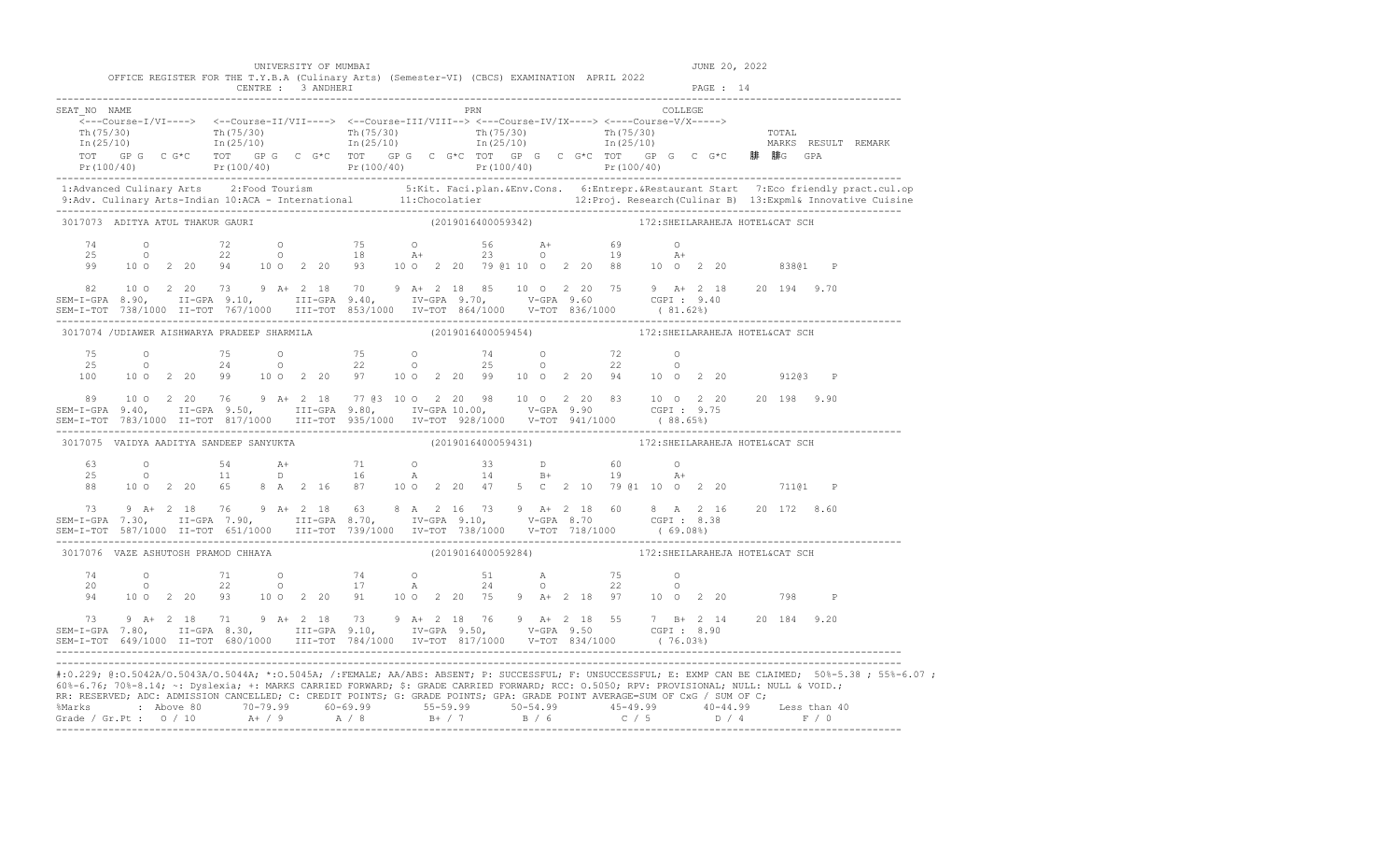| 60%-6.76; 70%-8.14; ~: Dyslexia; +: MARKS CARRIED FORWARD; \$: GRADE CARRIED FORWARD; RCC: 0.5050; RPV: PROVISIONAL; NULL: NULL & VOID.;<br>RR: RESERVED; ADC: ADMISSION CANCELLED; C: CREDIT POINTS; G: GRADE POINTS; GPA: GRADE POINT AVERAGE=SUM OF CxG / SUM OF C;<br>%Marks : Above 80 70-79.99 60-69.99 55-59.99 50-54.99 45-49.99 40-44.99 Less than 40<br>Grade / Gr.Pt : 0 / 10 A+ / 9 A / 8 B+ / 7 B / 6 C / 5 D / 4 F / 0 |                                                                                                                                                                                                                                                                                                                                    |  |  |                      |                                                                                                                                                                                                                                                                                                                                       |  |                                                    |  |  |                                 |         |               |  |         | #:0.229; @:0.5042A/0.5043A/0.5044A; *:0.5045A; /:FEMALE; AA/ABS: ABSENT; P: SUCCESSFUL; F: UNSUCCESSFUL; E: EXMP CAN BE CLAIMED; 50%-5.38; 55%-6.07;                                                                              |
|--------------------------------------------------------------------------------------------------------------------------------------------------------------------------------------------------------------------------------------------------------------------------------------------------------------------------------------------------------------------------------------------------------------------------------------|------------------------------------------------------------------------------------------------------------------------------------------------------------------------------------------------------------------------------------------------------------------------------------------------------------------------------------|--|--|----------------------|---------------------------------------------------------------------------------------------------------------------------------------------------------------------------------------------------------------------------------------------------------------------------------------------------------------------------------------|--|----------------------------------------------------|--|--|---------------------------------|---------|---------------|--|---------|-----------------------------------------------------------------------------------------------------------------------------------------------------------------------------------------------------------------------------------|
| 73 9 A+ 2 18 71 9 A+ 2 18 73 9 A+ 2 18 76 9 A+ 2 18 55 7 B+ 2 14 20 184 9.20<br>SEM-I-GPA 7.80, II-GPA 8.30, III-GPA 9.10, IV-GPA 9.50, V-GPA 9.50 CGPI: 8.90<br>SEM-I-TOT 649/1000 II-TOT 680/1000 III-TOT 784/1000 IV-TOT 817/1                                                                                                                                                                                                    |                                                                                                                                                                                                                                                                                                                                    |  |  |                      |                                                                                                                                                                                                                                                                                                                                       |  |                                                    |  |  |                                 |         |               |  |         |                                                                                                                                                                                                                                   |
|                                                                                                                                                                                                                                                                                                                                                                                                                                      |                                                                                                                                                                                                                                                                                                                                    |  |  |                      | 94 10 0 2 20 93 10 0 2 20 91 10 0 2 20 75 9 A+ 2 18 97 10 0 2 20                                                                                                                                                                                                                                                                      |  |                                                    |  |  |                                 |         |               |  | 798 P   |                                                                                                                                                                                                                                   |
| 3017076 VAZE ASHUTOSH PRAMOD CHHAYA                                                                                                                                                                                                                                                                                                                                                                                                  |                                                                                                                                                                                                                                                                                                                                    |  |  |                      |                                                                                                                                                                                                                                                                                                                                       |  | (2019016400059284) 172:SHEILARAHEJA HOTEL&CAT SCH  |  |  |                                 |         |               |  |         |                                                                                                                                                                                                                                   |
| $\begin{array}{cccccccccccc} 73 & 9 & \text{A+} & 2 & 18 & 76 & 9 & \text{A+} & 2 & 18 & 63 & 8 & \text{A} & 2 & 16 & 73 & 9 & \text{A+} & 2 & 18 & 60 & 8 & \text{A} & 2 & 16 & 20 & 172 & 8.60 \\ SEM-I-GPA & 7.30, & \text{II-GPA} & 7.90, & \text{III-GPA} & 8.70, & \text{IV-GPA} & 9.10, & \text{V-GPA} & 8.70 & \text{CGPI}: & 8.38 \\ SEM-I-TOT & 5$                                                                         |                                                                                                                                                                                                                                                                                                                                    |  |  |                      |                                                                                                                                                                                                                                                                                                                                       |  |                                                    |  |  |                                 |         |               |  |         |                                                                                                                                                                                                                                   |
|                                                                                                                                                                                                                                                                                                                                                                                                                                      |                                                                                                                                                                                                                                                                                                                                    |  |  |                      | $\begin{array}{cccccccccccccccc} 63 & & & 0 & & & 54 & & A+ & & 71 & & 0 & & 33 & & D & & 60 & & 0 \\ 25 & & & 0 & & & 11 & & D & & 16 & & A & & 14 & & B+ & & 19 & & A+ \\ 88 & & 10 & 0 & 2 & 20 & & 65 & 8 & A & 2 & 16 & 87 & & 10 & 0 & 2 & 20 & & 47 & 5 & C & 2 & 10 & 79 & @1 & 10 & 0 & 2 & 20 & & & 711 @1 & P \end{array}$ |  |                                                    |  |  |                                 |         |               |  |         |                                                                                                                                                                                                                                   |
| 3017075 VAIDYA AADITYA SANDEEP SANYUKTA                                                                                                                                                                                                                                                                                                                                                                                              |                                                                                                                                                                                                                                                                                                                                    |  |  |                      |                                                                                                                                                                                                                                                                                                                                       |  | (2019016400059431) 172: SHEILARAHEJA HOTEL&CAT SCH |  |  |                                 |         |               |  |         |                                                                                                                                                                                                                                   |
| 89 10 0 2 20 76 9 A + 2 18 77 03 10 0 2 20 98 10 0 2 20 83 10 0 2 20 20 198 9.90<br>SEM-I-GPA 9.40, II-GPA 9.50, III-GPA 9.80, IV-GPA 10.00, V-GPA 9.90 CGPI: 9.75                                                                                                                                                                                                                                                                   |                                                                                                                                                                                                                                                                                                                                    |  |  |                      |                                                                                                                                                                                                                                                                                                                                       |  |                                                    |  |  |                                 |         |               |  |         |                                                                                                                                                                                                                                   |
| 75<br>25<br>100                                                                                                                                                                                                                                                                                                                                                                                                                      | $\overline{O}$ and $\overline{O}$ and $\overline{O}$ and $\overline{O}$ and $\overline{O}$ and $\overline{O}$ and $\overline{O}$ and $\overline{O}$ and $\overline{O}$ and $\overline{O}$ and $\overline{O}$ and $\overline{O}$ and $\overline{O}$ and $\overline{O}$ and $\overline{O}$ and $\overline{O}$ and $\overline{O}$ and |  |  |                      | 0 75 0 75 0 74 0 72 0<br>0 24 0 22 0 25 0 22 0<br>10 0 2 20 99 10 0 2 20 97 10 0 2 20 99 10 0 2 20 94 10 0 2 20 91203 P                                                                                                                                                                                                               |  |                                                    |  |  |                                 |         |               |  |         |                                                                                                                                                                                                                                   |
|                                                                                                                                                                                                                                                                                                                                                                                                                                      |                                                                                                                                                                                                                                                                                                                                    |  |  |                      | 3017074 / UDIAWER AISHWARYA PRADEEP SHARMILA                                                                                                                                                                                                                                                                                          |  | (2019016400059454) 172:SHEILARAHEJA HOTEL&CAT SCH  |  |  |                                 |         |               |  |         |                                                                                                                                                                                                                                   |
|                                                                                                                                                                                                                                                                                                                                                                                                                                      |                                                                                                                                                                                                                                                                                                                                    |  |  |                      |                                                                                                                                                                                                                                                                                                                                       |  |                                                    |  |  |                                 |         |               |  |         |                                                                                                                                                                                                                                   |
| 99                                                                                                                                                                                                                                                                                                                                                                                                                                   |                                                                                                                                                                                                                                                                                                                                    |  |  |                      | $1000220941002209310022079010022088100220$                                                                                                                                                                                                                                                                                            |  |                                                    |  |  |                                 | $A+$    |               |  | 83801 P |                                                                                                                                                                                                                                   |
| 3017073 ADITYA ATUL THAKUR GAURI                                                                                                                                                                                                                                                                                                                                                                                                     |                                                                                                                                                                                                                                                                                                                                    |  |  |                      |                                                                                                                                                                                                                                                                                                                                       |  | (2019016400059342)                                 |  |  | 172: SHEILARAHEJA HOTEL&CAT SCH |         |               |  |         |                                                                                                                                                                                                                                   |
|                                                                                                                                                                                                                                                                                                                                                                                                                                      |                                                                                                                                                                                                                                                                                                                                    |  |  |                      |                                                                                                                                                                                                                                                                                                                                       |  |                                                    |  |  |                                 |         |               |  |         | 1:Advanced Culinary Arts 2:Food Tourism 5:Kit. Faci.plan.&Env.Cons. 6:Entrepr.&Restaurant Start 7:Eco friendly pract.cul.op<br>9:Adv. Culinary Arts-Indian 10:ACA - International 11:Chocolatier 12:Proj. Research(Culinar B) 13: |
|                                                                                                                                                                                                                                                                                                                                                                                                                                      |                                                                                                                                                                                                                                                                                                                                    |  |  |                      |                                                                                                                                                                                                                                                                                                                                       |  |                                                    |  |  |                                 |         |               |  |         |                                                                                                                                                                                                                                   |
| SEAT NO NAME                                                                                                                                                                                                                                                                                                                                                                                                                         |                                                                                                                                                                                                                                                                                                                                    |  |  |                      | $\overbrace{\texttt{<--Course-I/VI--->}}$                                                                                                                                                                                                                                                                                             |  | PRN                                                |  |  |                                 | COLLEGE |               |  |         |                                                                                                                                                                                                                                   |
|                                                                                                                                                                                                                                                                                                                                                                                                                                      |                                                                                                                                                                                                                                                                                                                                    |  |  |                      | OFFICE REGISTER FOR THE T.Y.B.A (Culinary Arts) (Semester-VI) (CBCS) EXAMINATION APRIL 2022                                                                                                                                                                                                                                           |  |                                                    |  |  |                                 |         |               |  |         |                                                                                                                                                                                                                                   |
|                                                                                                                                                                                                                                                                                                                                                                                                                                      |                                                                                                                                                                                                                                                                                                                                    |  |  | UNIVERSITY OF MUMBAI |                                                                                                                                                                                                                                                                                                                                       |  |                                                    |  |  |                                 |         | JUNE 20, 2022 |  |         |                                                                                                                                                                                                                                   |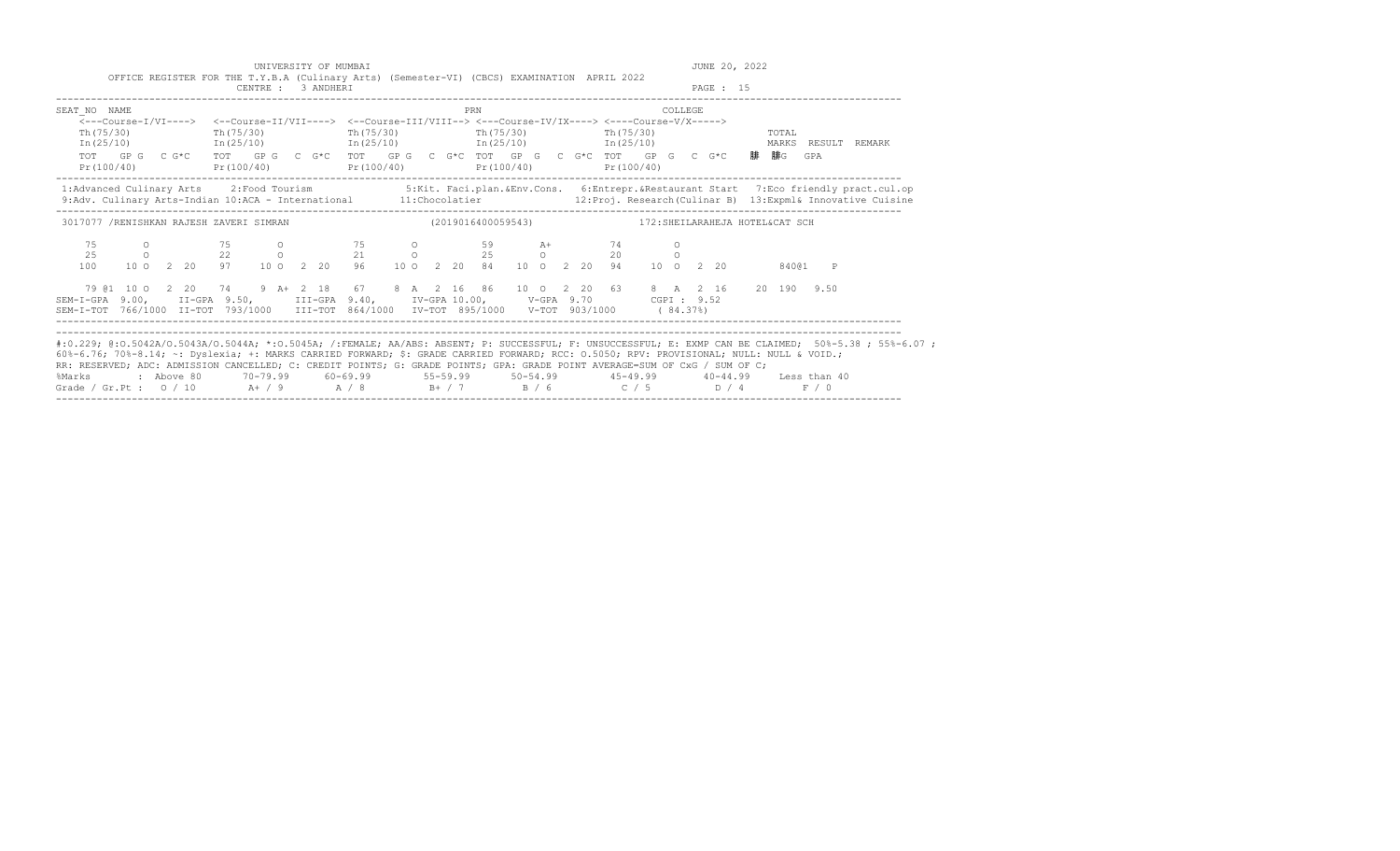|                                                                                                                                                                                                                                                                                                                                                                | OFFICE REGISTER FOR THE T.Y.B.A (Culinary Arts) (Semester-VI) (CBCS) EXAMINATION APRIL 2022                                                                                                                                                                                                                                                                                                      |                                                                               | UNIVERSITY OF MUMBAI |  |  |  |     |  |  |  |          |          | JUNE 20, 2022 |       |              |                                                                                                                                                                                                                                                                       |
|----------------------------------------------------------------------------------------------------------------------------------------------------------------------------------------------------------------------------------------------------------------------------------------------------------------------------------------------------------------|--------------------------------------------------------------------------------------------------------------------------------------------------------------------------------------------------------------------------------------------------------------------------------------------------------------------------------------------------------------------------------------------------|-------------------------------------------------------------------------------|----------------------|--|--|--|-----|--|--|--|----------|----------|---------------|-------|--------------|-----------------------------------------------------------------------------------------------------------------------------------------------------------------------------------------------------------------------------------------------------------------------|
|                                                                                                                                                                                                                                                                                                                                                                |                                                                                                                                                                                                                                                                                                                                                                                                  |                                                                               | CENTRE : 3 ANDHERI   |  |  |  |     |  |  |  |          | PAGE: 15 |               |       |              |                                                                                                                                                                                                                                                                       |
| SEAT NO NAME<br>Th (75/30)                                                                                                                                                                                                                                                                                                                                     | $\overline{\leftarrow}$ --Course-I/VI----> $\leftarrow$ Course-II/VII----> $\leftarrow$ Course-III/VIII--> $\leftarrow$ -Course-IV/IX----> $\leftarrow$ -Course-V/X-----><br>$In (25/10)$ $In (25/10)$ $In (25/10)$ $In (25/10)$ $In (25/10)$<br>TOT GPG CG*C TOT GPG CG*C TOT GPG CG*C TOT GPG CG*C TOT GPG CG*C TOT GPG CG*C 腓腓G GPA<br>Pr(100/40) Pr(100/40) Pr(100/40) Pr(100/40) Pr(100/40) | $\text{Th}(75/30)$ $\text{Th}(75/30)$ $\text{Th}(75/30)$ $\text{Th}(75/30)$   |                      |  |  |  | PRN |  |  |  | COLLEGE. |          |               | TOTAL |              | MARKS RESULT REMARK                                                                                                                                                                                                                                                   |
|                                                                                                                                                                                                                                                                                                                                                                |                                                                                                                                                                                                                                                                                                                                                                                                  |                                                                               |                      |  |  |  |     |  |  |  |          |          |               |       |              | 1: Advanced Culinary Arts 2: Food Tourism 5: Kit. Faci.plan. & Env. Cons. 6: Entrepr. & Restaurant Start 7: Eco friendly pract.cul.op<br>9:Adv. Culinary Arts-Indian 10:ACA - International 11:Chocolatier 12:Proj. Research (Culinar B) 13:Expml& Innovative Cuisine |
| 3017077 /RENISHKAN RAJESH ZAVERI SIMRAN (2019016400059543) 172:SHEILARAHEJA HOTEL&CAT SCH                                                                                                                                                                                                                                                                      |                                                                                                                                                                                                                                                                                                                                                                                                  |                                                                               |                      |  |  |  |     |  |  |  |          |          |               |       |              |                                                                                                                                                                                                                                                                       |
| 75<br>2.5<br>100                                                                                                                                                                                                                                                                                                                                               | 0 75 0 75 0 59 A+ 74 0<br>0 22 0 21 0 25 0 20 0                                                                                                                                                                                                                                                                                                                                                  | 10 0 2 20 97 10 0 2 20 96 10 0 2 20 84 10 0 2 20 94 10 0 2 20 840@1           |                      |  |  |  |     |  |  |  |          |          |               |       | $\mathsf{P}$ |                                                                                                                                                                                                                                                                       |
| SEM-I-GPA 9.00, II-GPA 9.50, III-GPA 9.40, IV-GPA 10.00, V-GPA 9.70 CGPI: 9.52<br>SEM-I-TOT 766/1000 II-TOT 793/1000 III-TOT 864/1000 IV-TOT 895/1000 V-TOT 903/1000 (84.37%)                                                                                                                                                                                  | 79 @1 10 0 2 20 74 9 A+ 2 18 67 8 A 2 16 86 10 0 2 20 63 8 A 2 16 20 190 9.50                                                                                                                                                                                                                                                                                                                    |                                                                               |                      |  |  |  |     |  |  |  |          |          |               |       |              |                                                                                                                                                                                                                                                                       |
| 60%-6.76; 70%-8.14; ~: Dyslexia; +: MARKS CARRIED FORWARD; \$: GRADE CARRIED FORWARD; RCC: 0.5050; RPV: PROVISIONAL; NULL: NULL & VOID.;<br>RR: RESERVED; ADC: ADMISSION CANCELLED; C: CREDIT POINTS; G: GRADE POINTS; GPA: GRADE POINT AVERAGE=SUM OF CxG / SUM OF C;<br>%Marks<br>Grade / Gr.Pt : 0 / 10 $A + / 9$ $A / 8$ $B + / 7$ $B / 6$ $C / 5$ $D / 4$ |                                                                                                                                                                                                                                                                                                                                                                                                  | 2 Above 80 20-79.99 60-69.99 55-59.99 50-54.99 45-49.99 40-44.99 Less than 40 |                      |  |  |  |     |  |  |  |          |          |               |       | F / 0        | #:0.229; @:0.5042A/0.5043A/0.5044A; *:0.5045A; /:FEMALE; AA/ABS: ABSENT; P: SUCCESSFUL; F: UNSUCCESSFUL; E: EXMP CAN BE CLAIMED; 50%-5.38; 55%-6.07;                                                                                                                  |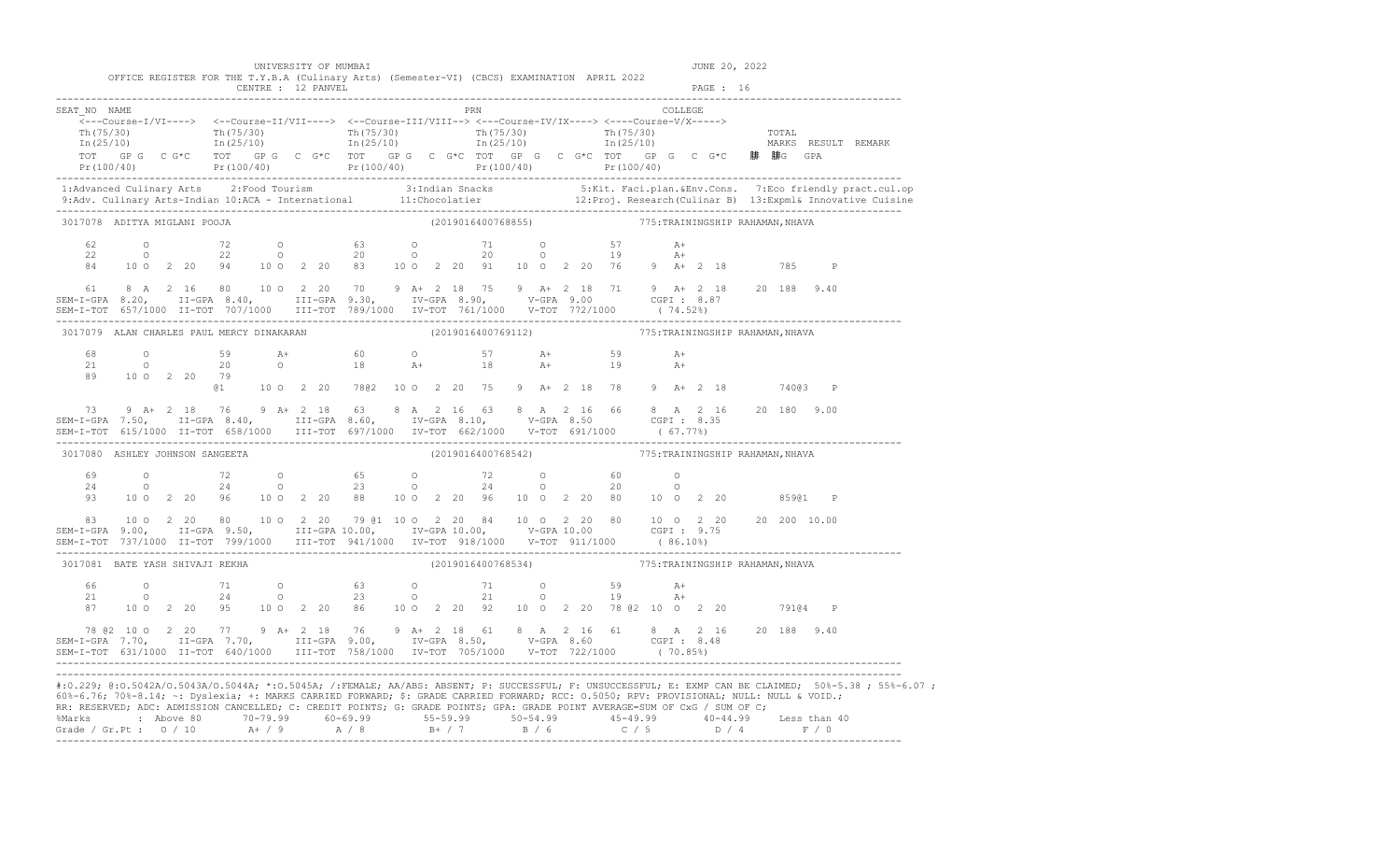|                                 |  |  |                | UNIVERSITY OF MUMBAI                                                                                                                                                                                                                                                                                                                                                                                                                 |  |             |  |  |  |                                                     |              |           | JUNE 20, 2022 |         |              |                                                                                                                                                                                                                                   |
|---------------------------------|--|--|----------------|--------------------------------------------------------------------------------------------------------------------------------------------------------------------------------------------------------------------------------------------------------------------------------------------------------------------------------------------------------------------------------------------------------------------------------------|--|-------------|--|--|--|-----------------------------------------------------|--------------|-----------|---------------|---------|--------------|-----------------------------------------------------------------------------------------------------------------------------------------------------------------------------------------------------------------------------------|
|                                 |  |  |                | OFFICE REGISTER FOR THE T.Y.B.A (Culinary Arts) (Semester-VI) (CBCS) EXAMINATION APRIL 2022<br>CENTRE : 12 PANVEL                                                                                                                                                                                                                                                                                                                    |  |             |  |  |  |                                                     |              | PAGE : 16 |               |         |              |                                                                                                                                                                                                                                   |
| SEAT NO NAME                    |  |  |                | $\begin{array}{cccccccccc} \texttt{Th(75/30)} & & & & \texttt{Th(75/30)} & & & & \texttt{Th(75/30)} & & & & \texttt{Th(75/30)} & & & & \texttt{Th(75/30)} & & & & \texttt{Th(25/10)} & & & & \texttt{Th(25/10)} & & & & \texttt{In(25/10)} & & & & \texttt{In(25/10)} & & & & \end{array}$                                                                                                                                           |  | PRN COLLEGE |  |  |  |                                                     |              |           |               |         |              | TOT GP G C G*C TOT GP G C G*C TOT GP G C G*C TOT GP G C G*C TOT GP G C G*C <b>腓 腓</b> G GPA<br>Pr(100/40) Pr(100/40) Pr(100/40) Pr(100/40) Pr(100/40) Pr(100/40) Pr(100/40)                                                       |
|                                 |  |  |                |                                                                                                                                                                                                                                                                                                                                                                                                                                      |  |             |  |  |  |                                                     |              |           |               |         |              | 1:Advanced Culinary Arts 2:Food Tourism 3:Indian Snacks 5:Kit. Faci.plan.&Env.Cons. 7:Eco friendly pract.cul.op<br>9:Adv. Culinary Arts-Indian 10:ACA - International 11:Chocolatier 12:Proj. Research (Culinar B) 13:Expml& Inno |
| 3017078 ADITYA MIGLANI POOJA    |  |  |                |                                                                                                                                                                                                                                                                                                                                                                                                                                      |  |             |  |  |  | (2019016400768855) 775: TRAININGSHIP RAHAMAN, NHAVA |              |           |               |         |              |                                                                                                                                                                                                                                   |
| 62<br>22<br>84                  |  |  |                | 0 72 0 63 0 71 0 57 A+<br>0 22 0 20 0 20 0 19 A+<br>10 0 2 20 94 10 0 2 20 83 10 0 2 20 91 10 0 2 20 76 9 A+ 2 18 785                                                                                                                                                                                                                                                                                                                |  |             |  |  |  |                                                     |              |           |               |         | $\mathbb{P}$ |                                                                                                                                                                                                                                   |
| 61                              |  |  |                | 8 A 2 16 80 10 O 2 20 70 9 A + 2 18 75 9 A + 2 18 71 9 A + 2 18 20 188 9.40                                                                                                                                                                                                                                                                                                                                                          |  |             |  |  |  |                                                     |              |           |               |         |              |                                                                                                                                                                                                                                   |
|                                 |  |  |                | 3017079 ALAN CHARLES PAUL MERCY DINAKARAN (2019016400769112) 775: TRAININGSHIP RAHAMAN, NHAVA                                                                                                                                                                                                                                                                                                                                        |  |             |  |  |  |                                                     |              |           |               |         |              |                                                                                                                                                                                                                                   |
|                                 |  |  | 89 100 2 20 79 | 68 0 59 $A+$ 60 0 57 $A+$ 59<br>21 0 20 0 18 $A+$ 18 $A+$ 19<br>@1   10   0   2   20   78@2   10   0   2   20   75   9   A+   2   18   78   9   A+   2   18   740@3   P                                                                                                                                                                                                                                                              |  |             |  |  |  |                                                     | $A+$<br>$A+$ |           |               |         |              |                                                                                                                                                                                                                                   |
| 73                              |  |  |                | 9 A+ 2 18 76 9 A+ 2 18 63 8 A 2 16 63 8 A 2 16 66 8 A 2 16 20 180 9.00                                                                                                                                                                                                                                                                                                                                                               |  |             |  |  |  |                                                     |              |           |               |         |              |                                                                                                                                                                                                                                   |
| 3017080 ASHLEY JOHNSON SANGEETA |  |  |                |                                                                                                                                                                                                                                                                                                                                                                                                                                      |  |             |  |  |  | (2019016400768542) 775: TRAININGSHIP RAHAMAN, NHAVA |              |           |               |         |              |                                                                                                                                                                                                                                   |
|                                 |  |  |                | 93 10 0 2 20 96 10 0 2 20 88 10 0 2 20 96 10 0 2 20 80 10 0 2 20                                                                                                                                                                                                                                                                                                                                                                     |  |             |  |  |  |                                                     |              |           |               | 85901   | $\mathbb{P}$ |                                                                                                                                                                                                                                   |
| 83                              |  |  |                | 10 0 2 20 80 10 0 2 20 79 01 10 0 2 20 84 10 0 2 20 80 10 0 2 20 20 20 10.00                                                                                                                                                                                                                                                                                                                                                         |  |             |  |  |  |                                                     |              |           |               |         |              |                                                                                                                                                                                                                                   |
| 3017081 BATE YASH SHIVAJI REKHA |  |  |                |                                                                                                                                                                                                                                                                                                                                                                                                                                      |  |             |  |  |  | (2019016400768534) 775: TRAININGSHIP RAHAMAN, NHAVA |              |           |               |         |              |                                                                                                                                                                                                                                   |
| 66<br>21<br>87                  |  |  |                | 0 71 0 63 0 71 0 59 A+<br>0 24 0 23 0 21 0 19 A+<br>10 0 2 20 95 10 0 2 20 86 10 0 2 20 92 10 0 2 20 78 @ 2 10 0 2 20                                                                                                                                                                                                                                                                                                                |  |             |  |  |  |                                                     |              |           |               | 79104 P |              |                                                                                                                                                                                                                                   |
|                                 |  |  |                | 78 @2 10 0 2 20 77 9 A+ 2 18 76 9 A+ 2 18 61 8 A 2 16 61 8 A 2 16 20 188 9.40<br>SEM-I-GPA 7.70, II-GPA 7.70, III-GPA 9.00, IV-GPA 8.50, V-GPA 8.60 CGPI: 8.48<br>SEM-I-TOT 631/1000 II-TOT 640/1000 III-TOT 758/1000 IV-TOT 705/1000 V-TOT 722/1000 (70.85%)                                                                                                                                                                        |  |             |  |  |  |                                                     |              |           |               |         |              |                                                                                                                                                                                                                                   |
|                                 |  |  |                | 60%-6.76; 70%-8.14; ~: Dyslexia; +: MARKS CARRIED FORWARD; \$: GRADE CARRIED FORWARD; RCC: 0.5050; RPV: PROVISIONAL; NULL: NULL & VOID.;<br>RR: RESERVED; ADC: ADMISSION CANCELLED; C: CREDIT POINTS; G: GRADE POINTS; GPA: GRADE POINT AVERAGE=SUM OF CxG / SUM OF C;<br>%Marks : Above 80 70-79.99 60-69.99 55-59.99 50-54.99 45-49.99 40-44.99 Less than 40<br>Grade / Gr.Pt : 0 / 10 A+ / 9 A / 8 B+ / 7 B / 6 C / 5 D / 4 F / 0 |  |             |  |  |  |                                                     |              |           |               |         |              | #:0.229; @:0.5042A/0.5043A/0.5044A; *:0.5045A; /:FEMALE; AA/ABS: ABSENT; P: SUCCESSFUL; F: UNSUCCESSFUL; E: EXMP CAN BE CLAIMED; 50%-5.38; 55%-6.07;                                                                              |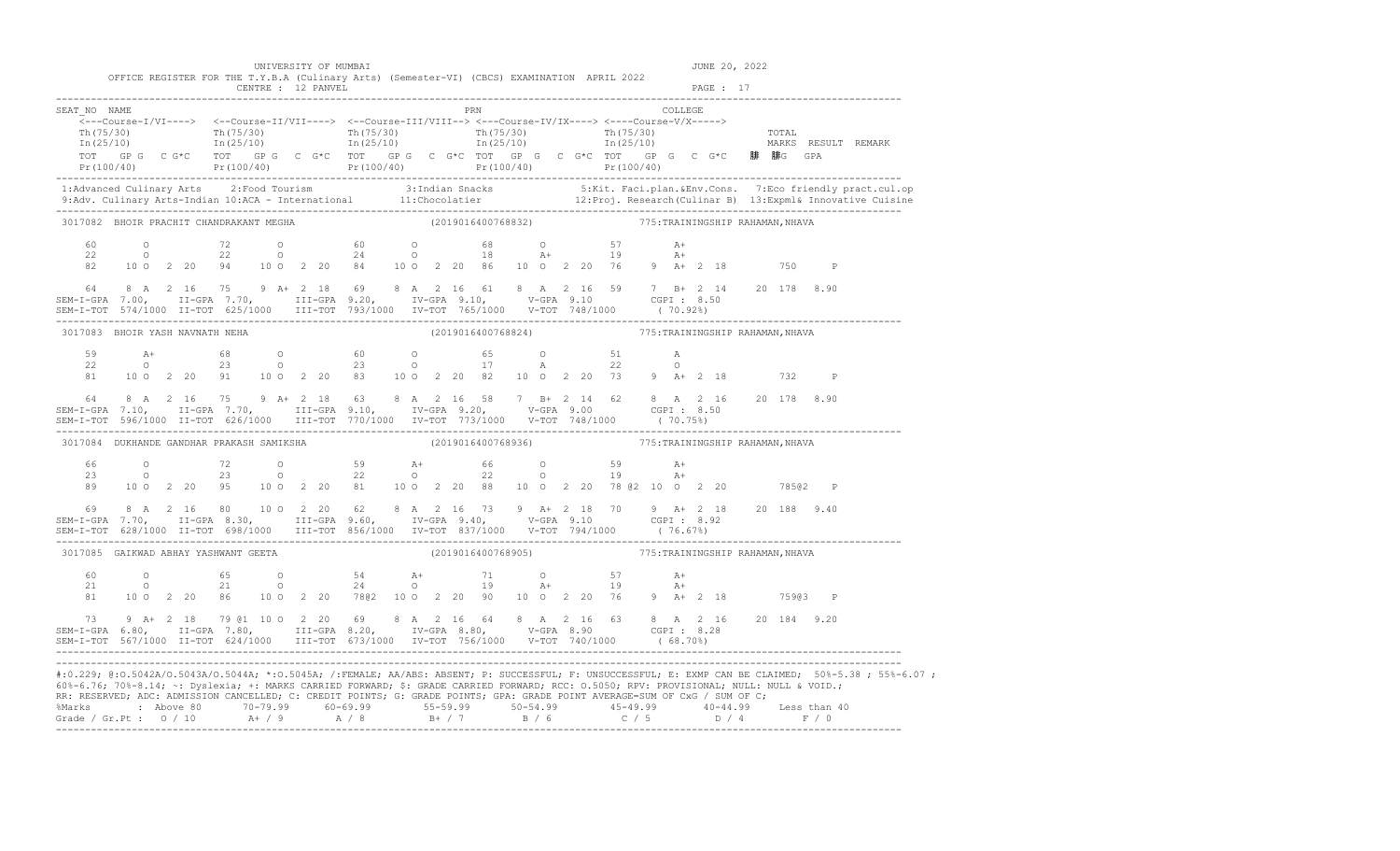|                                 |                    |  |                                           | UNIVERSITY OF MUMBAI                                                                                                                                                                                                                                                                                                                                                                                                                                                                                                                                                                                                                       |  |  |                                                     |  |                                                                     |  |              | JUNE 20, 2022 |  |              |                                                                                            |
|---------------------------------|--------------------|--|-------------------------------------------|--------------------------------------------------------------------------------------------------------------------------------------------------------------------------------------------------------------------------------------------------------------------------------------------------------------------------------------------------------------------------------------------------------------------------------------------------------------------------------------------------------------------------------------------------------------------------------------------------------------------------------------------|--|--|-----------------------------------------------------|--|---------------------------------------------------------------------|--|--------------|---------------|--|--------------|--------------------------------------------------------------------------------------------|
|                                 |                    |  |                                           | OFFICE REGISTER FOR THE T.Y.B.A (Culinary Arts) (Semester-VI) (CBCS) EXAMINATION APRIL 2022<br>CENTRE : 12 PANVEL                                                                                                                                                                                                                                                                                                                                                                                                                                                                                                                          |  |  |                                                     |  |                                                                     |  |              | PAGE : 17     |  |              |                                                                                            |
| SEAT NO NAME                    |                    |  |                                           | $\overbrace{\texttt{<--Course-I/VI--->}} \hspace{1.5cm} \xleftarrows\texttt{--Course-II/VII--->} \hspace{1.5cm} \xleftarrows\texttt{--Course-II/VIII--->} \hspace{1.5cm} \xleftarrows\texttt{--Course-IV/IX--->} \hspace{1.5cm} \xleftarrows\texttt{--Course-V/X--->} \right.$<br>$\begin{array}{ccccccccc} \texttt{Th(75/30)} & & & & & \texttt{Th(75/30)} & & & & \texttt{Th(75/30)} & & & & \texttt{Th(75/30)} & & & & \texttt{Th(75/30)} & & & & \texttt{Th(25/10)} & & & & \texttt{In(25/10)} & & & & \texttt{In(25/10)} & & & & \end{array}$<br>TOT GPG CG*C TOT GPG CG*C TOT GPG CG*C TOT GPG CG*C TOT GPG CG*C BF BFG GFC BFBG GPA |  |  | PRN COLLEGE                                         |  |                                                                     |  |              |               |  |              | $Pr(100/40)$ $Pr(100/40)$ $Pr(100/40)$ $Pr(100/40)$ $Pr(100/40)$ $Pr(100/40)$ $Pr(100/40)$ |
|                                 |                    |  |                                           |                                                                                                                                                                                                                                                                                                                                                                                                                                                                                                                                                                                                                                            |  |  |                                                     |  |                                                                     |  |              |               |  |              |                                                                                            |
|                                 |                    |  | 3017082 BHOIR PRACHIT CHANDRAKANT MEGHA   |                                                                                                                                                                                                                                                                                                                                                                                                                                                                                                                                                                                                                                            |  |  | (2019016400768832) 775: TRAININGSHIP RAHAMAN, NHAVA |  |                                                                     |  |              |               |  |              |                                                                                            |
| 60<br>22<br>82<br>64            |                    |  |                                           | 0 72 0 60 0 68 0 57<br>0 22 0 24 0 18 A+ 19<br>10 0 2 20 94 10 0 2 20 84 10 0 2 20 86 10 0 2 20 76 9 A+ 2 18 750<br>8 A 2 16 75 9 A + 2 18 69 8 A 2 16 61 8 A 2 16 59 7 B + 2 14 20 178 8.90<br>SEM-I-GPA 7.00, II-GPA 7.70, III-GPA 9.20, IV-GPA 9.10, V-GPA 9.10 CGPI 8.50<br>SEM-I-TOT 574/1000 II-TOT 625/1000 III-TOT 793/1000 IV-TOT 765/1000 V-TOT 748/1000 (70.92%)                                                                                                                                                                                                                                                                |  |  |                                                     |  |                                                                     |  | $A+$<br>$A+$ |               |  | $\mathbb{P}$ |                                                                                            |
| 3017083 BHOIR YASH NAVNATH NEHA |                    |  |                                           |                                                                                                                                                                                                                                                                                                                                                                                                                                                                                                                                                                                                                                            |  |  | (2019016400768824) 775: TRAININGSHIP RAHAMAN, NHAVA |  |                                                                     |  |              |               |  |              |                                                                                            |
| 59<br>22<br>81                  | $A+$<br>$\circ$ 0  |  |                                           | 68 0 60 0 65 0 51<br>23 0 23 0 17 A 22<br>10 0 2 20 91 10 0 2 20 83 10 0 2 20 82 10 0 2 20 73 9 A+ 2 18 732                                                                                                                                                                                                                                                                                                                                                                                                                                                                                                                                |  |  |                                                     |  | $65 \qquad \qquad \text{O} \qquad \qquad 51 \qquad \qquad \text{A}$ |  | $\circ$      |               |  | $\mathbb{P}$ |                                                                                            |
|                                 |                    |  |                                           | 64 8 A 2 16 75 9 A + 2 18 63 8 A 2 16 58 7 B + 2 14 62 8 A 2 16 20 178 8.90<br>SEM-I-GPA 7.10, II-GPA 7.70, III-GPA 9.10, IV-GPA 9.20, V-GPA 9.00 CGPI: 8.50<br>SEM-I-TOT 596/1000 II-TOT 626/1000 III-TOT 770/1000 IV-TOT 773/1000 V-TOT 748/1000 (70.75%)                                                                                                                                                                                                                                                                                                                                                                                |  |  |                                                     |  |                                                                     |  |              |               |  |              |                                                                                            |
|                                 |                    |  | 3017084 DUKHANDE GANDHAR PRAKASH SAMIKSHA |                                                                                                                                                                                                                                                                                                                                                                                                                                                                                                                                                                                                                                            |  |  | (2019016400768936)                                  |  | 775: TRAININGSHIP RAHAMAN, NHAVA                                    |  |              |               |  |              |                                                                                            |
| 66 -<br>23<br>89                |                    |  |                                           | 0 72 0 59 A+ 66 0 59<br>0 23 0 22 0 22 0 19<br>10 0 2 20 95 10 0 2 20 81 10 0 2 20 88 10 0 2 20 78 @2 10 0 2 20 785@2                                                                                                                                                                                                                                                                                                                                                                                                                                                                                                                      |  |  |                                                     |  |                                                                     |  | $A+$<br>$A+$ |               |  | $\mathbb{P}$ |                                                                                            |
| 69                              |                    |  |                                           | 8 A 2 16 80 10 O 2 20 62 8 A 2 16 73 9 A + 2 18 70 9 A + 2 18 20 188 9.40                                                                                                                                                                                                                                                                                                                                                                                                                                                                                                                                                                  |  |  |                                                     |  |                                                                     |  |              |               |  |              |                                                                                            |
|                                 |                    |  |                                           | 3017085 GAIKWAD ABHAY YASHWANT GEETA                                                                                                                                                                                                                                                                                                                                                                                                                                                                                                                                                                                                       |  |  | (2019016400768905) 775: TRAININGSHIP RAHAMAN, NHAVA |  |                                                                     |  |              |               |  |              |                                                                                            |
| 60<br>21<br>81                  | $\circ$<br>$\circ$ |  |                                           | 10 0 2 20 86 10 0 2 20 7802 10 0 2 20 90 10 0 2 20 76 9 A+ 2 18 75903 P                                                                                                                                                                                                                                                                                                                                                                                                                                                                                                                                                                    |  |  |                                                     |  |                                                                     |  |              |               |  |              |                                                                                            |
|                                 |                    |  |                                           | 73 9 A+ 2 18 79 @1 10 0 2 20 69 8 A 2 16 64 8 A 2 16 63 8 A 2 16 20 184 9.20<br>SEM-I-GPA 6.80, II-GPA 7.80, III-GPA 8.20, IV-GPA 8.80, V-GPA 8.90 CGPI: 8.28                                                                                                                                                                                                                                                                                                                                                                                                                                                                              |  |  |                                                     |  |                                                                     |  |              |               |  |              |                                                                                            |

Grade / Gr.Pt : 0 / 10 A+ / 9 A / 8 B+ / 7 B / 6 C / 5 D / 4 F / 0 -------------------------------------------------------------------------------------------------------------------------------------------------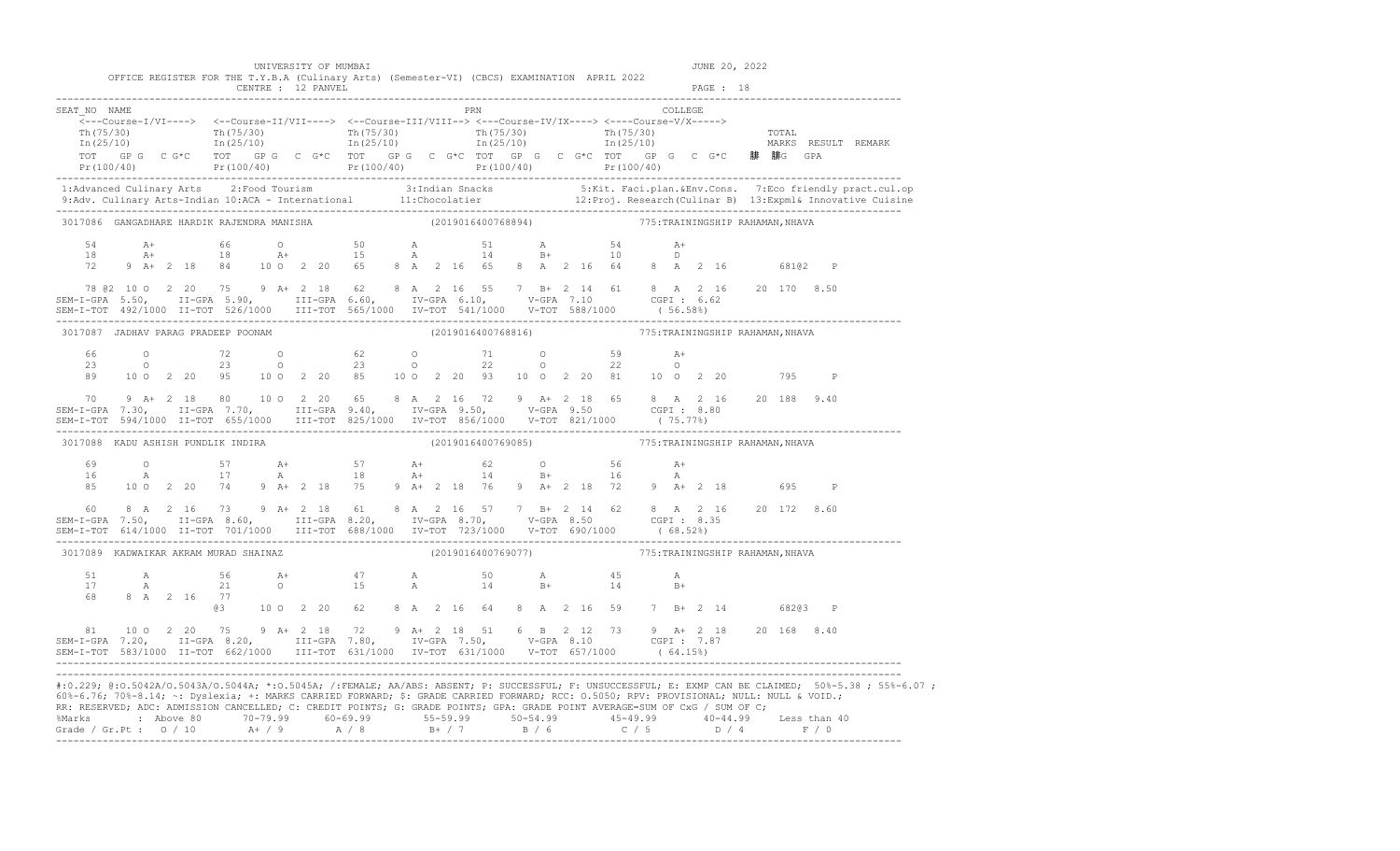|                | OFFICE REGISTER FOR THE T.Y.B.A (Culinary Arts) (Semester-VI) (CBCS) EXAMINATION APRIL 2022                                                                                                                                                                                                                                                                                                                                                                                                                                                                                                                                                                                                            |  | CENTRE : 12 PANVEL                                        |  |                                                     |     |                    |  |                                                     |           |  |  |              |  |
|----------------|--------------------------------------------------------------------------------------------------------------------------------------------------------------------------------------------------------------------------------------------------------------------------------------------------------------------------------------------------------------------------------------------------------------------------------------------------------------------------------------------------------------------------------------------------------------------------------------------------------------------------------------------------------------------------------------------------------|--|-----------------------------------------------------------|--|-----------------------------------------------------|-----|--------------------|--|-----------------------------------------------------|-----------|--|--|--------------|--|
| SEAT NO NAME   | $\overline{\langle}\text{---Course-I/VI--->} \quad \langle\text{---Course-II/VII--->} \quad \langle\text{---Course-II/VIII--->} \quad \langle\text{---Course-IV/IX--->} \quad \langle\text{---Course-V/X---} \rangle$<br>$\frac{\text{Th}(75/30)}{\text{Th}(25/10)}$ $\frac{\text{Th}(75/30)}{\text{In}(25/10)}$ $\frac{\text{Th}(75/30)}{\text{In}(25/10)}$ $\frac{\text{Th}(75/30)}{\text{In}(25/10)}$ $\frac{\text{Th}(75/30)}{\text{In}(25/10)}$ $\frac{\text{Th}(75/30)}{\text{MARKS}}$ $\frac{\text{REML}}{\text{NARKS}}$<br>TOT GP G C G*C TOT GP G C G*C TOT GP G C G*C TOT GP G C G*C TOT GP G C G*C 腓 腓G GPA<br>Pr(100/40) Pr(100/40) Pr(100/40) Pr(100/40) Pr(100/40) Pr(100/40) Pr(100/40) |  |                                                           |  |                                                     | PRN |                    |  |                                                     | COLLEGE   |  |  |              |  |
|                |                                                                                                                                                                                                                                                                                                                                                                                                                                                                                                                                                                                                                                                                                                        |  |                                                           |  |                                                     |     |                    |  |                                                     |           |  |  |              |  |
|                | 3017086 GANGADHARE HARDIK RAJENDRA MANISHA (2019016400768894) 775: TRAININGSHIP RAHAMAN, NHAVA                                                                                                                                                                                                                                                                                                                                                                                                                                                                                                                                                                                                         |  |                                                           |  |                                                     |     |                    |  |                                                     |           |  |  |              |  |
|                |                                                                                                                                                                                                                                                                                                                                                                                                                                                                                                                                                                                                                                                                                                        |  |                                                           |  |                                                     |     |                    |  |                                                     |           |  |  |              |  |
|                | 78 @2 10 0 2 20 75 9 A+ 2 18 62 8 A 2 16 55 7 B+ 2 14 61 8 A 2 16 20 170 8.50                                                                                                                                                                                                                                                                                                                                                                                                                                                                                                                                                                                                                          |  |                                                           |  |                                                     |     |                    |  |                                                     |           |  |  |              |  |
|                | 3017087 JADHAV PARAG PRADEEP POONAM                                                                                                                                                                                                                                                                                                                                                                                                                                                                                                                                                                                                                                                                    |  |                                                           |  | (2019016400768816) 775: TRAININGSHIP RAHAMAN, NHAVA |     |                    |  |                                                     |           |  |  |              |  |
| 66<br>23<br>89 | 0 $72$ 0 $62$ 0 $71$ 0 $59$ $\lambda +$<br>0 23 0 23 0 22 0 22 0<br>10 0 2 20 95 10 0 2 20 85 10 0 2 20 93 10 0 2 20 81 10 0 2 20 20 795                                                                                                                                                                                                                                                                                                                                                                                                                                                                                                                                                               |  |                                                           |  |                                                     |     |                    |  |                                                     |           |  |  | $\mathbb{P}$ |  |
|                | 70 9 A+ 2 18 80 10 0 2 20 65 8 A 2 16 72 9 A+ 2 18 65 8 A 2 16 20 188 9.40<br>SEM-I-GPA 7.30, II-GPA 7.70, III-GPA 9.40, IV-GPA 9.50, V-GPA 9.50 CGPI: 8.80<br>SEM-I-TOT 594/1000 II-TOT 655/1000 III-TOT 825/1000 IV-TOT 856/100                                                                                                                                                                                                                                                                                                                                                                                                                                                                      |  |                                                           |  |                                                     |     |                    |  |                                                     |           |  |  |              |  |
|                | 3017088 KADU ASHISH PUNDLIK INDIRA                                                                                                                                                                                                                                                                                                                                                                                                                                                                                                                                                                                                                                                                     |  |                                                           |  |                                                     |     |                    |  | (2019016400769085) 775: TRAININGSHIP RAHAMAN, NHAVA |           |  |  |              |  |
| 69<br>16<br>85 | 0 57 $A+$ 57 $A+$ 62 0 56 $A+$<br>A 17 $A$ 18 $A+$ 14 $B+$ 16 $A$<br>10 0 2 20 74 9 A + 2 18 75 9 A + 2 18 76 9 A + 2 18 72 9 A + 2 18 695                                                                                                                                                                                                                                                                                                                                                                                                                                                                                                                                                             |  |                                                           |  |                                                     |     |                    |  |                                                     |           |  |  | $\mathbb{P}$ |  |
|                |                                                                                                                                                                                                                                                                                                                                                                                                                                                                                                                                                                                                                                                                                                        |  |                                                           |  |                                                     |     |                    |  |                                                     |           |  |  |              |  |
|                | 3017089 KADWAIKAR AKRAM MURAD SHAINAZ                                                                                                                                                                                                                                                                                                                                                                                                                                                                                                                                                                                                                                                                  |  |                                                           |  |                                                     |     | (2019016400769077) |  | 775:TRAININGSHIP RAHAMAN, NHAVA                     |           |  |  |              |  |
| 68 — 10        | 8 A 2 16 77                                                                                                                                                                                                                                                                                                                                                                                                                                                                                                                                                                                                                                                                                            |  |                                                           |  |                                                     |     |                    |  |                                                     | А<br>$B+$ |  |  |              |  |
|                |                                                                                                                                                                                                                                                                                                                                                                                                                                                                                                                                                                                                                                                                                                        |  | @3 10 0 2 20 62 8 A 2 16 64 8 A 2 16 59 7 B+ 2 14 682@3 P |  |                                                     |     |                    |  |                                                     |           |  |  |              |  |
|                | 81 10 0 2 20 75 9 A+ 2 18 72 9 A+ 2 18 51 6 B 2 12 73 9 A+ 2 18 20 168 8.40<br>SEM-I-GPA 7.20, II-GPA 8.20, III-GPA 7.80, IV-GPA 7.50, V-GPA 8.10 CGPI: 7.87                                                                                                                                                                                                                                                                                                                                                                                                                                                                                                                                           |  |                                                           |  |                                                     |     |                    |  |                                                     |           |  |  |              |  |

RR: RESERVED; ADC: ADMISSION CANCELLED; C: CREDIT POINTS; G: GRADE POINTS; GPA: GRADE POINT AVERAGE=SUM OF CxG / SUM OF C; %Marks : Above 80 70-79.99 60-69.99 55-59.99 50-54.99 45-49.99 40-44.99 Less than 40 Grade / Gr.Pt : O / 10 A+ / 9 A / 8 B+ / 7 B / 6 C / 5 D / 4 F / 0 -------------------------------------------------------------------------------------------------------------------------------------------------

UNIVERSITY OF MUMBAI AND SUNCESS OF MUMBAI AND SUNCESS OF 2022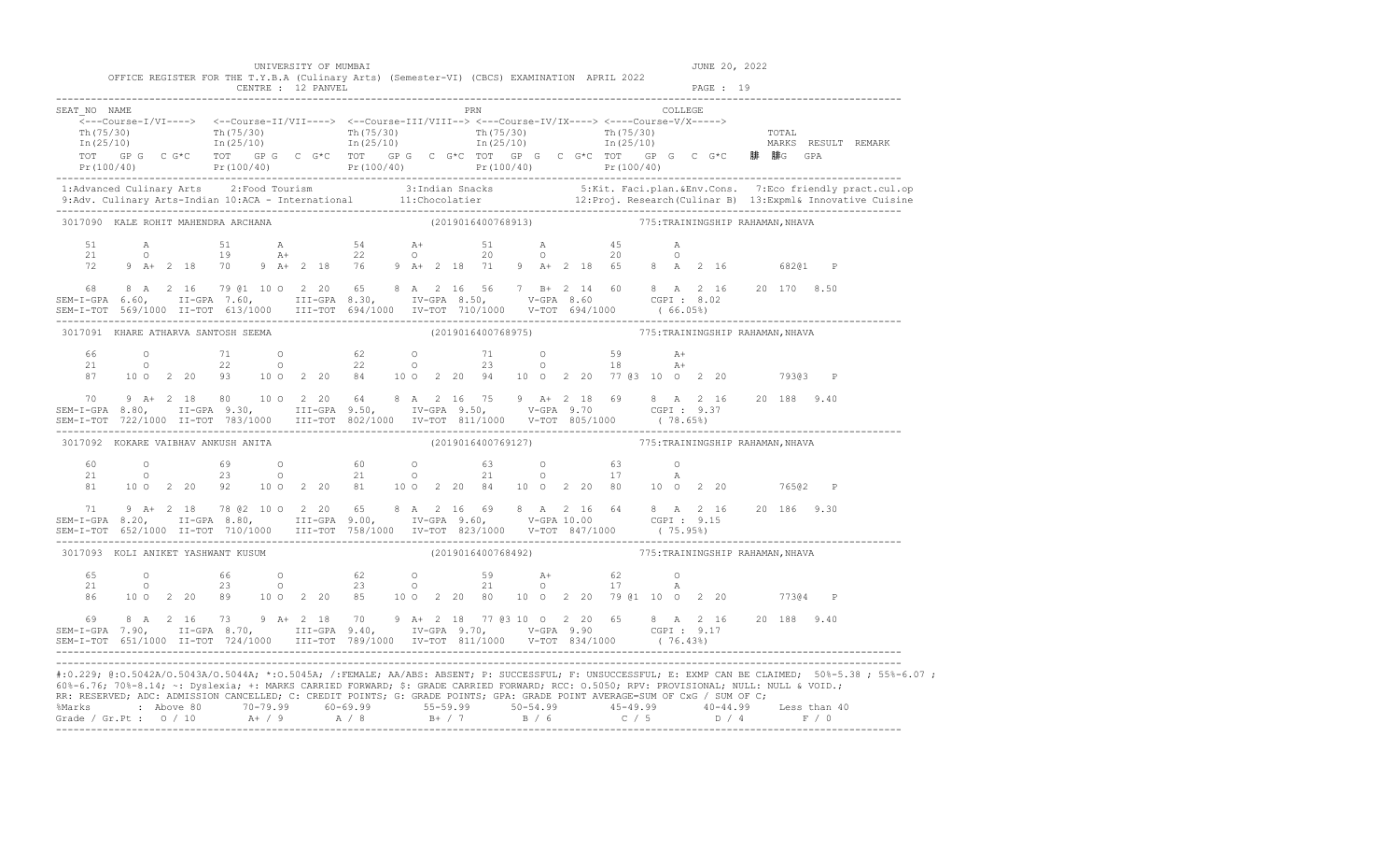|                                                                                                                                                                                                                                                                                                                                                |  |  | UNIVERSITY OF MUMBAI                                                                                                                                                                                                                                                                                                                                                          |  |  |                                                     |  |  |  |  | JUNE 20, 2022 |         |                                                                                                                                                                                                                                   |
|------------------------------------------------------------------------------------------------------------------------------------------------------------------------------------------------------------------------------------------------------------------------------------------------------------------------------------------------|--|--|-------------------------------------------------------------------------------------------------------------------------------------------------------------------------------------------------------------------------------------------------------------------------------------------------------------------------------------------------------------------------------|--|--|-----------------------------------------------------|--|--|--|--|---------------|---------|-----------------------------------------------------------------------------------------------------------------------------------------------------------------------------------------------------------------------------------|
|                                                                                                                                                                                                                                                                                                                                                |  |  | OFFICE REGISTER FOR THE T.Y.B.A (Culinary Arts) (Semester-VI) (CBCS) EXAMINATION APRIL 2022<br>CENTRE : 12 PANVEL                                                                                                                                                                                                                                                             |  |  |                                                     |  |  |  |  | PAGE: 19      |         |                                                                                                                                                                                                                                   |
| SEAT NO NAME                                                                                                                                                                                                                                                                                                                                   |  |  | $\overline{\leftarrow}--Course\textnormal{-}I/VI\textnormal{-}--\right> \quad \leftarrow-Course\textnormal{-}II/VII\textnormal{-}--\right> \quad \leftarrow-Course\textnormal{-}III/VIII\textnormal{-}-> \leftarrow--Course\textnormal{-}IVIX\textnormal{-}--\right> \leftarrow-+Course\textnormal{-}IVIX\textnormal{-}--\right>$                                             |  |  | PRN COLLEGE                                         |  |  |  |  |               |         |                                                                                                                                                                                                                                   |
|                                                                                                                                                                                                                                                                                                                                                |  |  | $\frac{\text{Th}(75/30)}{\text{Th}(25/10)}$ $\frac{\text{Th}(75/30)}{\text{In}(25/10)}$ $\frac{\text{Th}(75/30)}{\text{In}(25/10)}$ $\frac{\text{Th}(75/30)}{\text{In}(25/10)}$ $\frac{\text{Th}(75/30)}{\text{In}(25/10)}$ $\frac{\text{Th}(75/30)}{\text{In}(25/10)}$ $\frac{\text{Th}(75/30)}{\text{In}(25/10)}$ $\frac{\text{Th}(75/30)}{\text{In}(25/10)}$ $\frac{\text$ |  |  |                                                     |  |  |  |  |               |         |                                                                                                                                                                                                                                   |
|                                                                                                                                                                                                                                                                                                                                                |  |  |                                                                                                                                                                                                                                                                                                                                                                               |  |  |                                                     |  |  |  |  |               |         |                                                                                                                                                                                                                                   |
|                                                                                                                                                                                                                                                                                                                                                |  |  |                                                                                                                                                                                                                                                                                                                                                                               |  |  |                                                     |  |  |  |  |               |         | 1:Advanced Culinary Arts 2:Food Tourism 3:Indian Snacks 5:Kit. Faci.plan.&Env.Cons. 7:Eco friendly pract.cul.op<br>9:Adv. Culinary Arts-Indian 10:ACA - International 11:Chocolatier 12:Proj. Research (Culinar B) 13:Expml& Inno |
| 3017090 KALE ROHIT MAHENDRA ARCHANA                                                                                                                                                                                                                                                                                                            |  |  |                                                                                                                                                                                                                                                                                                                                                                               |  |  | (2019016400768913) 775: TRAININGSHIP RAHAMAN, NHAVA |  |  |  |  |               |         |                                                                                                                                                                                                                                   |
|                                                                                                                                                                                                                                                                                                                                                |  |  |                                                                                                                                                                                                                                                                                                                                                                               |  |  |                                                     |  |  |  |  |               |         |                                                                                                                                                                                                                                   |
|                                                                                                                                                                                                                                                                                                                                                |  |  |                                                                                                                                                                                                                                                                                                                                                                               |  |  |                                                     |  |  |  |  |               |         |                                                                                                                                                                                                                                   |
|                                                                                                                                                                                                                                                                                                                                                |  |  |                                                                                                                                                                                                                                                                                                                                                                               |  |  |                                                     |  |  |  |  |               |         |                                                                                                                                                                                                                                   |
|                                                                                                                                                                                                                                                                                                                                                |  |  | 3017091 KHARE ATHARVA SANTOSH SEEMA                                                                                                                                                                                                                                                                                                                                           |  |  | (2019016400768975) 775: TRAININGSHIP RAHAMAN, NHAVA |  |  |  |  |               |         |                                                                                                                                                                                                                                   |
|                                                                                                                                                                                                                                                                                                                                                |  |  | $\begin{array}{cccccccccccccccc} 66 & & & 0 & & & 71 & & 0 & & 62 & & 0 & & 71 & & 0 & & 59 & & \text{A+} \\ 21 & & & 0 & & & 22 & & 0 & & 22 & & 0 & & 23 & & 0 & & 18 & & \text{A+} \\ 87 & & 10 & 0 & 2 & 20 & 93 & & 10 & 0 & 2 & 20 & 84 & & 10 & 0 & 2 & 20 & 94 & & 10 & 0 & 2 & 20 & & 77 & 63 & 10 & 0 & 2 & 20 & & & 79363 & & \$                                   |  |  |                                                     |  |  |  |  |               |         |                                                                                                                                                                                                                                   |
|                                                                                                                                                                                                                                                                                                                                                |  |  |                                                                                                                                                                                                                                                                                                                                                                               |  |  |                                                     |  |  |  |  |               |         |                                                                                                                                                                                                                                   |
|                                                                                                                                                                                                                                                                                                                                                |  |  | 70 9 A+ 2 18 80 10 0 2 20 64 8 A 2 16 75 9 A+ 2 18 69 8 A 2 16 20 188 9.40<br>SEM-I-GPA 8.80, II-GPA 9.30, III-GPA 9.50, IV-GPA 9.50, V-GPA 9.70 CGPI: 9.37                                                                                                                                                                                                                   |  |  |                                                     |  |  |  |  |               |         |                                                                                                                                                                                                                                   |
| 3017092 KOKARE VAIBHAV ANKUSH ANITA                                                                                                                                                                                                                                                                                                            |  |  |                                                                                                                                                                                                                                                                                                                                                                               |  |  | (2019016400769127) 775: TRAININGSHIP RAHAMAN, NHAVA |  |  |  |  |               |         |                                                                                                                                                                                                                                   |
|                                                                                                                                                                                                                                                                                                                                                |  |  | $\begin{array}{cccccccccccccccc} 60 & & & 0 & & & 69 & & 0 & & & 60 & & 0 & & 63 & & 0 & & 63 & & 0 \\ 21 & & & 0 & & & 23 & & 0 & & & 21 & & 0 & & 21 & & 0 & & 17 & & A \\ 81 & & 10 & 0 & 2 & 20 & 92 & & 10 & 0 & 2 & 20 & 81 & & 10 & 0 & 2 & 20 & 84 & & 10 & 0 & 2 & 20 & 80 & & 10 & 0 & 2 & 20 & & & 765 @2 & P \end{array}$                                         |  |  |                                                     |  |  |  |  |               |         |                                                                                                                                                                                                                                   |
| SEM-1-GPA 8.20, II-GPA 8.80, III-GPA 9.00, IV-GPA 9.60, V-GPA 10.00 CGPI: 9.15<br>SEM-I-TOT 652/1000 II-TOT 710/1000 III-TOT 758/1000 IV-TOT 823/1000 V-TOT 847/1000 (75.95%)                                                                                                                                                                  |  |  | 71 9 A+ 2 18 78 @ 2 10 0 2 20 65 8 A 2 16 69 8 A 2 16 64 8 A 2 16 20 186 9.30                                                                                                                                                                                                                                                                                                 |  |  |                                                     |  |  |  |  |               |         |                                                                                                                                                                                                                                   |
| 3017093 KOLI ANIKET YASHWANT KUSUM                                                                                                                                                                                                                                                                                                             |  |  |                                                                                                                                                                                                                                                                                                                                                                               |  |  | (2019016400768492) 775: TRAININGSHIP RAHAMAN, NHAVA |  |  |  |  |               |         |                                                                                                                                                                                                                                   |
|                                                                                                                                                                                                                                                                                                                                                |  |  | $65$ 0 $66$ 0 $62$ 0 $59$ $21$ 62 0<br>21 0 23 0 23 0 21 0 17 A<br>86 10 0 2 20 89 10 0 2 20 85 10 0 2 20 80 10 0 2 20 79 @1 10 0 2 20                                                                                                                                                                                                                                        |  |  |                                                     |  |  |  |  |               | 77304 P |                                                                                                                                                                                                                                   |
| $\begin{array}{cccccccccccc} 69 & 8 & A & 2 & 16 & 73 & 9 & A + & 2 & 18 & 70 & 9 & A + & 2 & 18 & 77 & 63 & 10 & O & 2 & 20 & 65 & 8 & A & 2 & 16 & 20 & 188 & 9.40 \\ SEM-T-GPA & 7.90, & II-GPA & 8.70, & III-GPA & 9.40, & IV-GPA & 9.70, & V-GPA & 9.90 & CGPI : 9.17 & \\ SEM-T-TOT & 651/1000 & II-TOT & 724/1000 & III-TOT & 789/1000$ |  |  |                                                                                                                                                                                                                                                                                                                                                                               |  |  |                                                     |  |  |  |  |               |         |                                                                                                                                                                                                                                   |
|                                                                                                                                                                                                                                                                                                                                                |  |  | 60%-6.76; 70%-8.14; ~: Dyslexia; +: MARKS CARRIED FORWARD; \$: GRADE CARRIED FORWARD; RCC: 0.5050; RPV: PROVISIONAL; NULL: NULL & VOID.;<br>RR: RESERVED; ADC: ADMISSION CANCELLED; C: CREDIT POINTS; G: GRADE POINTS; GPA: GRADE POINT AVERAGE=SUM OF CxG / SUM OF C;                                                                                                        |  |  |                                                     |  |  |  |  |               |         | #:0.229; @:0.5042A/0.5043A/0.5044A; *:0.5045A; /:FEMALE; AA/ABS: ABSENT; P: SUCCESSFUL; F: UNSUCCESSFUL; E: EXMP CAN BE CLAIMED; 50%-5.38; 55%-6.07;                                                                              |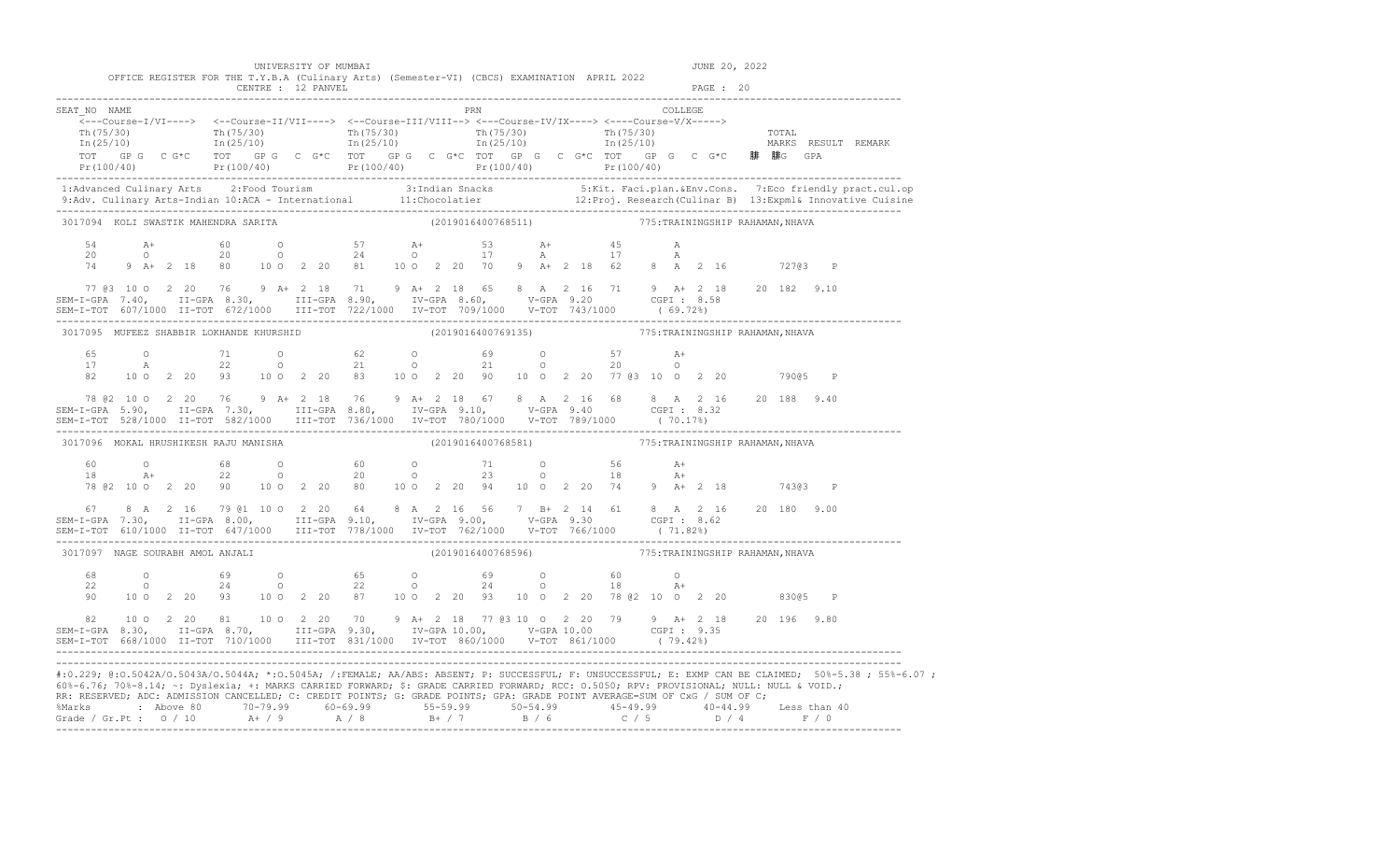| UNIVERSITY OF MUMBAI |  |  |  |
|----------------------|--|--|--|
|----------------------|--|--|--|

|                                                                                                                                                                                                                                                                                                                                                                                                                                      |  |  |  | UNIVERSITY OF MUMBAI | OFFICE REGISTER FOR THE T.Y.B.A (Culinary Arts) (Semester-VI) (CBCS) EXAMINATION APRIL 2022                                                                                                                                                                                                                                                           |  |     |                                                     |  |  |  |        |         | JUNE 20, 2022 |         |  |                                                                                                                                                                                                                                                                                                                                                                           |
|--------------------------------------------------------------------------------------------------------------------------------------------------------------------------------------------------------------------------------------------------------------------------------------------------------------------------------------------------------------------------------------------------------------------------------------|--|--|--|----------------------|-------------------------------------------------------------------------------------------------------------------------------------------------------------------------------------------------------------------------------------------------------------------------------------------------------------------------------------------------------|--|-----|-----------------------------------------------------|--|--|--|--------|---------|---------------|---------|--|---------------------------------------------------------------------------------------------------------------------------------------------------------------------------------------------------------------------------------------------------------------------------------------------------------------------------------------------------------------------------|
|                                                                                                                                                                                                                                                                                                                                                                                                                                      |  |  |  |                      |                                                                                                                                                                                                                                                                                                                                                       |  |     |                                                     |  |  |  |        |         |               |         |  |                                                                                                                                                                                                                                                                                                                                                                           |
| SEAT NO NAME<br><---Course-I/VI----> <--Course-II/VII----> <--Course-III/VIII--> <--Course-IV/IX----> <---Course-V/X-----><br>TOT GPG CG*C TOT GPG CG*C TOT GPG CG*C TOT GPG CG*C TOT GC CG*C TOT GPG CG*C 腓 腓G GPA                                                                                                                                                                                                                  |  |  |  |                      |                                                                                                                                                                                                                                                                                                                                                       |  | PRN |                                                     |  |  |  |        | COLLEGE |               |         |  | $\begin{array}{cccccccc} \texttt{Th(75/30)} & & & \texttt{Th(75/30)} & & & \texttt{Th(75/30)} & & & \texttt{Th(75/30)} & & & \texttt{Th(75/30)} & & & \texttt{Th(75/30)} & & & \texttt{Th(25/10)} & & & \texttt{In(25/10)} & & & \texttt{In(25/10)} & & & \end{array}$<br>Pr (100/40) Pr (100/40) Pr (100/40) Pr (100/40) Pr (100/40) Pr (100/40) Pr (100/40) Pr (100/40) |
|                                                                                                                                                                                                                                                                                                                                                                                                                                      |  |  |  |                      |                                                                                                                                                                                                                                                                                                                                                       |  |     |                                                     |  |  |  |        |         |               |         |  |                                                                                                                                                                                                                                                                                                                                                                           |
|                                                                                                                                                                                                                                                                                                                                                                                                                                      |  |  |  |                      |                                                                                                                                                                                                                                                                                                                                                       |  |     |                                                     |  |  |  |        |         |               |         |  | 1:Advanced Culinary Arts 2:Food Tourism 3:Indian Snacks 5:Kit. Faci.plan.&Env.Cons. 7:Eco friendly pract.cul.op<br>9:Adv. Culinary Arts-Indian 10:ACA - International 11:Chocolatier 12:Proj. Research (Culinar B) 13:Expml& Inno                                                                                                                                         |
| 3017094 KOLI SWASTIK MAHENDRA SARITA                                                                                                                                                                                                                                                                                                                                                                                                 |  |  |  |                      |                                                                                                                                                                                                                                                                                                                                                       |  |     | (2019016400768511) 775: TRAININGSHIP RAHAMAN, NHAVA |  |  |  |        |         |               |         |  |                                                                                                                                                                                                                                                                                                                                                                           |
|                                                                                                                                                                                                                                                                                                                                                                                                                                      |  |  |  |                      | $74$ 9 A+ 2 18 80 10 0 2 20 81 10 0 2 20 70 9 A+ 2 18 62 8 A 2 16 72703 P                                                                                                                                                                                                                                                                             |  |     |                                                     |  |  |  | A<br>A |         |               |         |  |                                                                                                                                                                                                                                                                                                                                                                           |
|                                                                                                                                                                                                                                                                                                                                                                                                                                      |  |  |  |                      |                                                                                                                                                                                                                                                                                                                                                       |  |     |                                                     |  |  |  |        |         |               |         |  | 77 @3 10 0 2 20 76 9 A+ 2 18 71 9 A+ 2 18 65 8 A 2 16 71 9 A+ 2 18 20 182 9.10<br>SEM-I-GPA 7.40, II-GPA 8.30, III-GPA 8.90, IV-GPA 8.60, V-GPA 9.20 CGPI: 8.58<br>SEM-I-TOT 607/1000 II-TOT 672/1000 III-TOT 722/1000 IV-TOT 709/1                                                                                                                                       |
| 3017095 MUFEEZ SHABBIR LOKHANDE KHURSHID (2019016400769135) 775: TRAININGSHIP RAHAMAN, NHAVA                                                                                                                                                                                                                                                                                                                                         |  |  |  |                      |                                                                                                                                                                                                                                                                                                                                                       |  |     |                                                     |  |  |  |        |         |               |         |  |                                                                                                                                                                                                                                                                                                                                                                           |
|                                                                                                                                                                                                                                                                                                                                                                                                                                      |  |  |  |                      |                                                                                                                                                                                                                                                                                                                                                       |  |     |                                                     |  |  |  |        |         |               |         |  |                                                                                                                                                                                                                                                                                                                                                                           |
|                                                                                                                                                                                                                                                                                                                                                                                                                                      |  |  |  |                      |                                                                                                                                                                                                                                                                                                                                                       |  |     |                                                     |  |  |  |        |         |               |         |  |                                                                                                                                                                                                                                                                                                                                                                           |
| 3017096 MOKAL HRUSHIKESH RAJU MANISHA                                                                                                                                                                                                                                                                                                                                                                                                |  |  |  |                      |                                                                                                                                                                                                                                                                                                                                                       |  |     | (2019016400768581) 775: TRAININGSHIP RAHAMAN, NHAVA |  |  |  |        |         |               |         |  |                                                                                                                                                                                                                                                                                                                                                                           |
|                                                                                                                                                                                                                                                                                                                                                                                                                                      |  |  |  |                      | $\begin{array}{cccccccccccccccccccc} 60 & & & 0 & & & 68 & & 0 & & 60 & & 0 & & 71 & & 0 & & 56 & & \text{A+} \\ 18 & & & \text{A+} & & & 22 & & 0 & & 20 & & 0 & & 23 & & 0 & & 18 & & \text{A+} \\ 78 & & 22 & & 20 & & 90 & & 10 & 0 & 2 & 20 & 80 & & 10 & 0 & 2 & 20 & 94 & & 10 & 0 & 2 & 20 & 74 & & 9 & \text{A+} & 2 & 18 & & & 743 @ 3 & \$ |  |     |                                                     |  |  |  |        |         |               |         |  |                                                                                                                                                                                                                                                                                                                                                                           |
| $\begin{array}{cccccccccccc} 67 & 8 & A & 2 & 16 & 79 & 01 & 10 & 0 & 2 & 20 & 64 & 8 & A & 2 & 16 & 56 & 7 & B + & 2 & 14 & 61 & 8 & A & 2 & 16 & 20 & 180 & 9.00 \\ SEM-T-GPA & 7.30, & II-GPA & 8.00, & II-T-GPA & 9.10, & IV-GPA & 9.00, & V-GPA & 9.30 & CGPI : & 8.62 & \\ SEM-T-TOT & 610/1000 & II-TOT & 647/1000 & III-TOT & 778/$                                                                                          |  |  |  |                      |                                                                                                                                                                                                                                                                                                                                                       |  |     |                                                     |  |  |  |        |         |               |         |  |                                                                                                                                                                                                                                                                                                                                                                           |
| 3017097 NAGE SOURABH AMOL ANJALI                                                                                                                                                                                                                                                                                                                                                                                                     |  |  |  |                      |                                                                                                                                                                                                                                                                                                                                                       |  |     | (2019016400768596) 775: TRAININGSHIP RAHAMAN, NHAVA |  |  |  |        |         |               |         |  |                                                                                                                                                                                                                                                                                                                                                                           |
|                                                                                                                                                                                                                                                                                                                                                                                                                                      |  |  |  |                      | 48 0 69 0 65 0 69 0 60 0<br>22 0 24 0 22 0 24 0 18 A+<br>90 10 0 2 20 93 10 0 2 20 87 10 0 2 20 93 10 0 2 20 78 @2 10 0 2 20                                                                                                                                                                                                                          |  |     |                                                     |  |  |  |        |         |               | 83005 P |  |                                                                                                                                                                                                                                                                                                                                                                           |
| $\begin{array}{cccccccccccc} 82 & 10&0&2&20&81&10&0&2&20&70&9&\text{A}+&2&18&77&03&10&0&2&20&79&9&\text{A}+&2&18&20&196&9.80\\ \texttt{SEM-I-GPA} & 8.30, & \texttt{II-GPA} & 8.70, & \texttt{III-GPA} & 9.30, & \texttt{IV-GPA} & 10.00, & \texttt{V-GPA} & 10.00& & \texttt{CGPI}: & 9.35& \\ \texttt{SEM-I-TOT} & 668/1000 & \text$                                                                                               |  |  |  |                      |                                                                                                                                                                                                                                                                                                                                                       |  |     |                                                     |  |  |  |        |         |               |         |  |                                                                                                                                                                                                                                                                                                                                                                           |
| 60%-6.76; 70%-8.14; ~: Dyslexia; +: MARKS CARRIED FORWARD; \$: GRADE CARRIED FORWARD; RCC: 0.5050; RPV: PROVISIONAL; NULL: NULL & VOID.;<br>RR: RESERVED; ADC: ADMISSION CANCELLED; C: CREDIT POINTS; G: GRADE POINTS; GPA: GRADE POINT AVERAGE=SUM OF CxG / SUM OF C;<br>%Marks : Above 80 70-79.99 60-69.99 55-59.99 50-54.99 45-49.99 40-44.99 Less than 40<br>Grade / Gr.Pt : 0 / 10 A+ / 9 A / 8 B+ / 7 B / 6 C / 5 D / 4 F / 0 |  |  |  |                      |                                                                                                                                                                                                                                                                                                                                                       |  |     |                                                     |  |  |  |        |         |               |         |  | #:0.229; @:0.5042A/0.5043A/0.5044A; *:0.5045A; /:FEMALE; AA/ABS: ABSENT; P: SUCCESSFUL; F: UNSUCCESSFUL; E: EXMP CAN BE CLAIMED; 50%-5.38; 55%-6.07;                                                                                                                                                                                                                      |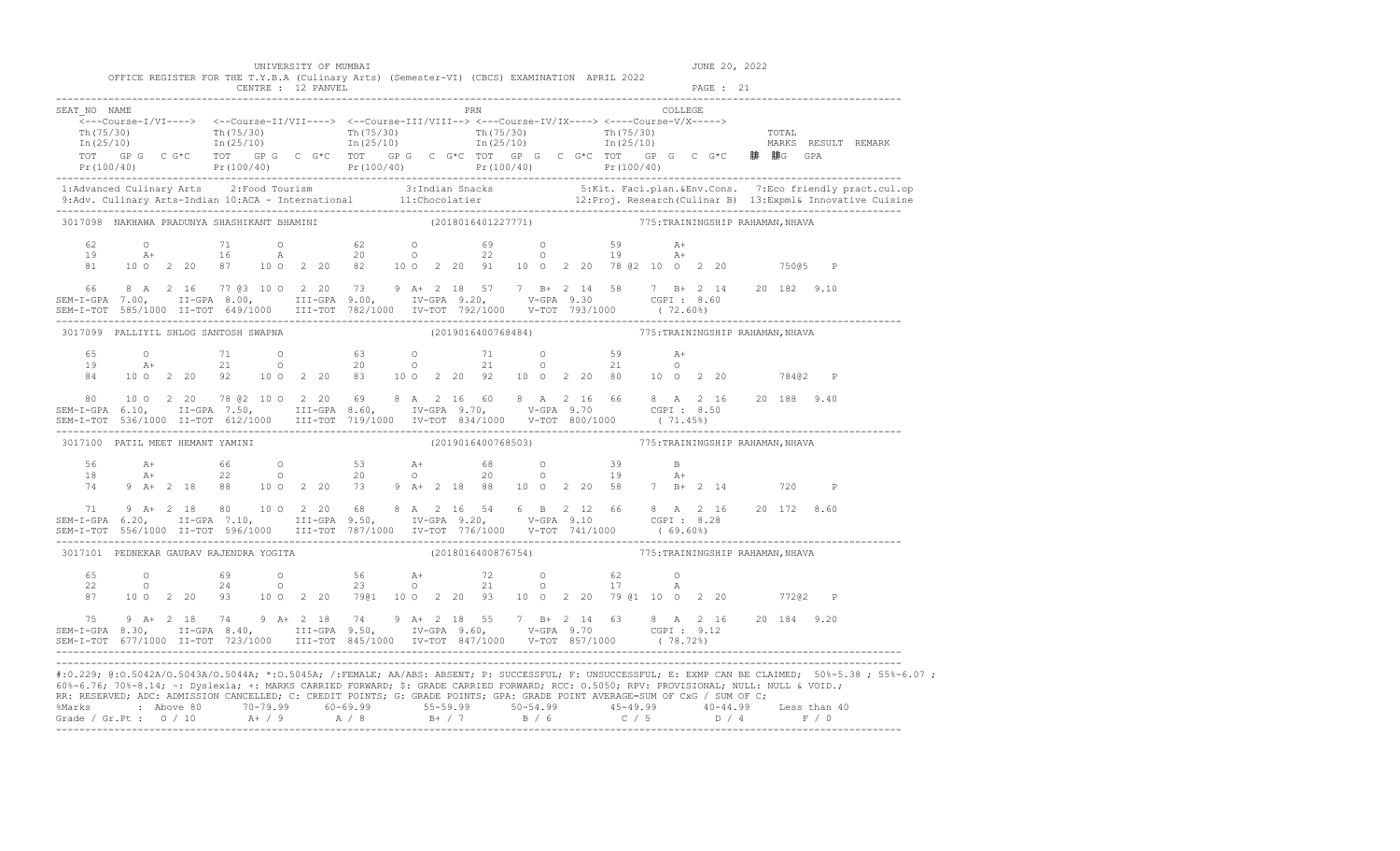|                      |                                                                                                                                                                                                                                                                                                                                                                   |  |  | UNIVERSITY OF MUMBAI                                                       |                                                     |  |  |                    |  |  |  |           | JUNE 20, 2022 |                                  |              |                                                                                                                                                                                                                                   |
|----------------------|-------------------------------------------------------------------------------------------------------------------------------------------------------------------------------------------------------------------------------------------------------------------------------------------------------------------------------------------------------------------|--|--|----------------------------------------------------------------------------|-----------------------------------------------------|--|--|--------------------|--|--|--|-----------|---------------|----------------------------------|--------------|-----------------------------------------------------------------------------------------------------------------------------------------------------------------------------------------------------------------------------------|
|                      | OFFICE REGISTER FOR THE T.Y.B.A (Culinary Arts) (Semester-VI) (CBCS) EXAMINATION APRIL 2022                                                                                                                                                                                                                                                                       |  |  | CENTRE : 12 PANVEL                                                         |                                                     |  |  |                    |  |  |  | PAGE : 21 |               |                                  |              |                                                                                                                                                                                                                                   |
| SEAT NO NAME         | $\overbrace{\texttt{<--Course-I/VI--->}} \hspace{1.3cm} \xleftarrows -\texttt{Course-II/VII--->} \hspace{1.3cm} \xleftarrows -\texttt{Course-II/VIII--->} \hspace{1.3cm} \xleftarrows -\texttt{Course-VIX--->} \hspace{1.3cm} \xleftarrows -\texttt{Course-V/X--->} \right.$<br>TOT GPG CG*C TOT GPG CG*C TOT GPG CG*C TOT GPG CG*C TOT GPG CG*C FCG CG*C 腓腓G GPA |  |  |                                                                            |                                                     |  |  | PRN COLLEGE        |  |  |  |           |               |                                  |              | $Pr(100/40)$ $Pr(100/40)$ $Pr(100/40)$ $Pr(100/40)$ $Pr(100/40)$ $Pr(100/40)$ $Pr(100/40)$                                                                                                                                        |
|                      |                                                                                                                                                                                                                                                                                                                                                                   |  |  |                                                                            |                                                     |  |  |                    |  |  |  |           |               |                                  |              | 1:Advanced Culinary Arts 2:Food Tourism 3:Indian Snacks 5:Kit. Faci.plan.&Env.Cons. 7:Eco friendly pract.cul.op<br>9:Adv. Culinary Arts-Indian 10:ACA - International 11:Chocolatier 12:Proj. Research(Culinar B) 13:Expml& Innov |
|                      | ---------<br>3017098 NAKHAWA PRADUNYA SHASHIKANT BHAMINI                   (2018016401227771)                     775:TRAININGSHIP RAHAMAN,NHAVA                                                                                                                                                                                                                  |  |  |                                                                            |                                                     |  |  |                    |  |  |  |           |               |                                  |              |                                                                                                                                                                                                                                   |
| 62<br>19             | $A+$<br>81  10  0  2  20  87  10  0  2  20  82  10  0  2  20  91  10  0  2  20  78  82  10  0  2  20  750 85  P                                                                                                                                                                                                                                                   |  |  | 0 71 0 62 0 69 0 59 A+<br>A+ 16 A 20 0 22 0 19 A+                          |                                                     |  |  |                    |  |  |  |           |               |                                  |              |                                                                                                                                                                                                                                   |
|                      | 3017099 PALLIYIL SHLOG SANTOSH SWAPNA                                                                                                                                                                                                                                                                                                                             |  |  |                                                                            | (2019016400768484) 775: TRAININGSHIP RAHAMAN, NHAVA |  |  |                    |  |  |  |           |               |                                  |              |                                                                                                                                                                                                                                   |
| 84                   | $65$ 0 $71$ 0 $63$ 0 $71$ 0 $59$ $\lambda +$<br>19 $\lambda +$ 21 0 20 0 21 0 21 0                                                                                                                                                                                                                                                                                |  |  | 10 0 2 20 92 10 0 2 20 83 10 0 2 20 92 10 0 2 20 80 10 0 2 20 784@2 P      |                                                     |  |  |                    |  |  |  |           |               |                                  |              |                                                                                                                                                                                                                                   |
| 80                   |                                                                                                                                                                                                                                                                                                                                                                   |  |  | 10 0 2 20 78 @ 2 10 0 2 20 69 8 A 2 16 60 8 A 2 16 66 8 A 2 16 20 188 9.40 |                                                     |  |  |                    |  |  |  |           |               |                                  |              |                                                                                                                                                                                                                                   |
|                      | 3017100 PATIL MEET HEMANT YAMINI                                                                                                                                                                                                                                                                                                                                  |  |  |                                                                            |                                                     |  |  | (2019016400768503) |  |  |  |           |               | 775: TRAININGSHIP RAHAMAN, NHAVA |              |                                                                                                                                                                                                                                   |
| 56<br>18<br>74<br>71 | $9 A + 2 18$                                                                                                                                                                                                                                                                                                                                                      |  |  | 80 10 0 2 20 68 8 A 2 16 54 6 B 2 12 66 8 A 2 16 20 172 8.60               |                                                     |  |  |                    |  |  |  |           |               |                                  | $\mathbb{P}$ |                                                                                                                                                                                                                                   |
|                      | SEM-I-GPA 6.20, II-GPA 7.10, III-GPA 9.50, IV-GPA 9.20, V-GPA 9.10 CGPI: 8.28                                                                                                                                                                                                                                                                                     |  |  |                                                                            |                                                     |  |  |                    |  |  |  |           |               |                                  |              |                                                                                                                                                                                                                                   |
|                      | 3017101 PEDNEKAR GAURAV RAJENDRA YOGITA (2018016400876754) 775: TRAININGSHIP RAHAMAN, NHAVA                                                                                                                                                                                                                                                                       |  |  |                                                                            |                                                     |  |  |                    |  |  |  |           |               |                                  |              |                                                                                                                                                                                                                                   |
| 65<br>22<br>87       | $\circ$<br>$\overline{O}$<br>10 0 2 20 93 10 0 2 20 79@1 10 0 2 20 93 10 0 2 20 79 @1 10 0 2 20 772@2 P                                                                                                                                                                                                                                                           |  |  | $69$ 0 $56$ $A+$ 72 0 $62$ 0<br>24 0 23 0 21 0 17 A                        |                                                     |  |  |                    |  |  |  |           |               |                                  |              |                                                                                                                                                                                                                                   |
| 75                   | $9 A + 2 18$<br>SEM-I-GPA 8.30, II-GPA 8.40, III-GPA 9.50, IV-GPA 9.60, V-GPA 9.70 CGPI 9.12<br>SEM-I-TOT 677/1000 II-TOT 723/1000 III-TOT 845/1000 IV-TOT 847/1000 V-TOT 857/1000 (78.72%)                                                                                                                                                                       |  |  | 74 9 A+ 2 18 74 9 A+ 2 18 55 7 B+ 2 14 63 8 A 2 16 20 184 9.20             |                                                     |  |  |                    |  |  |  |           |               |                                  |              |                                                                                                                                                                                                                                   |

Grade / Gr.Pt : 0 / 10 A + / 9 A / 8 B + / 7 B / 6 C / 5 D / 4 F / 0 -------------------------------------------------------------------------------------------------------------------------------------------------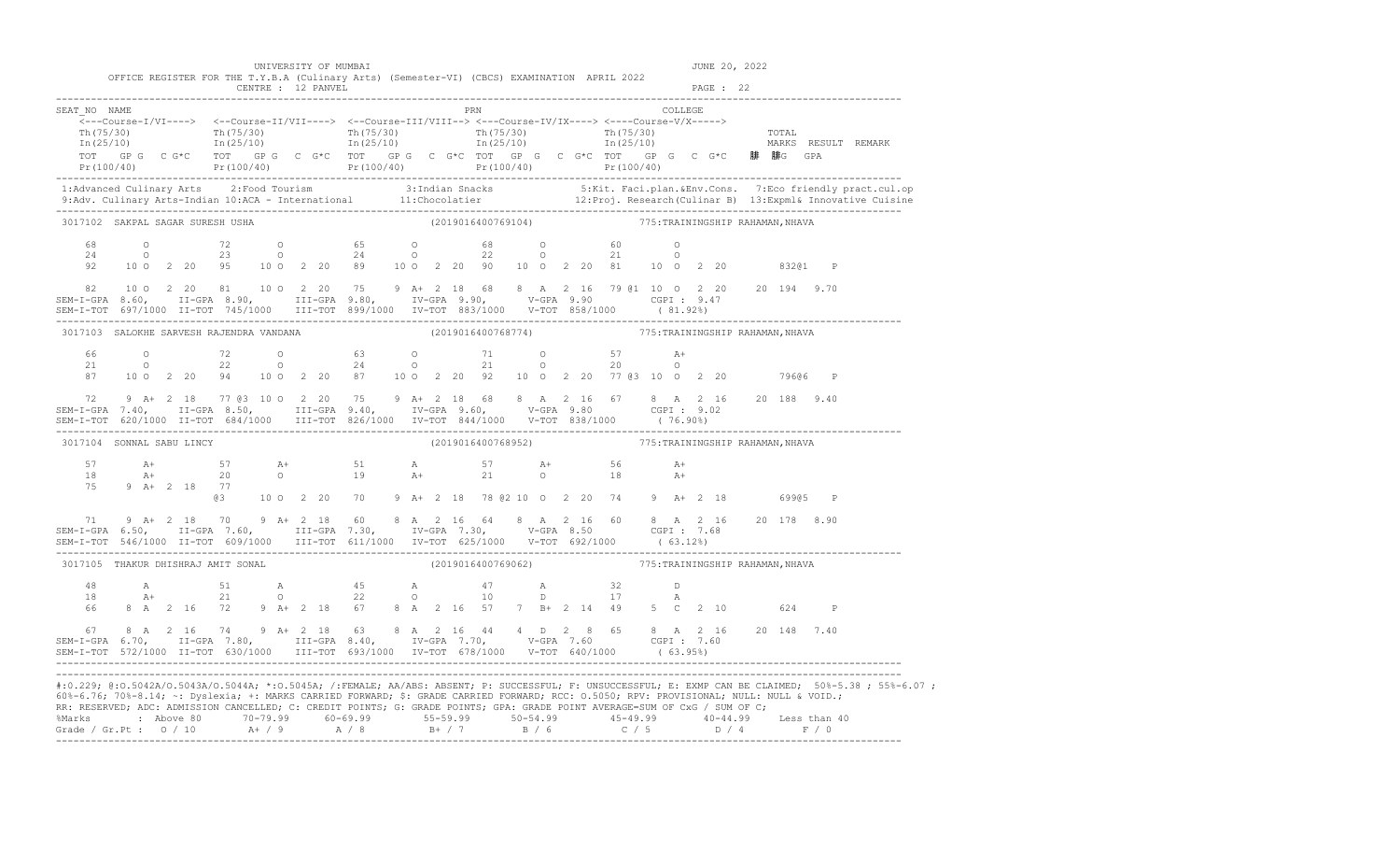|                                                                                                                                                                                                                                                                                                                                                                                                                                                                                                                                                                                                                                                                                                                                                                                                                                                                          |                                                                                             |  |                    | UNIVERSITY OF MUMBAI |  |                                                                                             |  |                                                     |                                                                                                                                       |  |                                 |                 |           | JUNE 20, 2022 |              |                                                                                                                                                                                                                                   |
|--------------------------------------------------------------------------------------------------------------------------------------------------------------------------------------------------------------------------------------------------------------------------------------------------------------------------------------------------------------------------------------------------------------------------------------------------------------------------------------------------------------------------------------------------------------------------------------------------------------------------------------------------------------------------------------------------------------------------------------------------------------------------------------------------------------------------------------------------------------------------|---------------------------------------------------------------------------------------------|--|--------------------|----------------------|--|---------------------------------------------------------------------------------------------|--|-----------------------------------------------------|---------------------------------------------------------------------------------------------------------------------------------------|--|---------------------------------|-----------------|-----------|---------------|--------------|-----------------------------------------------------------------------------------------------------------------------------------------------------------------------------------------------------------------------------------|
|                                                                                                                                                                                                                                                                                                                                                                                                                                                                                                                                                                                                                                                                                                                                                                                                                                                                          | OFFICE REGISTER FOR THE T.Y.B.A (Culinary Arts) (Semester-VI) (CBCS) EXAMINATION APRIL 2022 |  | CENTRE : 12 PANVEL |                      |  |                                                                                             |  |                                                     |                                                                                                                                       |  |                                 |                 | PAGE : 22 |               |              |                                                                                                                                                                                                                                   |
| SEAT NO NAME<br>$\overbrace{\texttt{<--Course-I/VI--->}} \hspace{1.3cm} \xleftarrows -\texttt{Course-II/VII--->} \hspace{1.3cm} \xleftarrows -\texttt{Course-III/VIII--->} \hspace{1.3cm} \xleftarrows -\texttt{Course-V/X--->} \hspace{1.3cm} \xleftarrows -\texttt{Course-V/X--->} \right.$<br>$\begin{array}{cccccccccc} \texttt{Th(75/30)} & & & & & & & \texttt{Th(75/30)} & & & & & \texttt{Th(75/30)} & & & & \texttt{Th(75/30)} & & & & \texttt{Th(75/30)} & & & & \texttt{Th(75/30)} & & & & \texttt{Tr(75/30)} & & & \texttt{Tr(75/30)} & & & & \texttt{Tr(75/30)} & & & & \texttt{Tr(75/30)} & & & & \texttt{Tr(75/30)} & & & & \texttt{Tr(75/30)} & & & & \texttt{Tr(75/30)} & & & &$<br>TOT GP G C G*C TOT GP G C G*C TOT GP G C G*C TOT GP G C G*C TOT GP G C G*C 腓 腓G GPA<br>Pr(100/40) Pr(100/40) Pr(100/40) Pr(100/40) Pr(100/40) Pr(100/40) Pr(100/40) |                                                                                             |  |                    |                      |  |                                                                                             |  | PRN                                                 |                                                                                                                                       |  |                                 | COLLEGE         |           |               |              |                                                                                                                                                                                                                                   |
|                                                                                                                                                                                                                                                                                                                                                                                                                                                                                                                                                                                                                                                                                                                                                                                                                                                                          |                                                                                             |  |                    |                      |  |                                                                                             |  |                                                     |                                                                                                                                       |  |                                 |                 |           |               |              | 1:Advanced Culinary Arts 2:Food Tourism 3:Indian Snacks 5:Kit. Faci.plan.&Env.Cons. 7:Eco friendly pract.cul.op<br>9:Adv. Culinary Arts-Indian 10:ACA - International 11:Chocolatier 12:Proj. Research (Culinar B) 13:Expml& Inno |
| 3017102 SAKPAL SAGAR SURESH USHA                                                                                                                                                                                                                                                                                                                                                                                                                                                                                                                                                                                                                                                                                                                                                                                                                                         |                                                                                             |  |                    |                      |  |                                                                                             |  | (2019016400769104) 775: TRAININGSHIP RAHAMAN, NHAVA |                                                                                                                                       |  |                                 |                 |           |               |              |                                                                                                                                                                                                                                   |
| $\begin{array}{cccccccccccccccc} 68 & & & 0 & & & 72 & & 0 & & 65 & & 0 & & 68 & & 0 & & 60 & & 0 \\ 24 & & & 0 & & & 23 & & 0 & & 24 & & 0 & & 22 & & 0 & & 21 & & 0 \\ 92 & & 10 & 0 & 2 & 20 & & 95 & & 10 & 0 & 2 & 20 & 89 & & 10 & 0 & 2 & 20 & 90 & & 10 & 0 & 2 & 20 & 81 & & 10 & 0 & 2 & 20 & & 832@1 \end{array}$                                                                                                                                                                                                                                                                                                                                                                                                                                                                                                                                             |                                                                                             |  |                    |                      |  |                                                                                             |  |                                                     |                                                                                                                                       |  |                                 |                 |           |               | $\mathbb{P}$ |                                                                                                                                                                                                                                   |
| $\begin{array}{cccccccccccccccc} 82 & 10&0&2&20&81&10&0&2&20&75&9&\text{A}+&2&18&68&8&\text{A}&2&16&79&01&10&0&2&20&20&20&194&9.70\\ \text{SEM-I-GPA} & 8.60,&\text{II-GPA} & 8.90,&\text{III-GPA} & 9.80,&\text{IV-GPA} & 9.90,&\text{V-GPA} & 9.90&\text{CGPI}: & 9.47&\\ \text{SEM-I-TOT} & 697/1000&\text{II-TOT} & 745/1$                                                                                                                                                                                                                                                                                                                                                                                                                                                                                                                                           |                                                                                             |  |                    |                      |  |                                                                                             |  |                                                     |                                                                                                                                       |  |                                 |                 |           |               |              |                                                                                                                                                                                                                                   |
| 3017103 SALOKHE SARVESH RAJENDRA VANDANA                                                                                                                                                                                                                                                                                                                                                                                                                                                                                                                                                                                                                                                                                                                                                                                                                                 |                                                                                             |  |                    |                      |  |                                                                                             |  | (2019016400768774)                                  |                                                                                                                                       |  | 775:TRAININGSHIP RAHAMAN, NHAVA |                 |           |               |              |                                                                                                                                                                                                                                   |
|                                                                                                                                                                                                                                                                                                                                                                                                                                                                                                                                                                                                                                                                                                                                                                                                                                                                          | 87 10 0 2 20 94 10 0 2 20 87 10 0 2 20 92 10 0 2 20 77 03 10 0 2 20                         |  |                    |                      |  |                                                                                             |  |                                                     |                                                                                                                                       |  |                                 | $A+$<br>$\circ$ |           |               | 79606 P      |                                                                                                                                                                                                                                   |
| 72                                                                                                                                                                                                                                                                                                                                                                                                                                                                                                                                                                                                                                                                                                                                                                                                                                                                       | 9 A+ 2 18 77 @3 10 0 2 20 75 9 A+ 2 18 68 8 A 2 16 67 8 A 2 16 20 188 9.40                  |  |                    |                      |  |                                                                                             |  |                                                     |                                                                                                                                       |  |                                 |                 |           |               |              |                                                                                                                                                                                                                                   |
| 3017104 SONNAL SABU LINCY                                                                                                                                                                                                                                                                                                                                                                                                                                                                                                                                                                                                                                                                                                                                                                                                                                                |                                                                                             |  |                    |                      |  |                                                                                             |  | (2019016400768952)                                  |                                                                                                                                       |  | 775:TRAININGSHIP RAHAMAN, NHAVA |                 |           |               |              |                                                                                                                                                                                                                                   |
| 75 9 A+ 2 18 77                                                                                                                                                                                                                                                                                                                                                                                                                                                                                                                                                                                                                                                                                                                                                                                                                                                          |                                                                                             |  |                    |                      |  | @3 10 0 2 20 70 9 A+ 2 18 78 @2 10 0 2 20 74 9 A+ 2 18 699@5 P                              |  |                                                     |                                                                                                                                       |  |                                 | A+<br>$A+$      |           |               |              |                                                                                                                                                                                                                                   |
| 71 9 A+ 2 18 70 9 A+ 2 18 60 8 A 2 16 64 8 A 2 16 60 8 A 2 16 20 178 8.90<br>SEM-I-GPA 6.50, II-GPA 7.60, III-GPA 7.30, IV-GPA 7.30, V-GPA 8.50 CGPI: 7.68<br>SEM-I-TOT 546/1000 II-TOT 609/1000 III-TOT 611/1000 IV-TOT 625/1000                                                                                                                                                                                                                                                                                                                                                                                                                                                                                                                                                                                                                                        |                                                                                             |  |                    |                      |  |                                                                                             |  |                                                     |                                                                                                                                       |  |                                 |                 |           |               |              |                                                                                                                                                                                                                                   |
| 3017105 THAKUR DHISHRAJ AMIT SONAL                                                                                                                                                                                                                                                                                                                                                                                                                                                                                                                                                                                                                                                                                                                                                                                                                                       |                                                                                             |  |                    |                      |  |                                                                                             |  | (2019016400769062) 775: TRAININGSHIP RAHAMAN, NHAVA |                                                                                                                                       |  |                                 |                 |           |               |              |                                                                                                                                                                                                                                   |
| 48<br>18<br>66                                                                                                                                                                                                                                                                                                                                                                                                                                                                                                                                                                                                                                                                                                                                                                                                                                                           | A<br>$A+$<br>8 A 2 16 72 9 A + 2 18 67 8 A 2 16 57 7 B + 2 14 49 5 C 2 10 624               |  | 51<br>21           |                      |  | A 45 A<br>O 22 O                                                                            |  | 10                                                  | $\begin{array}{ccccccccc} 4\,7 & & & & {\rm A} & & & & 32 & & & {\rm D} \\ 1\,0 & & & & {\rm D} & & & & 17 & & & {\rm A} \end{array}$ |  |                                 | A               |           |               | $\mathbb{P}$ |                                                                                                                                                                                                                                   |
| 67 8 A 2 16 74 9 A + 2 18 63 8 A 2 16 44 4 D 2 8 65 8 A 2 16 20 148 7.40<br>SEM-I-GPA 6.70, II-GPA 7.80, III-GPA 8.40, IV-GPA 7.70, V-GPA 7.60 CGPI: 7.60                                                                                                                                                                                                                                                                                                                                                                                                                                                                                                                                                                                                                                                                                                                |                                                                                             |  |                    |                      |  | SEM-I-TOT 572/1000 II-TOT 630/1000 III-TOT 693/1000 IV-TOT 678/1000 V-TOT 640/1000 (63.95%) |  |                                                     |                                                                                                                                       |  |                                 |                 |           |               |              |                                                                                                                                                                                                                                   |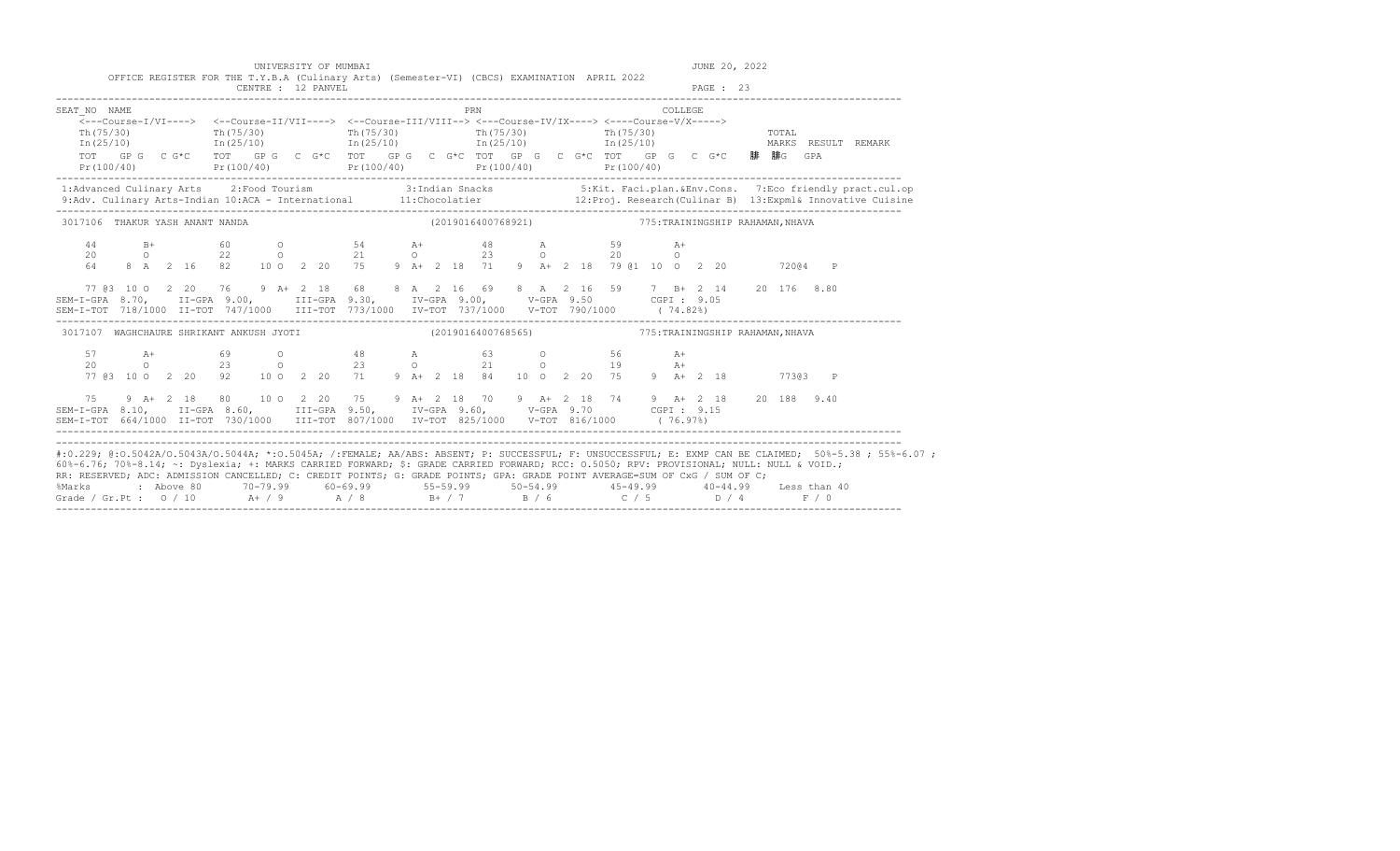|                                 | UNIVERSITY OF MUMBAI | OFFICE REGISTER FOR THE T.Y.B.A (Culinary Arts) (Semester-VI) (CBCS) EXAMINATION APRIL 2022                                                                                                                                                                                                                                                                                                                                                                |                                                     | JUNE 20, 2022                                                                                                                                                                                                                     |
|---------------------------------|----------------------|------------------------------------------------------------------------------------------------------------------------------------------------------------------------------------------------------------------------------------------------------------------------------------------------------------------------------------------------------------------------------------------------------------------------------------------------------------|-----------------------------------------------------|-----------------------------------------------------------------------------------------------------------------------------------------------------------------------------------------------------------------------------------|
|                                 | CENTRE : 12 PANVEL   |                                                                                                                                                                                                                                                                                                                                                                                                                                                            |                                                     | PAGE : 23                                                                                                                                                                                                                         |
| SEAT NO NAME                    |                      | PRN                                                                                                                                                                                                                                                                                                                                                                                                                                                        |                                                     | COLLEGE                                                                                                                                                                                                                           |
| Th (75/30)                      |                      | <---Course-I/VI----> <--Course-II/VII----> <--Course-III/VIII--> <--Course-IV/IX----> <---Course-V/X-----><br>$\text{Th}(75/30)$ $\text{Th}(75/30)$ $\text{Th}(75/30)$ $\text{Th}(75/30)$ $\text{Th}(75/30)$<br>$In (25/10)$ $In (25/10)$ $In (25/10)$ $In (25/10)$ $In (25/10)$<br>TOT GPG CG*C TOT GPG CG*C TOT GPG CG*C TOT GPG CG*C TOT GPG CG*C TOT GPG CG*C 腓腓G GPA<br>$Pr(100/40)$ $Pr(100/40)$ $Pr(100/40)$ $Pr(100/40)$ $Pr(100/40)$ $Pr(100/40)$ |                                                     | <b>TOTAL</b><br>MARKS RESULT REMARK                                                                                                                                                                                               |
|                                 |                      |                                                                                                                                                                                                                                                                                                                                                                                                                                                            |                                                     | 1:Advanced Culinary Arts 2:Food Tourism 3:Indian Snacks 5:Kit. Faci.plan.&Env.Cons. 7:Eco friendly pract.cul.op<br>9:Adv. Culinary Arts-Indian 10:ACA - International 11:Chocolatier 12:Proj. Research(Culinar B) 13:Expml& Innov |
| 3017106 THAKUR YASH ANANT NANDA |                      |                                                                                                                                                                                                                                                                                                                                                                                                                                                            | (2019016400768921) 775: TRAININGSHIP RAHAMAN, NHAVA |                                                                                                                                                                                                                                   |
|                                 |                      | $14$ B+ $60$ O $54$ A+ $48$ A $59$ A+<br>$20$ O $22$ O $21$ O $23$ O $20$ O<br>$64$ $8$ A $2$ 16 $82$ 10 O $2$ 20 $75$ $9$ A+ $2$ 18 $71$ $9$ A+ $2$ 18 $79$ @1 10 O $2$ 20                                                                                                                                                                                                                                                                                |                                                     | 72004 P                                                                                                                                                                                                                           |
|                                 |                      | 77 @3 10 0 2 20 76 9 A+ 2 18 68 8 A 2 16 69 8 A 2 16 59 7 B+ 2 14 20 176 8.80<br>SEM-I-GPA 8.70, II-GPA 9.00, III-GPA 9.30, IV-GPA 9.00, V-GPA 9.50 CGPI: 9.05<br>SEM-I-TOT 718/1000 II-TOT 747/1000 III-TOT 773/1000 IV-TOT 737/1000 V-TOT 790/1000 (74.82%)                                                                                                                                                                                              |                                                     |                                                                                                                                                                                                                                   |
|                                 |                      | 3017107 WAGHCHAURE SHRIKANT ANKUSH JYOTI (2019016400768565) 775: TRAININGSHIP RAHAMAN, NHAVA                                                                                                                                                                                                                                                                                                                                                               |                                                     |                                                                                                                                                                                                                                   |
|                                 |                      | 77 @3 10 0 2 20 92 10 0 2 20 71 9 A+ 2 18 84 10 0 2 20 75 9 A+ 2 18 773@3 P                                                                                                                                                                                                                                                                                                                                                                                |                                                     | $A+$                                                                                                                                                                                                                              |
| 75                              |                      | 9 A+ 2 18 80 10 0 2 20 75 9 A+ 2 18 70 9 A+ 2 18 74 9 A+ 2 18 20 188 9.40                                                                                                                                                                                                                                                                                                                                                                                  |                                                     |                                                                                                                                                                                                                                   |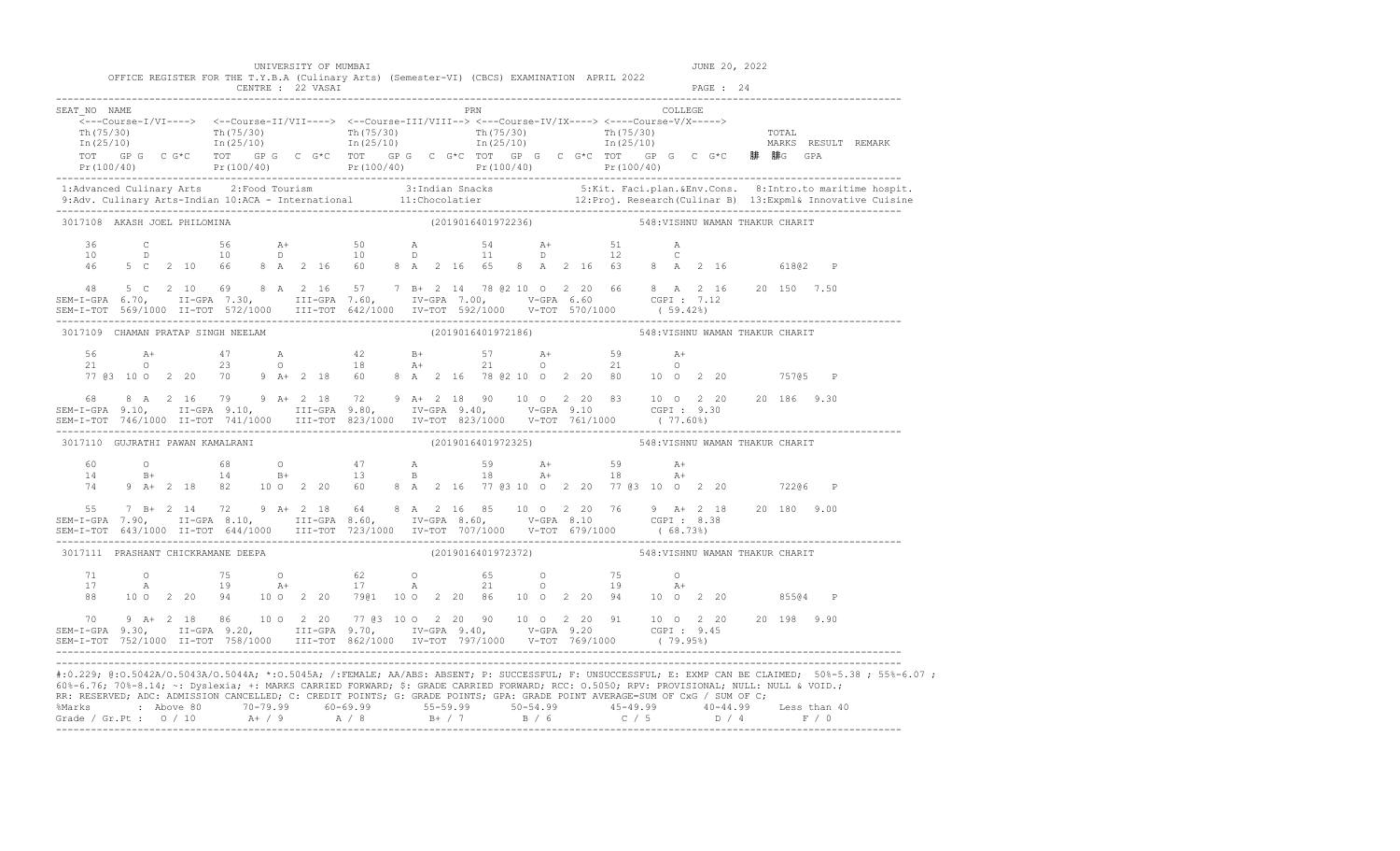|                                                                                                                                                                                                                                                                                                                                                                                                                                      |  |  |  | UNIVERSITY OF MUMBAI                                                                                                                           |  |  |                    |  |  |                                                    |         |           | JUNE 20, 2022 |         |                                                                                                                                                                                                                                                                                                                                                                               |
|--------------------------------------------------------------------------------------------------------------------------------------------------------------------------------------------------------------------------------------------------------------------------------------------------------------------------------------------------------------------------------------------------------------------------------------|--|--|--|------------------------------------------------------------------------------------------------------------------------------------------------|--|--|--------------------|--|--|----------------------------------------------------|---------|-----------|---------------|---------|-------------------------------------------------------------------------------------------------------------------------------------------------------------------------------------------------------------------------------------------------------------------------------------------------------------------------------------------------------------------------------|
|                                                                                                                                                                                                                                                                                                                                                                                                                                      |  |  |  | OFFICE REGISTER FOR THE T.Y.B.A (Culinary Arts) (Semester-VI) (CBCS) EXAMINATION APRIL 2022<br>CENTRE : 22 VASAI                               |  |  |                    |  |  |                                                    |         | PAGE : 24 |               |         |                                                                                                                                                                                                                                                                                                                                                                               |
| SEAT NO NAME                                                                                                                                                                                                                                                                                                                                                                                                                         |  |  |  | $\mbox{<---Course-I/VI--->} \mbox{<---Course-II/VII--->} \mbox{<---Course-III/VIII--->} \mbox{<---Course-IV/IX--->} \mbox{<---Course-V/X--->}$ |  |  | <b>PRN</b>         |  |  |                                                    | COLLEGE |           |               |         |                                                                                                                                                                                                                                                                                                                                                                               |
|                                                                                                                                                                                                                                                                                                                                                                                                                                      |  |  |  |                                                                                                                                                |  |  |                    |  |  |                                                    |         |           |               |         | $\frac{\text{Th}(75/30)}{\text{Th}(25/10)}$ $\frac{\text{Th}(75/30)}{\text{In}(25/10)}$ $\frac{\text{Th}(75/30)}{\text{In}(25/10)}$ $\frac{\text{Th}(75/30)}{\text{In}(25/10)}$ $\frac{\text{Th}(75/30)}{\text{In}(25/10)}$ $\frac{\text{Th}(75/30)}{\text{In}(25/10)}$ $\frac{\text{Th}(75/30)}{\text{In}(25/10)}$ $\frac{\text{Tr}(75/30)}{\text{In}(25/10)}$ $\frac{\text$ |
|                                                                                                                                                                                                                                                                                                                                                                                                                                      |  |  |  |                                                                                                                                                |  |  |                    |  |  |                                                    |         |           |               |         |                                                                                                                                                                                                                                                                                                                                                                               |
|                                                                                                                                                                                                                                                                                                                                                                                                                                      |  |  |  |                                                                                                                                                |  |  |                    |  |  |                                                    |         |           |               |         | 1:Advanced Culinary Arts 2:Food Tourism 3:Indian Snacks 5:Kit. Faci.plan.&Env.Cons. 8:Intro.to maritime hospit.<br>9:Adv. Culinary Arts-Indian 10:ACA - International 11:Chocolatier 12:Proj. Research (Culinar B) 13:Expml& Inno                                                                                                                                             |
| 3017108 AKASH JOEL PHILOMINA                                                                                                                                                                                                                                                                                                                                                                                                         |  |  |  |                                                                                                                                                |  |  | (2019016401972236) |  |  | 548: VISHNU WAMAN THAKUR CHARIT                    |         |           |               |         |                                                                                                                                                                                                                                                                                                                                                                               |
|                                                                                                                                                                                                                                                                                                                                                                                                                                      |  |  |  |                                                                                                                                                |  |  |                    |  |  |                                                    |         |           |               |         |                                                                                                                                                                                                                                                                                                                                                                               |
| 48                                                                                                                                                                                                                                                                                                                                                                                                                                   |  |  |  | 5 C 2 10 69 8 A 2 16 57 7 B+ 2 14 78 @ 2 10 0 2 20 66 8 A 2 16 20 150 7.50                                                                     |  |  |                    |  |  |                                                    |         |           |               |         |                                                                                                                                                                                                                                                                                                                                                                               |
| 3017109 CHAMAN PRATAP SINGH NEELAM                                                                                                                                                                                                                                                                                                                                                                                                   |  |  |  |                                                                                                                                                |  |  |                    |  |  | (2019016401972186) 548: VISHNU WAMAN THAKUR CHARIT |         |           |               |         |                                                                                                                                                                                                                                                                                                                                                                               |
|                                                                                                                                                                                                                                                                                                                                                                                                                                      |  |  |  |                                                                                                                                                |  |  |                    |  |  |                                                    |         |           |               |         |                                                                                                                                                                                                                                                                                                                                                                               |
| $$\sf 68$ \qquad $A$ \qquad 2$ \qquad $16$ \qquad 79$ \qquad $9$ \qquad $A+2$ \qquad 18$ \qquad 72$ \qquad $9$ \qquad $A+2$ \qquad 18$ \qquad 90$ \qquad 10$ \qquad 0$ \qquad 2$ \qquad 20$ \qquad 83$ \qquad 10$ \qquad 0$ \qquad 2$ \qquad 20$ \qquad 20$ \qquad 20$ \qquad 20$ \qquad 20$ \qquad 20$ \qquad 83$ \qquad 10$ \qquad 0$ \qquad 2$ \qquad 20$ \qquad 2$                                                               |  |  |  |                                                                                                                                                |  |  |                    |  |  |                                                    |         |           |               |         |                                                                                                                                                                                                                                                                                                                                                                               |
| 3017110 GUJRATHI PAWAN KAMALRANI                                                                                                                                                                                                                                                                                                                                                                                                     |  |  |  |                                                                                                                                                |  |  |                    |  |  | (2019016401972325) 548: VISHNU WAMAN THAKUR CHARIT |         |           |               |         |                                                                                                                                                                                                                                                                                                                                                                               |
|                                                                                                                                                                                                                                                                                                                                                                                                                                      |  |  |  |                                                                                                                                                |  |  |                    |  |  |                                                    |         |           |               |         |                                                                                                                                                                                                                                                                                                                                                                               |
|                                                                                                                                                                                                                                                                                                                                                                                                                                      |  |  |  | 55 7 B+ 2 14 72 9 A+ 2 18 64 8 A 2 16 85 10 0 2 20 76 9 A+ 2 18 20 180 9.00                                                                    |  |  |                    |  |  |                                                    |         |           |               |         |                                                                                                                                                                                                                                                                                                                                                                               |
| 3017111 PRASHANT CHICKRAMANE DEEPA                                                                                                                                                                                                                                                                                                                                                                                                   |  |  |  |                                                                                                                                                |  |  |                    |  |  | (2019016401972372) 548: VISHNU WAMAN THAKUR CHARIT |         |           |               |         |                                                                                                                                                                                                                                                                                                                                                                               |
| 71<br>17<br>88                                                                                                                                                                                                                                                                                                                                                                                                                       |  |  |  | 0 75 0 62 0 65 0 75 0<br>A 19 A+ 17 A 21 0 19 A+<br>10 0 2 20 94 10 0 2 20 7901 10 0 2 20 86 10 0 2 20 94 10 0 2 20                            |  |  |                    |  |  |                                                    |         |           |               | 85504 P |                                                                                                                                                                                                                                                                                                                                                                               |
| $\begin{array}{cccccccccccc} 70& 9 & \text{A+} & 2 & 18 & 86 & 10 & 0 & 2 & 20 & 77 & 63 & 10 & 0 & 2 & 20 & 90 & 10 & 0 & 2 & 20 & 91 & 10 & 0 & 2 & 20 & 20 & 198 & 9.90 \\ \text{SEM-I-GPA} & 9.30,& \text{II-GPA} & 9.20,& \text{III-GPA} & 9.70,& \text{IV-GPA} & 9.40,& \text{V-GPA} & 9.20 & \text{CGPI}: & 9.45 \\ \text{SEM-I-TOT} & 752/1$                                                                                 |  |  |  |                                                                                                                                                |  |  |                    |  |  |                                                    |         |           |               |         |                                                                                                                                                                                                                                                                                                                                                                               |
| 60%-6.76; 70%-8.14; ~: Dyslexia; +: MARKS CARRIED FORWARD; \$: GRADE CARRIED FORWARD; RCC: 0.5050; RPV: PROVISIONAL; NULL: NULL & VOID.;<br>RR: RESERVED; ADC: ADMISSION CANCELLED; C: CREDIT POINTS; G: GRADE POINTS; GPA: GRADE POINT AVERAGE=SUM OF CxG / SUM OF C;<br>%Marks : Above 80 70-79.99 60-69.99 55-59.99 50-54.99 45-49.99 40-44.99 Less than 40<br>Grade / Gr.Pt : 0 / 10 A+ / 9 A / 8 B+ / 7 B / 6 C / 5 D / 4 F / 0 |  |  |  |                                                                                                                                                |  |  |                    |  |  |                                                    |         |           |               |         | #:0.229; @:0.5042A/0.5043A/0.5044A; *:0.5045A; /:FEMALE; AA/ABS: ABSENT; P: SUCCESSFUL; F: UNSUCCESSFUL; E: EXMP CAN BE CLAIMED; 50%-5.38; 55%-6.07;                                                                                                                                                                                                                          |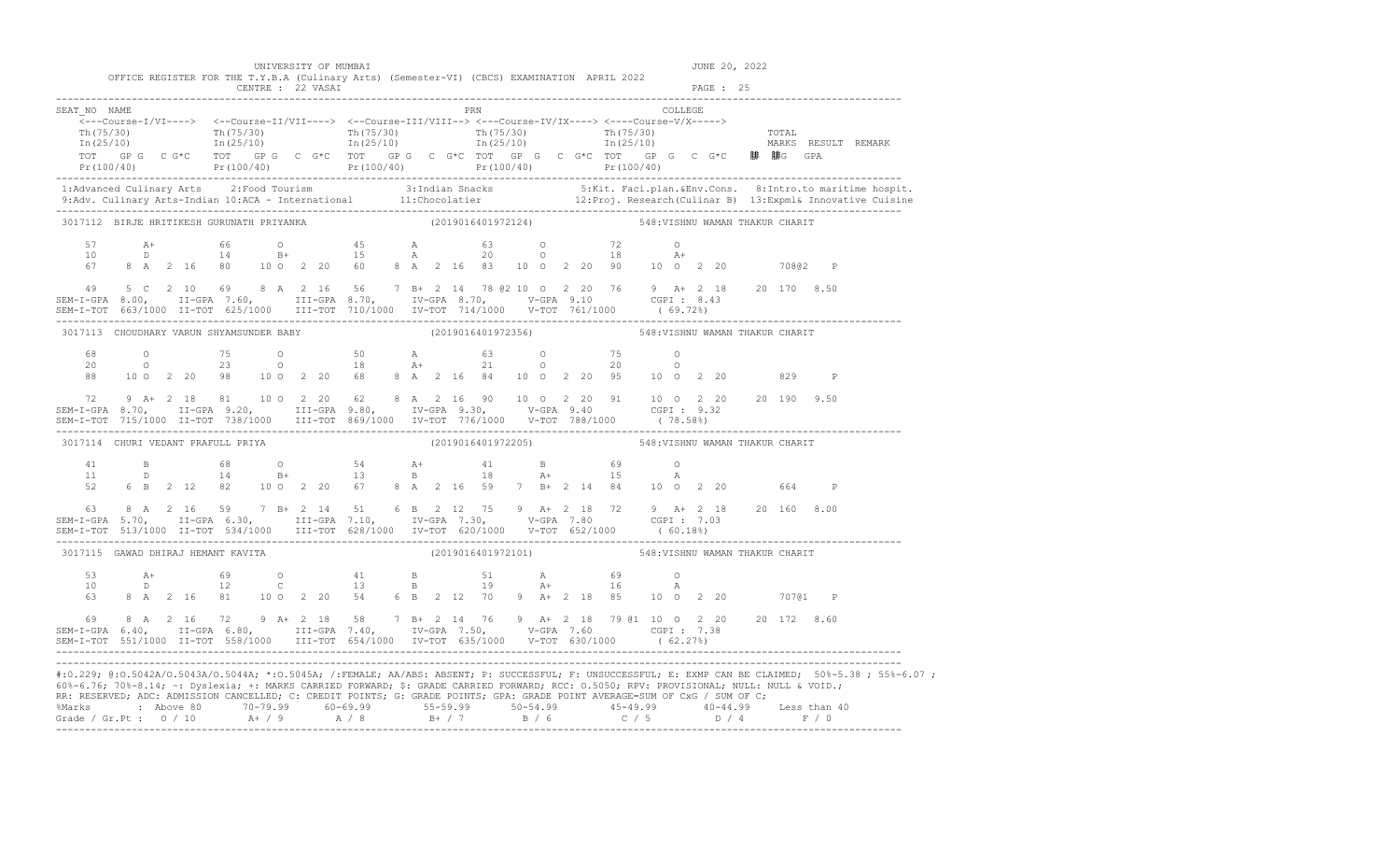| UNIVERSITY OF MUMBAI |  |  |  |
|----------------------|--|--|--|
|----------------------|--|--|--|

JUNE 20, 2022

|                                                                                                                                                                                                                                                                                                                                                   |  |  |  |  |  |  | OFFICE REGISTER FOR THE T.Y.B.A (Culinary Arts) (Semester-VI) (CBCS) EXAMINATION APRIL 2022                                |     |                    |  |                                 |         |  |  |              |                                                                                                                                                                                                                                                                                                                                                                                                                                                                                     |
|---------------------------------------------------------------------------------------------------------------------------------------------------------------------------------------------------------------------------------------------------------------------------------------------------------------------------------------------------|--|--|--|--|--|--|----------------------------------------------------------------------------------------------------------------------------|-----|--------------------|--|---------------------------------|---------|--|--|--------------|-------------------------------------------------------------------------------------------------------------------------------------------------------------------------------------------------------------------------------------------------------------------------------------------------------------------------------------------------------------------------------------------------------------------------------------------------------------------------------------|
| SEAT NO NAME                                                                                                                                                                                                                                                                                                                                      |  |  |  |  |  |  | $\overline{\langle}\text{---Course-I/VI--->}$<br>TOT GPG CG*C TOT GPG CG*C TOT GPG CG*C TOT GPG CG*C TOT GPG CG*C 腓 腓GPA   | PRN |                    |  |                                 | COLLEGE |  |  |              | $\frac{\text{Th}(75/30)}{\text{Th}(75/30)}$ $\frac{\text{Th}(75/30)}{\text{In}(25/10)}$ $\frac{\text{Th}(75/30)}{\text{In}(25/10)}$ $\frac{\text{Th}(75/30)}{\text{In}(25/10)}$ $\frac{\text{Th}(75/30)}{\text{In}(25/10)}$ $\frac{\text{Th}(75/30)}{\text{In}(25/10)}$ $\frac{\text{Tr}(75/30)}{\text{In}(25/10)}$ $\frac{\text{Tr}(75/30)}{\text{In}(25/10)}$ $\frac{\text$<br>Pr (100/40)<br>Pr (100/40) Pr (100/40) Pr (100/40) Pr (100/40) Pr (100/40) Pr (100/40) Pr (100/40) |
|                                                                                                                                                                                                                                                                                                                                                   |  |  |  |  |  |  |                                                                                                                            |     |                    |  |                                 |         |  |  |              | .1:Advanced Culinary Arts 2:Food Tourism 3:Indian Snacks 5:Kit. Faci.plan.&Env.Cons. 8:Intro.to maritime hospit<br>9:Adv. Culinary Arts-Indian 10:ACA - International 11:Chocolatier 12:Proj. Research(Culinar B) 13:Expml& Innov                                                                                                                                                                                                                                                   |
| 3017112 BIRJE HRITIKESH GURUNATH PRIYANKA                                                                                                                                                                                                                                                                                                         |  |  |  |  |  |  | (2019016401972124) 548:VISHNU WAMAN THAKUR CHARIT                                                                          |     |                    |  |                                 |         |  |  |              |                                                                                                                                                                                                                                                                                                                                                                                                                                                                                     |
| 57<br>10<br>67<br>49                                                                                                                                                                                                                                                                                                                              |  |  |  |  |  |  | 5 C 2 10 69 8 A 2 16 56 7 B+ 2 14 78 @ 2 10 0 2 20 76 9 A+ 2 18 20 170 8.50                                                |     |                    |  |                                 |         |  |  |              |                                                                                                                                                                                                                                                                                                                                                                                                                                                                                     |
| SEM-I-GPA 8.00, II-GPA 7.60, III-GPA 8.70, IV-GPA 8.70, V-GPA 9.10 CGPI: 8.43                                                                                                                                                                                                                                                                     |  |  |  |  |  |  |                                                                                                                            |     |                    |  |                                 |         |  |  |              |                                                                                                                                                                                                                                                                                                                                                                                                                                                                                     |
| 3017113 CHOUDHARY VARUN SHYAMSUNDER BABY                                                                                                                                                                                                                                                                                                          |  |  |  |  |  |  | (2019016401972356)                                                                                                         |     |                    |  | 548: VISHNU WAMAN THAKUR CHARIT |         |  |  |              |                                                                                                                                                                                                                                                                                                                                                                                                                                                                                     |
|                                                                                                                                                                                                                                                                                                                                                   |  |  |  |  |  |  | 88 10 0 2 20 98 10 0 2 20 68 8 A 2 16 84 10 0 2 20 95 10 0 2 20 829                                                        |     |                    |  |                                 |         |  |  | $\mathbb{P}$ |                                                                                                                                                                                                                                                                                                                                                                                                                                                                                     |
| 72                                                                                                                                                                                                                                                                                                                                                |  |  |  |  |  |  | 9 A+ 2 18 81 10 0 2 20 62 8 A 2 16 90 10 0 2 20 91 10 0 2 20 20 190 9.50                                                   |     |                    |  |                                 |         |  |  |              |                                                                                                                                                                                                                                                                                                                                                                                                                                                                                     |
| 3017114 CHURI VEDANT PRAFULL PRIYA                                                                                                                                                                                                                                                                                                                |  |  |  |  |  |  |                                                                                                                            |     | (2019016401972205) |  | 548: VISHNU WAMAN THAKUR CHARIT |         |  |  |              |                                                                                                                                                                                                                                                                                                                                                                                                                                                                                     |
| 41<br>11<br>52                                                                                                                                                                                                                                                                                                                                    |  |  |  |  |  |  |                                                                                                                            |     |                    |  |                                 |         |  |  |              |                                                                                                                                                                                                                                                                                                                                                                                                                                                                                     |
| $\begin{array}{cccccccccccc} 63 & 8 & A & 2 & 16 & 59 & 7 & B + & 2 & 14 & 51 & 6 & B & 2 & 12 & 75 & 9 & A + & 2 & 18 & 72 & 9 & A + & 2 & 18 & 20 & 160 & 8.00 \\ SEM-T-GPA & 5.70, & II-GPA & 6.30, & III-GPA & 7.10, & IV-GPA & 7.30, & V-GPA & 7.80 & CGPI : & 7.03 & \\ SEM-T-TOT & 513/1000 & II-TOT & 534/1000 & III-TOT & 628/1000 & IV$ |  |  |  |  |  |  |                                                                                                                            |     |                    |  |                                 |         |  |  |              |                                                                                                                                                                                                                                                                                                                                                                                                                                                                                     |
| 3017115 GAWAD DHIRAJ HEMANT KAVITA                                                                                                                                                                                                                                                                                                                |  |  |  |  |  |  |                                                                                                                            |     | (2019016401972101) |  | 548: VISHNU WAMAN THAKUR CHARIT |         |  |  |              |                                                                                                                                                                                                                                                                                                                                                                                                                                                                                     |
| 53<br>10<br>63                                                                                                                                                                                                                                                                                                                                    |  |  |  |  |  |  | A + 69 0 41 B 51 A 69 0<br>D 12 C 13 B 19 A + 16 A<br>8 A 2 16 81 10 0 2 20 54 6 B 2 12 70 9 A + 2 18 85 10 0 2 20 707@1 P |     |                    |  |                                 |         |  |  |              |                                                                                                                                                                                                                                                                                                                                                                                                                                                                                     |
| 69<br>SEM-I-GPA 6.40, II-GPA 6.80, III-GPA 7.40, IV-GPA 7.50, V-GPA 7.60 CGPI: 7.38<br>SEM-I-TOT 551/1000 II-TOT 558/1000 III-TOT 654/1000 IV-TOT 635/1000 V-TOT 630/1000 (62.27%)                                                                                                                                                                |  |  |  |  |  |  | 8 A 2 16 72 9 A+ 2 18 58 7 B+ 2 14 76 9 A+ 2 18 79 @1 10 0 2 20 20 172 8.60                                                |     |                    |  |                                 |         |  |  |              |                                                                                                                                                                                                                                                                                                                                                                                                                                                                                     |
| 60%-6.76; 70%-8.14; ~: Dyslexia; +: MARKS CARRIED FORWARD; \$: GRADE CARRIED FORWARD; RCC: 0.5050; RPV: PROVISIONAL; NULL: NULL & VOID.;<br>RR: RESERVED; ADC: ADMISSION CANCELLED; C: CREDIT POINTS; G: GRADE POINTS; GPA: GRADE POINT AVERAGE=SUM OF CxG / SUM OF C;                                                                            |  |  |  |  |  |  |                                                                                                                            |     |                    |  |                                 |         |  |  |              | #:0.229; @:0.5042A/0.5043A/0.5044A; *:0.5045A; /:FEMALE; AA/ABS: ABSENT; P: SUCCESSFUL; F: UNSUCCESSFUL; E: EXMP CAN BE CLAIMED; 50%-5.38; 55%-6.07;<br>%Marks : Above 80 70-79.99 60-69.99 55-59.99 50-54.99 45-49.99 40-44.99 Less than 40<br>Grade / Gr.Pt : 0 / 10 A+ / 9 A / 8 B+ / 7 B / 6 C / 5 D / 4 F / 0                                                                                                                                                                  |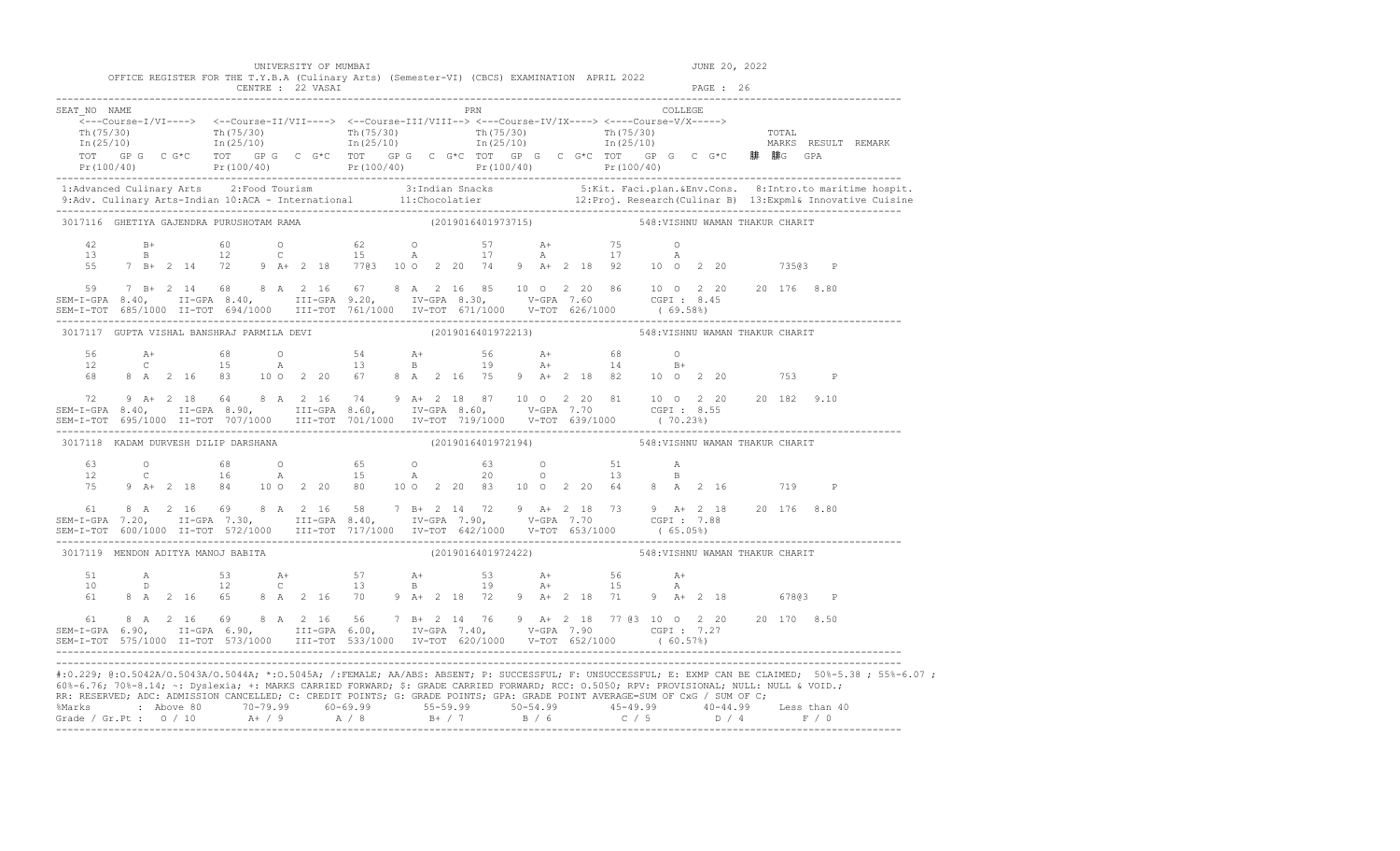UNIVERSITY OF MUMBAI **JUNE 20, 2022** 

|                                  |      | CENTRE : | FOR THE T.Y.B.A (Culinary Arts) (Semester-VI) (CBCS) EXAMINATION<br>22 VASAI |     | APRIL 2022 | PAGE : |  |
|----------------------------------|------|----------|------------------------------------------------------------------------------|-----|------------|--------|--|
| SEAT<br>$\overline{\phantom{0}}$ | NAME |          |                                                                              | PRN |            |        |  |

|    | TOT GPG CG*C TOT GPG CG*C TOT GPG CG*C TOT GPG CG*C TOT GPG CG*C fOT GPG CG*C 腓腓G GPA                                                                                                                                                                                                                                                                      |  |  |                                                                              |  |                                 | $Pr(100/40)$ $Pr(100/40)$ $Pr(100/40)$ $Pr(100/40)$ $Pr(100/40)$ $Pr(100/40)$ $Pr(100/40)$                                                           |
|----|------------------------------------------------------------------------------------------------------------------------------------------------------------------------------------------------------------------------------------------------------------------------------------------------------------------------------------------------------------|--|--|------------------------------------------------------------------------------|--|---------------------------------|------------------------------------------------------------------------------------------------------------------------------------------------------|
|    |                                                                                                                                                                                                                                                                                                                                                            |  |  |                                                                              |  |                                 |                                                                                                                                                      |
|    | 3017116 GHETIYA GAJENDRA PURUSHOTAM RAMA                                                                                                                                                                                                                                                                                                                   |  |  | (2019016401973715) 548: VISHNU WAMAN THAKUR CHARIT                           |  |                                 |                                                                                                                                                      |
|    | $\begin{array}{cccccccccccccccc} 42 & & B+ & & 60 & & O & & 62 & & O & & 57 & & A+ & & 75 & & O \\ 13 & & B & & 12 & & C & & 15 & & A & & 17 & & A & & 17 & & A \\ 55 & & 7 & B+ & 2 & 14 & & 72 & & 9 & A+ & 2 & 18 & & 77 \end{array}$                                                                                                                   |  |  |                                                                              |  |                                 |                                                                                                                                                      |
| 59 | 7 B+ 2 14 68 8 A 2 16 67 8 A 2 16 85 10 0 2 20 86 10 0 2 20 20 176 8.80                                                                                                                                                                                                                                                                                    |  |  |                                                                              |  |                                 |                                                                                                                                                      |
|    | 3017117 GUPTA VISHAL BANSHRAJ PARMILA DEVI (2019016401972213) 548: VISHNU WAMAN THAKUR CHARIT                                                                                                                                                                                                                                                              |  |  |                                                                              |  |                                 |                                                                                                                                                      |
|    | 68 8 A 2 16 83 10 0 2 20 67 8 A 2 16 75 9 A+ 2 18 82 10 0 2 20 753 P                                                                                                                                                                                                                                                                                       |  |  |                                                                              |  |                                 |                                                                                                                                                      |
|    |                                                                                                                                                                                                                                                                                                                                                            |  |  |                                                                              |  |                                 |                                                                                                                                                      |
|    | 3017118 KADAM DURVESH DILIP DARSHANA                                                                                                                                                                                                                                                                                                                       |  |  | (2019016401972194)                                                           |  | 548: VISHNU WAMAN THAKUR CHARIT |                                                                                                                                                      |
|    | $\begin{array}{cccccccccccccccc} 63 & & & 0 & & & 68 & & 0 & & 65 & & 0 & & 63 & & 0 & & 51 & & \text{A} \\ 12 & & C & & & 16 & & \text{A} & & 15 & & \text{A} & & 20 & & 0 & & 13 & & \text{B} \\ 75 & & 9 & \text{A} + & 2 & 18 & & 84 & & 10 & 0 & 2 & 20 & 80 & & 10 & 0 & 2 & 20 & 83 & & 10 & 0 & 2 & 20 & 64 & & 8 & \text{A} & 2 & 16 & & & 719 &$ |  |  |                                                                              |  |                                 |                                                                                                                                                      |
|    |                                                                                                                                                                                                                                                                                                                                                            |  |  |                                                                              |  |                                 |                                                                                                                                                      |
|    | 3017119 MENDON ADITYA MANOJ BABITA                                                                                                                                                                                                                                                                                                                         |  |  | (2019016401972422) 548: VISHNU WAMAN THAKUR CHARIT                           |  |                                 |                                                                                                                                                      |
|    | 61 8 A 2 16 65 8 A 2 16 70 9 A + 2 18 72 9 A + 2 18 71 9 A + 2 18 67803 P                                                                                                                                                                                                                                                                                  |  |  |                                                                              |  |                                 |                                                                                                                                                      |
| 61 | SEM-I-GPA 6.90, II-GPA 6.90, III-GPA 6.00, IV-GPA 7.40, V-GPA 7.90 CGPI 7.27<br>SEM-I-TOT 575/1000 II-TOT 573/1000 III-TOT 533/1000 IV-TOT 620/1000 V-TOT 652/1000 (60.57%)                                                                                                                                                                                |  |  | 8 A 2 16 69 8 A 2 16 56 7 B + 2 14 76 9 A + 2 18 77 @3 10 0 2 20 20 170 8.50 |  |                                 |                                                                                                                                                      |
|    |                                                                                                                                                                                                                                                                                                                                                            |  |  |                                                                              |  |                                 | #:0.229; @:0.5042A/0.5043A/0.5044A; *:0.5045A; /:FEMALE; AA/ABS: ABSENT; P: SUCCESSFUL; F: UNSUCCESSFUL; E: EXMP CAN BE CLAIMED; 50%-5.38; 55%-6.07; |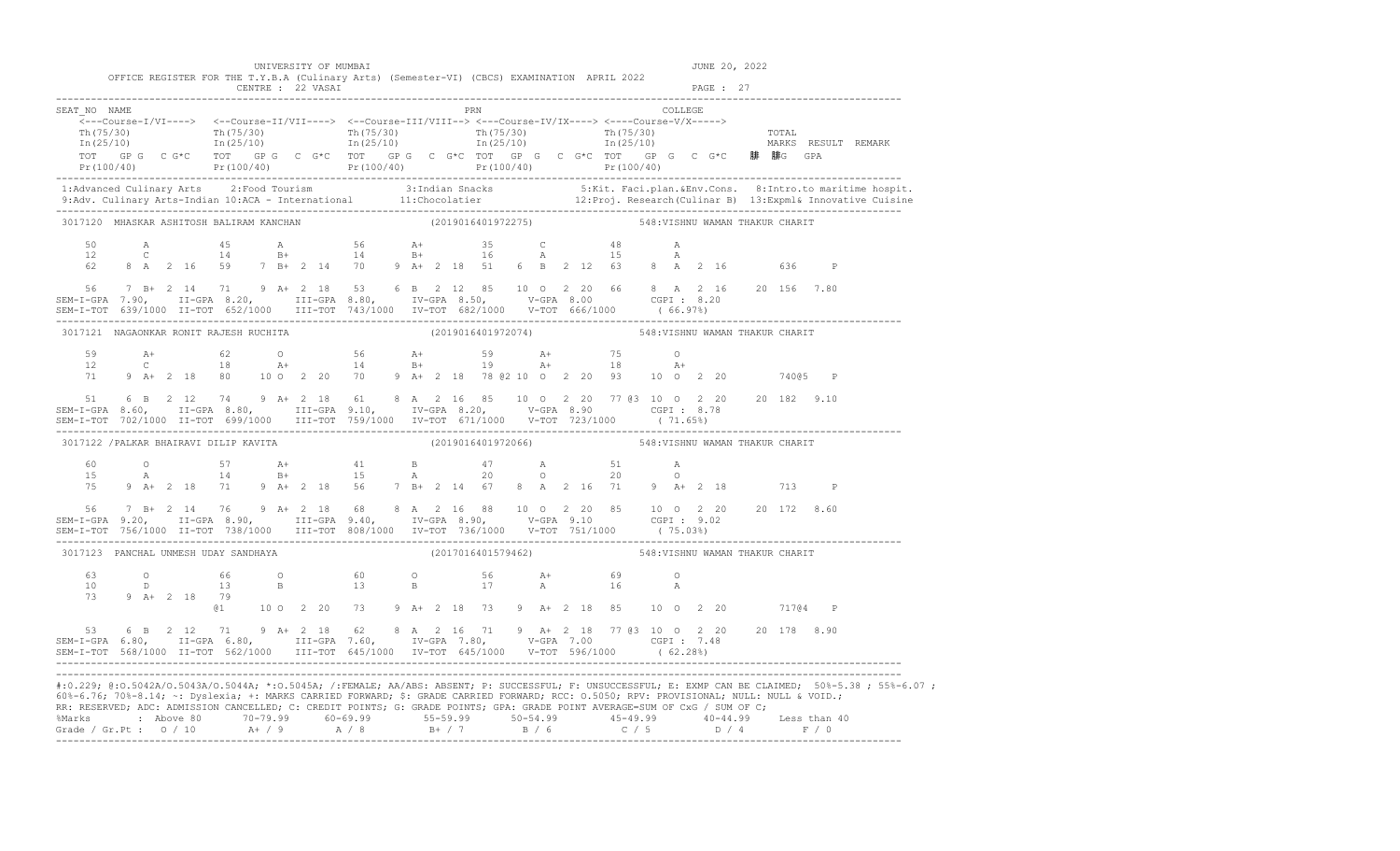| UNIVERSITY OF MUMBAI |  |  |
|----------------------|--|--|

| UNIVERSITY OF MUMBAI                                                                        | JUNE 20, 2022 |
|---------------------------------------------------------------------------------------------|---------------|
| OFFICE REGISTER FOR THE T.Y.B.A (Culinary Arts) (Semester-VI) (CBCS) EXAMINATION APRIL 2022 |               |
| CENTRE : 22 VASAI                                                                           | PAGE : 27     |

| SEAT NO NAME                                                                                                                                                                                                                                                           |  |  |  |  |                                                                                                             |  | PRN |                                                    |  |  |  | COLLEGE |  |                                |                                                                                       |                                                                                                                                                                                                                                   |
|------------------------------------------------------------------------------------------------------------------------------------------------------------------------------------------------------------------------------------------------------------------------|--|--|--|--|-------------------------------------------------------------------------------------------------------------|--|-----|----------------------------------------------------|--|--|--|---------|--|--------------------------------|---------------------------------------------------------------------------------------|-----------------------------------------------------------------------------------------------------------------------------------------------------------------------------------------------------------------------------------|
|                                                                                                                                                                                                                                                                        |  |  |  |  | <---Course-I/VI----> <--Course-II/VII----> <--Course-III/VIII--> <---Course-IV/IX----> <---Course-V/X-----> |  |     |                                                    |  |  |  |         |  |                                | TOT GPG CG*C TOT GPG CG*C TOT GPG CG*C TOT GPG CG*C TOT GPG CG*C TOT GPG CG*C 腓腓G GPA |                                                                                                                                                                                                                                   |
|                                                                                                                                                                                                                                                                        |  |  |  |  |                                                                                                             |  |     |                                                    |  |  |  |         |  |                                |                                                                                       | $Pr(100/40)$ $Pr(100/40)$ $Pr(100/40)$ $Pr(100/40)$ $Pr(100/40)$ $Pr(100/40)$ $Pr(100/40)$                                                                                                                                        |
|                                                                                                                                                                                                                                                                        |  |  |  |  |                                                                                                             |  |     |                                                    |  |  |  |         |  |                                |                                                                                       | .1:Advanced Culinary Arts 2:Food Tourism 3:Indian Snacks 5:Kit. Faci.plan.&Env.Cons. 8:Intro.to maritime hospit<br>9:Adv. Culinary Arts-Indian 10:ACA - International 11:Chocolatier 12:Proj. Research(Culinar B) 13:Expml& Innov |
| 3017120 MHASKAR ASHITOSH BALIRAM KANCHAN                                                                                                                                                                                                                               |  |  |  |  | (2019016401972275) 548: VISHNU WAMAN THAKUR CHARIT                                                          |  |     |                                                    |  |  |  |         |  |                                |                                                                                       |                                                                                                                                                                                                                                   |
|                                                                                                                                                                                                                                                                        |  |  |  |  | $12$ C $14$ $14$ $14$ $15$ $16$ $15$ $17$ $18$ $18$                                                         |  |     |                                                    |  |  |  |         |  |                                |                                                                                       |                                                                                                                                                                                                                                   |
| 56 7 B+ 2 14 71 9 A+ 2 18 53 6 B 2 12 85 10 0 2 20 66 8 A 2 16 20 156 7.80<br>SEM-I-GPA 7.90, II-GPA 8.20, III-GPA 8.80, IV-GPA 8.50, V-GPA 8.00 CGPI: 8.20                                                                                                            |  |  |  |  |                                                                                                             |  |     |                                                    |  |  |  |         |  |                                |                                                                                       |                                                                                                                                                                                                                                   |
| 3017121 NAGAONKAR RONIT RAJESH RUCHITA                                                                                                                                                                                                                                 |  |  |  |  |                                                                                                             |  |     |                                                    |  |  |  |         |  |                                |                                                                                       |                                                                                                                                                                                                                                   |
|                                                                                                                                                                                                                                                                        |  |  |  |  |                                                                                                             |  |     |                                                    |  |  |  |         |  |                                |                                                                                       |                                                                                                                                                                                                                                   |
| 51                                                                                                                                                                                                                                                                     |  |  |  |  |                                                                                                             |  |     |                                                    |  |  |  |         |  |                                | 6 B 2 12 74 9 A + 2 18 61 8 A 2 16 85 10 0 2 20 77 @ 3 10 0 2 20 20 182 9.10          |                                                                                                                                                                                                                                   |
| 3017122 / PALKAR BHAIRAVI DILIP KAVITA                                                                                                                                                                                                                                 |  |  |  |  |                                                                                                             |  |     | (2019016401972066)                                 |  |  |  |         |  | 548:VISHNU WAMAN THAKUR CHARIT |                                                                                       |                                                                                                                                                                                                                                   |
|                                                                                                                                                                                                                                                                        |  |  |  |  |                                                                                                             |  |     |                                                    |  |  |  |         |  |                                |                                                                                       |                                                                                                                                                                                                                                   |
| 56 7 B+ 2 14 76 9 A+ 2 18 68 8 A 2 16 88 10 0 2 20 85 10 0 2 20 20 172 8.60<br>SEM-I-GPA 9.20, II-GPA 8.90, III-GPA 9.40, IV-GPA 8.90, V-GPA 9.10 CGPI : 9.02<br>SEM-I-TOT 756/1000 II-TOT 738/1000 III-TOT 808/1000 IV-TOT 736/10                                     |  |  |  |  |                                                                                                             |  |     |                                                    |  |  |  |         |  |                                |                                                                                       |                                                                                                                                                                                                                                   |
| 3017123 PANCHAL UNMESH UDAY SANDHAYA                                                                                                                                                                                                                                   |  |  |  |  |                                                                                                             |  |     | (2017016401579462) 548: VISHNU WAMAN THAKUR CHARIT |  |  |  |         |  |                                |                                                                                       |                                                                                                                                                                                                                                   |
| 73 9 A+ 2 18 79                                                                                                                                                                                                                                                        |  |  |  |  | $10$ D $13$ B $13$ B $17$ A $16$ A                                                                          |  |     |                                                    |  |  |  |         |  |                                |                                                                                       |                                                                                                                                                                                                                                   |
|                                                                                                                                                                                                                                                                        |  |  |  |  |                                                                                                             |  |     |                                                    |  |  |  |         |  |                                | @1  10  0  2  20  73  9  A+  2  18  73  9  A+  2  18  85  10  0  2  20  717@4  P      |                                                                                                                                                                                                                                   |
| 53 6 B 2 12 71 9 A + 2 18 62 8 A 2 16 71 9 A + 2 18 77 @ 3 10 0 2 20 20 178 8.90<br>SEM-I-GPA 6.80, II-GPA 6.80, III-GPA 7.60, IV-GPA 7.80, V-GPA 7.00 CGPI: 7.48                                                                                                      |  |  |  |  |                                                                                                             |  |     |                                                    |  |  |  |         |  |                                |                                                                                       |                                                                                                                                                                                                                                   |
| 60%-6.76; 70%-8.14; ~: Dyslexia; +: MARKS CARRIED FORWARD; \$: GRADE CARRIED FORWARD; RCC: 0.5050; RPV: PROVISIONAL; NULL: NULL & VOID.;<br>RR: RESERVED; ADC: ADMISSION CANCELLED; C: CREDIT POINTS; G: GRADE POINTS; GPA: GRADE POINT AVERAGE=SUM OF CxG / SUM OF C; |  |  |  |  |                                                                                                             |  |     |                                                    |  |  |  |         |  |                                |                                                                                       | #:0.229; @:0.5042A/0.5043A/0.5044A; *:0.5045A; /:FEMALE; AA/ABS: ABSENT; P: SUCCESSFUL; F: UNSUCCESSFUL; E: EXMP CAN BE CLAIMED; 50%-5.38; 55%-6.07;                                                                              |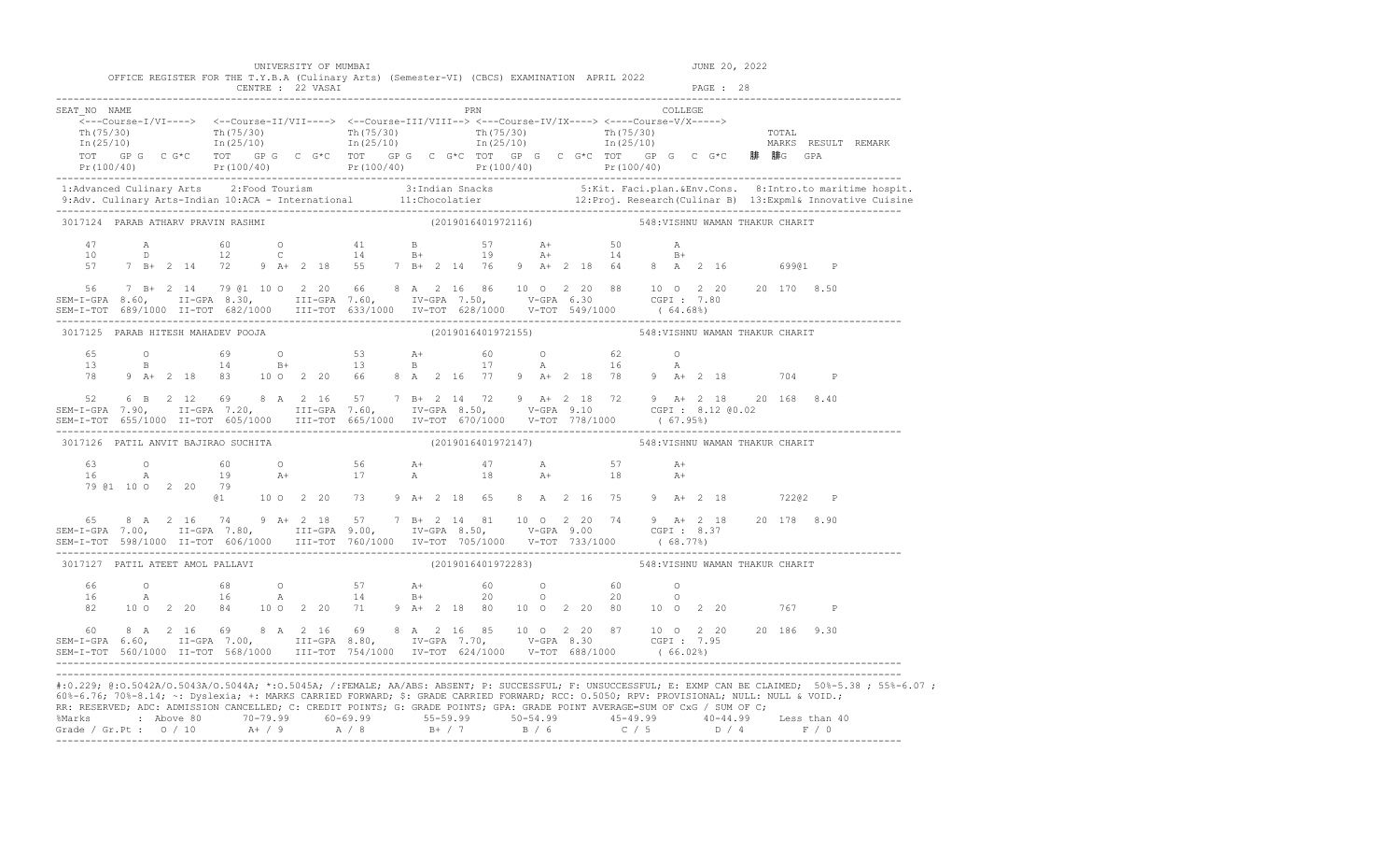| UNIVERSITY OF MUMBAI |  |  |  |
|----------------------|--|--|--|
|----------------------|--|--|--|

|                                     |                     |   |                    |                | UNIVERSITY OF MUMBAI |  |  |  |                    | OFFICE REGISTER FOR THE T.Y.B.A (Culinary Arts) (Semester-VI) (CBCS) EXAMINATION APRIL 2022                                                                                                                                                                                                                 |  |                   |                     |           | JUNE 20, 2022 |                                 |       |                                                                                                                                                                                                                                                                                                                                                                               |
|-------------------------------------|---------------------|---|--------------------|----------------|----------------------|--|--|--|--------------------|-------------------------------------------------------------------------------------------------------------------------------------------------------------------------------------------------------------------------------------------------------------------------------------------------------------|--|-------------------|---------------------|-----------|---------------|---------------------------------|-------|-------------------------------------------------------------------------------------------------------------------------------------------------------------------------------------------------------------------------------------------------------------------------------------------------------------------------------------------------------------------------------|
|                                     |                     |   | CENTRE : 22 VASAI  |                |                      |  |  |  |                    |                                                                                                                                                                                                                                                                                                             |  |                   |                     | PAGE : 28 |               |                                 |       |                                                                                                                                                                                                                                                                                                                                                                               |
| SEAT NO NAME                        |                     |   |                    |                |                      |  |  |  | PRN                |                                                                                                                                                                                                                                                                                                             |  |                   | COLLEGE             |           |               |                                 |       |                                                                                                                                                                                                                                                                                                                                                                               |
|                                     |                     |   |                    |                |                      |  |  |  |                    | <---Course-I/VI----> <--Course-II/VII----> <--Course-III/VIII--> <---Course-IV/IX----> <---Course-V/X----->                                                                                                                                                                                                 |  |                   |                     |           |               |                                 |       | $\frac{\text{Th}(75/30)}{\text{Th}(75/30)}$ $\frac{\text{Th}(75/30)}{\text{In}(25/10)}$ $\frac{\text{Th}(75/30)}{\text{In}(25/10)}$ $\frac{\text{Th}(75/30)}{\text{In}(25/10)}$ $\frac{\text{Th}(75/30)}{\text{In}(25/10)}$ $\frac{\text{Th}(75/30)}{\text{In}(25/10)}$ $\frac{\text{Th}(75/30)}{\text{In}(25/10)}$ $\frac{\text{Tr}(75/30)}{\text{In}(25/10)}$ $\frac{\text$ |
|                                     |                     |   |                    |                |                      |  |  |  |                    |                                                                                                                                                                                                                                                                                                             |  |                   |                     |           |               |                                 |       | 1:Advanced Culinary Arts 2:Food Tourism 3:Indian Snacks 5:Kit. Faci.plan.&Env.Cons. 8:Intro.to maritime hospit.<br>9:Adv. Culinary Arts-Indian 10:ACA - International 11:Chocolatier 12:Proj. Research (Culinar B) 13:Expml& Inno                                                                                                                                             |
| 3017124 PARAB ATHARV PRAVIN RASHMI  |                     |   |                    |                |                      |  |  |  | (2019016401972116) |                                                                                                                                                                                                                                                                                                             |  |                   |                     |           |               | 548: VISHNU WAMAN THAKUR CHARIT |       |                                                                                                                                                                                                                                                                                                                                                                               |
| 10                                  | 47 A                | D |                    |                |                      |  |  |  |                    | 60 0 41 B 57 A+ 50<br>12 C 14 B+ 19 A+ 14<br>57 7 B+ 2 14 72 9 A+ 2 18 55 7 B+ 2 14 76 9 A+ 2 18 64 8 A 2 16 69901 P                                                                                                                                                                                        |  |                   | $\mathbb A$<br>$B+$ |           |               |                                 |       |                                                                                                                                                                                                                                                                                                                                                                               |
|                                     |                     |   |                    |                |                      |  |  |  |                    | 56 7 B+ 2 14 79 @1 10 0 2 20 66 8 A 2 16 86 10 0 2 20 88 10 0 2 20 20 170 8.50<br>SEM-I-GPA 8.60, II-GPA 8.30, III-GPA 7.60, IV-GPA 7.50, V-GPA 6.30 CGPI: 7.80                                                                                                                                             |  |                   |                     |           |               |                                 |       |                                                                                                                                                                                                                                                                                                                                                                               |
| 3017125 PARAB HITESH MAHADEV POOJA  |                     |   |                    |                |                      |  |  |  |                    | (2019016401972155)                                                                                                                                                                                                                                                                                          |  |                   |                     |           |               | 548: VISHNU WAMAN THAKUR CHARIT |       |                                                                                                                                                                                                                                                                                                                                                                               |
|                                     |                     |   |                    |                |                      |  |  |  |                    | $13$ B $14$ $13$ $15$ $17$ $18$ $16$<br>$13$ $15$ $17$ $16$<br>78 9 A+ 2 18 83 10 0 2 20 66 8 A 2 16 77 9 A+ 2 18 78 9 A+ 2 18 704 P                                                                                                                                                                        |  | $\overline{A}$ 16 | $\overline{O}$<br>A |           |               |                                 |       |                                                                                                                                                                                                                                                                                                                                                                               |
|                                     |                     |   |                    |                |                      |  |  |  |                    | 52 6 B 2 12 69 8 A 2 16 57 7 B + 2 14 72 9 A + 2 18 72 9 A + 2 18 20 168 8.40<br>SEM-I-GPA 7.90, II-GPA 7.20, III-GPA 7.60, IV-GPA 8.50, V-GPA 9.10 CGPI: 8.12 @0.02                                                                                                                                        |  |                   |                     |           |               |                                 |       |                                                                                                                                                                                                                                                                                                                                                                               |
| 3017126 PATIL ANVIT BAJIRAO SUCHITA |                     |   |                    |                |                      |  |  |  | (2019016401972147) |                                                                                                                                                                                                                                                                                                             |  |                   |                     |           |               | 548: VISHNU WAMAN THAKUR CHARIT |       |                                                                                                                                                                                                                                                                                                                                                                               |
|                                     |                     |   | 79 @1 10 0 2 20 79 | a <sub>1</sub> |                      |  |  |  |                    | 63 0 60 0 56 A+ 47 A 57<br>16 A 19 A+ 17 A 18 A+ 18<br>10 0 2 20 73 9 A+ 2 18 65 8 A 2 16 75 9 A+ 2 18 72202 P                                                                                                                                                                                              |  |                   | $A+$<br>$A+$        |           |               |                                 |       |                                                                                                                                                                                                                                                                                                                                                                               |
| 65                                  |                     |   |                    |                |                      |  |  |  |                    | 8 A 2 16 74 9 A + 2 18 57 7 B + 2 14 81 10 0 2 20 74 9 A + 2 18 20 178 8.90<br>SEM-I-GPA 7.00, II-GPA 7.80, III-GPA 9.00, IV-GPA 8.50, V-GPA 9.00 CGPI : 8.37<br>SEM-I-TOT 598/1000 II-TOT 606/1000 III-TOT 760/1000 IV-TOT 705/1000 V-TOT 733/1000 (68.77%)                                                |  |                   |                     |           |               |                                 |       |                                                                                                                                                                                                                                                                                                                                                                               |
| 3017127 PATIL ATEET AMOL PALLAVI    |                     |   |                    |                |                      |  |  |  |                    | (2019016401972283)                                                                                                                                                                                                                                                                                          |  |                   |                     |           |               | 548: VISHNU WAMAN THAKUR CHARIT |       |                                                                                                                                                                                                                                                                                                                                                                               |
| 66 -<br>16                          | $\overline{O}$<br>A |   | 68                 | 16             |                      |  |  |  |                    | 0 57 A+ 60 0 60 0<br>A 14 B+ 20 0 20 0<br>82 10 0 2 20 84 10 0 2 20 71 9 A+ 2 18 80 10 0 2 20 80 10 0 2 20                                                                                                                                                                                                  |  |                   |                     |           |               |                                 | 767 P |                                                                                                                                                                                                                                                                                                                                                                               |
|                                     |                     |   |                    |                |                      |  |  |  |                    | $\texttt{SEM-I-GPA} \quad \texttt{6.60,} \qquad \texttt{11-GPA} \quad \texttt{7.00,} \qquad \texttt{III-GPA} \quad \texttt{8.80,} \qquad \texttt{IV-GPA} \quad \texttt{7.70,} \qquad \texttt{V-GPA} \quad \texttt{8.30} \qquad \texttt{CGPI :} \quad \texttt{7.95} \qquad \texttt{186} \quad \texttt{9.30}$ |  |                   |                     |           |               |                                 |       |                                                                                                                                                                                                                                                                                                                                                                               |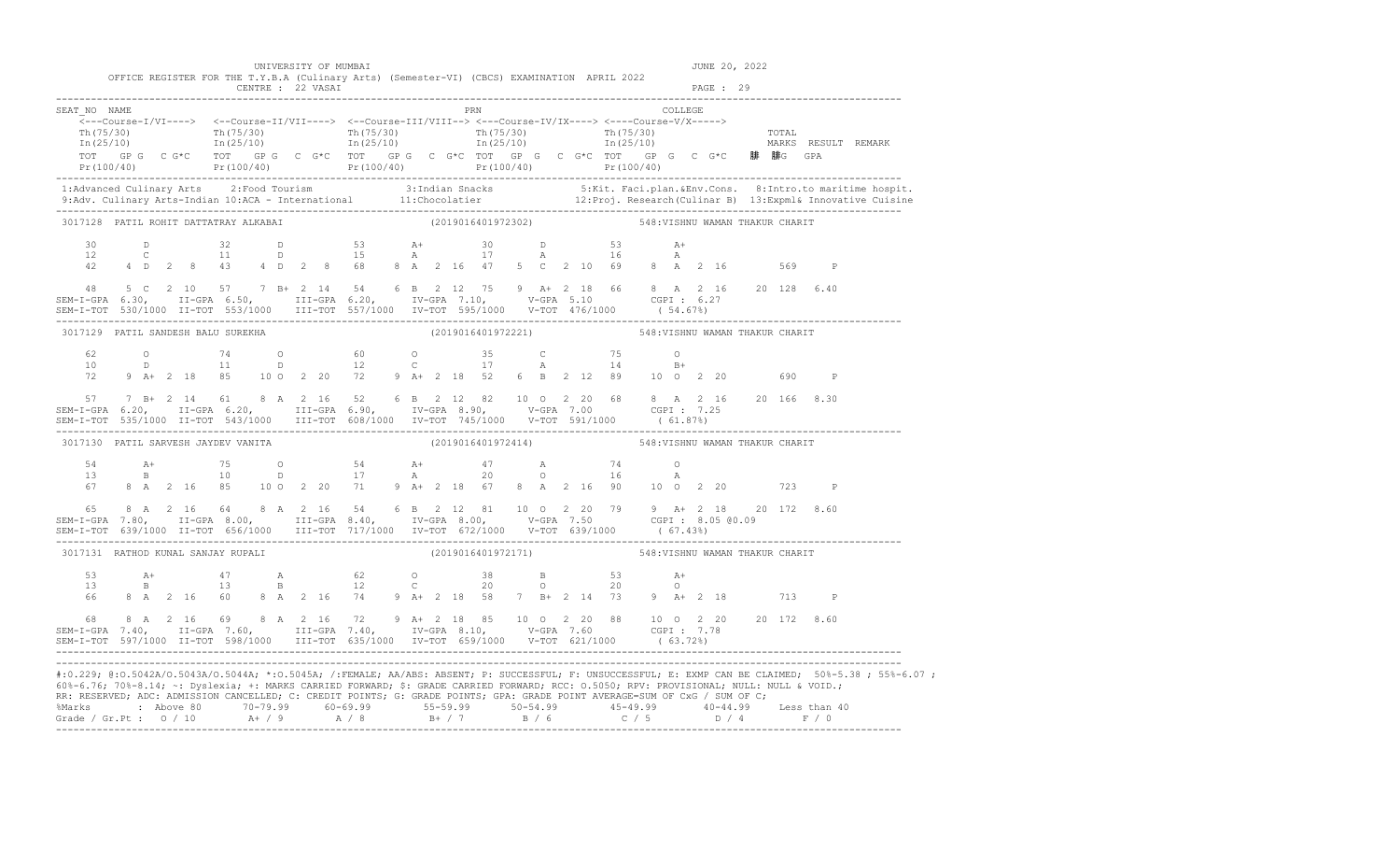| SEAT NO NAME                                                                                                                                                                       |                |              |            |  |                                                                                                                                                                                                                                                                                   |  | PRN                                                |  |  | COLLEGE |  |  |                                                                                |                                                                                                                                                                                                                                                                                                                            |
|------------------------------------------------------------------------------------------------------------------------------------------------------------------------------------|----------------|--------------|------------|--|-----------------------------------------------------------------------------------------------------------------------------------------------------------------------------------------------------------------------------------------------------------------------------------|--|----------------------------------------------------|--|--|---------|--|--|--------------------------------------------------------------------------------|----------------------------------------------------------------------------------------------------------------------------------------------------------------------------------------------------------------------------------------------------------------------------------------------------------------------------|
|                                                                                                                                                                                    |                |              |            |  | <---Course-I/VI----> <--Course-II/VII----> <--Course-III/VIII--> <---Course-IV/IX----> <---Course-V/X----->                                                                                                                                                                       |  |                                                    |  |  |         |  |  | TOT GPG CG*C TOT GPG CG*C TOT GPG CG*C TOT GPG CG*C TOT GPG CG*C BF BF BFG GPA | Pr (100/40) Pr (100/40) Pr (100/40) Pr (100/40) Pr (100/40) Pr (100/40) Pr (100/40) Pr (100/40)                                                                                                                                                                                                                            |
|                                                                                                                                                                                    |                |              |            |  |                                                                                                                                                                                                                                                                                   |  |                                                    |  |  |         |  |  |                                                                                |                                                                                                                                                                                                                                                                                                                            |
| 3017128 PATIL ROHIT DATTATRAY ALKABAI                                                                                                                                              |                |              |            |  | (2019016401972302) 548:VISHNU WAMAN THAKUR CHARIT                                                                                                                                                                                                                                 |  |                                                    |  |  |         |  |  |                                                                                |                                                                                                                                                                                                                                                                                                                            |
| 30<br>$12 -$<br>42<br>48                                                                                                                                                           |                | $\mathbb{C}$ | D 32<br>11 |  | D 53 A+ 30 D 53 A+<br>D 15 A 17 A 16 A<br>4 D 2 8 43 4 D 2 8 68 8 A 2 16 47 5 C 2 10 69 8 A 2 16 569<br>5 C 2 10 57 7 B+ 2 14 54 6 B 2 12 75 9 A+ 2 18 66 8 A 2 16 20 128 6.40                                                                                                    |  |                                                    |  |  |         |  |  | $\mathbb{P}$                                                                   |                                                                                                                                                                                                                                                                                                                            |
| SEM-I-GPA 6.30, II-GPA 6.50, III-GPA 6.20, IV-GPA 7.10, V-GPA 5.10 CGPI: 6.27                                                                                                      |                |              |            |  |                                                                                                                                                                                                                                                                                   |  |                                                    |  |  |         |  |  |                                                                                |                                                                                                                                                                                                                                                                                                                            |
| 3017129 PATIL SANDESH BALU SUREKHA                                                                                                                                                 |                |              |            |  |                                                                                                                                                                                                                                                                                   |  | (2019016401972221) 548: VISHNU WAMAN THAKUR CHARIT |  |  |         |  |  |                                                                                |                                                                                                                                                                                                                                                                                                                            |
| 62.<br>10<br>72                                                                                                                                                                    |                |              |            |  | 9 A+ 2 18 85 10 0 2 20 72 9 A+ 2 18 52 6 B 2 12 89 10 0 2 20 690                                                                                                                                                                                                                  |  |                                                    |  |  |         |  |  | $\mathbb{P}$                                                                   |                                                                                                                                                                                                                                                                                                                            |
|                                                                                                                                                                                    |                |              |            |  |                                                                                                                                                                                                                                                                                   |  |                                                    |  |  |         |  |  |                                                                                |                                                                                                                                                                                                                                                                                                                            |
| 3017130 PATIL SARVESH JAYDEV VANITA                                                                                                                                                |                |              |            |  |                                                                                                                                                                                                                                                                                   |  | (2019016401972414) 548:VISHNU WAMAN THAKUR CHARIT  |  |  |         |  |  |                                                                                |                                                                                                                                                                                                                                                                                                                            |
| 54<br>13<br>67                                                                                                                                                                     |                |              |            |  | 8 A 2 16 85 10 O 2 20 71 9 A+ 2 18 67 8 A 2 16 90 10 O 2 20 723                                                                                                                                                                                                                   |  |                                                    |  |  |         |  |  | $\mathbb{P}$                                                                   |                                                                                                                                                                                                                                                                                                                            |
|                                                                                                                                                                                    |                |              |            |  |                                                                                                                                                                                                                                                                                   |  |                                                    |  |  |         |  |  |                                                                                | $\begin{array}{cccccccccccc} 65 & 8 & A & 2 & 16 & 64 & 8 & A & 2 & 16 & 54 & 6 & B & 2 & 12 & 81 & 10 & 0 & 2 & 20 & 79 & 9 & A+ & 2 & 18 & 20 & 172 & 8.60 \\ SEM-T-GPA & 7.80 & 11-GPA & 8.00 & 111-GPA & 8.40 & 1V-GPA & 8.00 & V-GPA & 7.50 & 12 & 8.50 & 0.09 \\ SEM-T-TOT & 639/1000 & 11-TOT & 656/1000 & 1II-TOT$ |
| 3017131 RATHOD KUNAL SANJAY RUPALI                                                                                                                                                 |                |              |            |  |                                                                                                                                                                                                                                                                                   |  | (2019016401972171) 548: VISHNU WAMAN THAKUR CHARIT |  |  |         |  |  |                                                                                |                                                                                                                                                                                                                                                                                                                            |
| 53<br>$13 -$<br>66                                                                                                                                                                 | $\overline{B}$ | $A+$         | 13         |  | $\begin{array}{ccccccccccc} 47 & & & {\rm A} & & & & 62 & & {\rm O} & & & 38 & & {\rm B} & & & 53 & & {\rm A}+ \\ 13 & & & {\rm B} & & & 12 & & {\rm C} & & & 20 & & {\rm O} & & & 20 & & {\rm O} \end{array}$<br>8 A 2 16 60 8 A 2 16 74 9 A+ 2 18 58 7 B+ 2 14 73 9 A+ 2 18 713 |  |                                                    |  |  |         |  |  | $\mathbb{P}$                                                                   |                                                                                                                                                                                                                                                                                                                            |
| 68<br>SEM-I-GPA 7.40, II-GPA 7.60, III-GPA 7.40, IV-GPA 8.10, V-GPA 7.60 CGPI: 7.78<br>SEM-I-TOT 597/1000 II-TOT 598/1000 III-TOT 635/1000 IV-TOT 659/1000 V-TOT 621/1000 (63.72%) |                |              |            |  | 8 A 2 16 69 8 A 2 16 72 9 A + 2 18 85 10 O 2 20 88 10 O 2 20 20 172 8.60                                                                                                                                                                                                          |  |                                                    |  |  |         |  |  |                                                                                |                                                                                                                                                                                                                                                                                                                            |

|                            |  |                   | KK, KESEKVED, ADU, ADMISSIUN UANULLLED, U, UKEDII PUINIS, U, UKADE PUINIS, UPA, UKADE PUINI AVEKAULFSUM UP UXU / SUM UP U, |     |          |                       |  |
|----------------------------|--|-------------------|----------------------------------------------------------------------------------------------------------------------------|-----|----------|-----------------------|--|
| %Marks : Above 80 70-79.99 |  |                   | $60 - 69.99$ $55 - 59.99$ $50 - 54.99$                                                                                     |     | 45-49.99 | 40-44.99 Less than 40 |  |
| Grade / Gr.Pt : $0/10$     |  | $A + / 9$ $A / 8$ | R+ / 7                                                                                                                     | R/6 | C/5      |                       |  |
|                            |  |                   |                                                                                                                            |     |          |                       |  |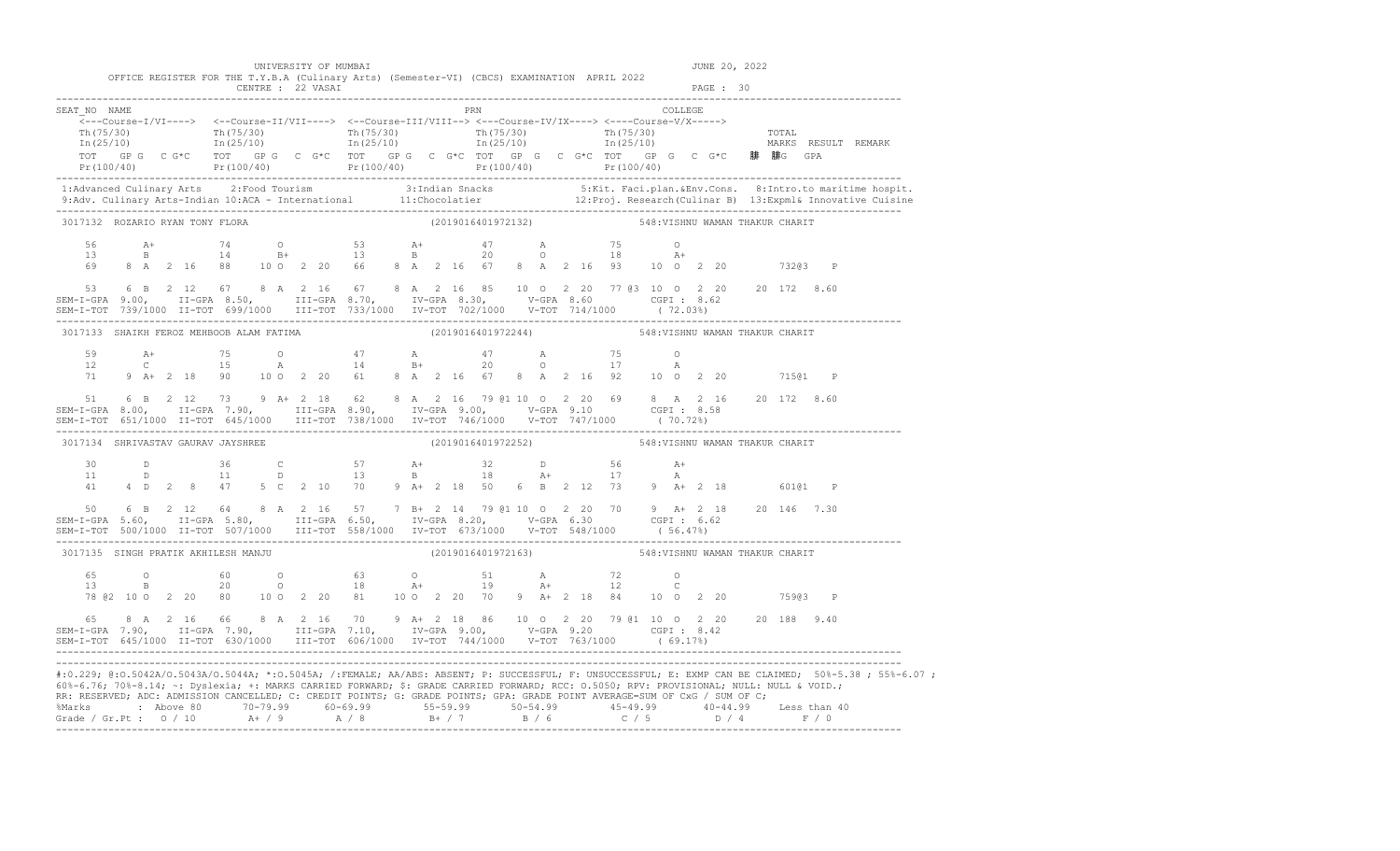|                                                                                                                                                                                                                                                                                                                                                                                                      |                                          |  |  |  |  |  |  |  |  |  |                                                    | UNIVERSITY OF MUMBAI |  |            |                                                                                                                                                                                                                                                                                                                                     |  |  |  |  |         |  |  |  | JUNE 20, 2022 |  |  |                                 |  |                                                                                                                                                                                                                                                                                                                                                                                                                                |
|------------------------------------------------------------------------------------------------------------------------------------------------------------------------------------------------------------------------------------------------------------------------------------------------------------------------------------------------------------------------------------------------------|------------------------------------------|--|--|--|--|--|--|--|--|--|----------------------------------------------------|----------------------|--|------------|-------------------------------------------------------------------------------------------------------------------------------------------------------------------------------------------------------------------------------------------------------------------------------------------------------------------------------------|--|--|--|--|---------|--|--|--|---------------|--|--|---------------------------------|--|--------------------------------------------------------------------------------------------------------------------------------------------------------------------------------------------------------------------------------------------------------------------------------------------------------------------------------------------------------------------------------------------------------------------------------|
|                                                                                                                                                                                                                                                                                                                                                                                                      |                                          |  |  |  |  |  |  |  |  |  | CENTRE : 22 VASAI                                  |                      |  |            | OFFICE REGISTER FOR THE T.Y.B.A (Culinary Arts) (Semester-VI) (CBCS) EXAMINATION APRIL 2022                                                                                                                                                                                                                                         |  |  |  |  |         |  |  |  | PAGE : 30     |  |  |                                 |  |                                                                                                                                                                                                                                                                                                                                                                                                                                |
| SEAT NO NAME                                                                                                                                                                                                                                                                                                                                                                                         |                                          |  |  |  |  |  |  |  |  |  |                                                    |                      |  | <b>PRN</b> | $\overbrace{\texttt{<--Course-1/VI--->}} \hspace{1.3cm} \xleftarrows -\texttt{Course-II/VII--->} \hspace{1.3cm} \xleftarrows -\texttt{Course-III/VIII-->} \hspace{1.3cm} \xleftarrows -\texttt{Course-IVIX--->} \hspace{1.3cm} \xleftarrows -\texttt{course-IVIX--->} \hspace{1.3cm} \xleftarrows -\texttt{course-V/X--->} \right.$ |  |  |  |  | COLLEGE |  |  |  |               |  |  |                                 |  | $\begin{array}{cccccccccc} \texttt{Th(75/30)} & & & & \texttt{Th(75/30)} & & & & \texttt{Th(75/30)} & & & & \texttt{Th(75/30)} & & & & \texttt{Th(75/30)} & & & & \texttt{Th(25/10)} & & & & \texttt{Th(25/10)} & & & & \texttt{In(25/10)} & & & & \end{array}$<br>TOT GP G C G*C TOT GP G C G*C TOT GP G C G*C TOT GP G C G*C C G*C B非 腓G GPA<br>Pr(100/40) Pr(100/40) Pr(100/40) Pr(100/40) Pr(100/40) Pr(100/40) Pr(100/40) |
|                                                                                                                                                                                                                                                                                                                                                                                                      |                                          |  |  |  |  |  |  |  |  |  |                                                    |                      |  |            |                                                                                                                                                                                                                                                                                                                                     |  |  |  |  |         |  |  |  |               |  |  |                                 |  | 1:Advanced Culinary Arts 2:Food Tourism 3:Indian Snacks 5:Kit. Faci.plan.&Env.Cons. 8:Intro.to maritime hospit.<br>9:Adv. Culinary Arts-Indian 10:ACA - International 11:Chocolatier 12:Proj. Research (Culinar B) 13:Expml& Inno                                                                                                                                                                                              |
| 3017132 ROZARIO RYAN TONY FLORA                                                                                                                                                                                                                                                                                                                                                                      |                                          |  |  |  |  |  |  |  |  |  |                                                    |                      |  |            | (2019016401972132)                                                                                                                                                                                                                                                                                                                  |  |  |  |  |         |  |  |  |               |  |  | 548: VISHNU WAMAN THAKUR CHARIT |  |                                                                                                                                                                                                                                                                                                                                                                                                                                |
|                                                                                                                                                                                                                                                                                                                                                                                                      |                                          |  |  |  |  |  |  |  |  |  |                                                    |                      |  |            |                                                                                                                                                                                                                                                                                                                                     |  |  |  |  |         |  |  |  |               |  |  |                                 |  |                                                                                                                                                                                                                                                                                                                                                                                                                                |
| $$\tt 53 \qquad 6 B \qquad 2 \quad 12 \qquad 67 \qquad 8 A \qquad 2 \quad 16 \qquad 67 \qquad 8 A \qquad 2 \quad 16 \qquad 85 \qquad 10 \qquad 0 \qquad 2 \quad 20 \qquad 77 \quad 63 \quad 10 \qquad 0 \qquad 2 \quad 20 \qquad 20 \qquad 172 \qquad 8.60$<br>$$\tt SEM-I-GPA \qquad 9.00, \qquad II-GPA \qquad 8.50, \qquad III-GPA \qquad 8.70, \qquad IV-GPA \qquad 8.30, \qquad V-GPA \qquad 8$ |                                          |  |  |  |  |  |  |  |  |  |                                                    |                      |  |            |                                                                                                                                                                                                                                                                                                                                     |  |  |  |  |         |  |  |  |               |  |  |                                 |  |                                                                                                                                                                                                                                                                                                                                                                                                                                |
|                                                                                                                                                                                                                                                                                                                                                                                                      | 3017133 SHAIKH FEROZ MEHBOOB ALAM FATIMA |  |  |  |  |  |  |  |  |  | (2019016401972244) 548: VISHNU WAMAN THAKUR CHARIT |                      |  |            |                                                                                                                                                                                                                                                                                                                                     |  |  |  |  |         |  |  |  |               |  |  |                                 |  |                                                                                                                                                                                                                                                                                                                                                                                                                                |
|                                                                                                                                                                                                                                                                                                                                                                                                      |                                          |  |  |  |  |  |  |  |  |  |                                                    |                      |  |            |                                                                                                                                                                                                                                                                                                                                     |  |  |  |  |         |  |  |  |               |  |  |                                 |  |                                                                                                                                                                                                                                                                                                                                                                                                                                |
| 51 6 B 2 12 73 9 A + 2 18 62 8 A 2 16 79 @1 10 0 2 20 69 8 A 2 16 20 172 8.60<br>SEM-I-GPA 8.00, II-GPA 7.90, III-GPA 8.90, IV-GPA 9.00, V-GPA 9.10 CGPI: 8.58<br>SEM-I-TOT 651/1000 II-TOT 645/1000 III-TOT 738/1000 IV-TOT 746/1000 V-TOT 747/1000 (70.72%)                                                                                                                                        |                                          |  |  |  |  |  |  |  |  |  |                                                    |                      |  |            |                                                                                                                                                                                                                                                                                                                                     |  |  |  |  |         |  |  |  |               |  |  |                                 |  |                                                                                                                                                                                                                                                                                                                                                                                                                                |
| 3017134 SHRIVASTAV GAURAV JAYSHREE                                                                                                                                                                                                                                                                                                                                                                   |                                          |  |  |  |  |  |  |  |  |  |                                                    |                      |  |            | (2019016401972252) 548: VISHNU WAMAN THAKUR CHARIT                                                                                                                                                                                                                                                                                  |  |  |  |  |         |  |  |  |               |  |  |                                 |  |                                                                                                                                                                                                                                                                                                                                                                                                                                |
|                                                                                                                                                                                                                                                                                                                                                                                                      |                                          |  |  |  |  |  |  |  |  |  |                                                    |                      |  |            |                                                                                                                                                                                                                                                                                                                                     |  |  |  |  |         |  |  |  |               |  |  |                                 |  |                                                                                                                                                                                                                                                                                                                                                                                                                                |
|                                                                                                                                                                                                                                                                                                                                                                                                      |                                          |  |  |  |  |  |  |  |  |  |                                                    |                      |  |            | 50  6  B  2  12  64  8  A  2  16  57  7  B  +  2  14  79  @1  10  0  2  20  70  9  A  +  2  18  20  146  7.30                                                                                                                                                                                                                       |  |  |  |  |         |  |  |  |               |  |  |                                 |  |                                                                                                                                                                                                                                                                                                                                                                                                                                |
| 3017135 SINGH PRATIK AKHILESH MANJU                                                                                                                                                                                                                                                                                                                                                                  |                                          |  |  |  |  |  |  |  |  |  |                                                    |                      |  |            | (2019016401972163) 548: VISHNU WAMAN THAKUR CHARIT                                                                                                                                                                                                                                                                                  |  |  |  |  |         |  |  |  |               |  |  |                                 |  |                                                                                                                                                                                                                                                                                                                                                                                                                                |
|                                                                                                                                                                                                                                                                                                                                                                                                      |                                          |  |  |  |  |  |  |  |  |  |                                                    |                      |  |            | 78 @ 2 10 0 2 20 80 10 0 2 20 81 10 0 2 20 70 9 A+ 2 18 84 10 0 2 20                                                                                                                                                                                                                                                                |  |  |  |  |         |  |  |  |               |  |  | 75903 P                         |  |                                                                                                                                                                                                                                                                                                                                                                                                                                |
| 65 8 A 2 16 66 8 A 2 16 70 9 A + 2 18 86 10 0 2 20 79 @1 10 0 2 20 20 188 9.40<br>SEM-I-GPA 7.90, II-GPA 7.90, III-GPA 7.10, IV-GPA 9.00, V-GPA 9.20 CGPI 8.42<br>SEM-I-TOT 645/1000 II-TOT 630/1000 III-TOT 606/1000 IV-TOT 744/1000 V-TOT 763/1000 (69.17%)                                                                                                                                        |                                          |  |  |  |  |  |  |  |  |  |                                                    |                      |  |            |                                                                                                                                                                                                                                                                                                                                     |  |  |  |  |         |  |  |  |               |  |  |                                 |  |                                                                                                                                                                                                                                                                                                                                                                                                                                |
| 60%-6.76; 70%-8.14; ~: Dyslexia; +: MARKS CARRIED FORWARD; \$: GRADE CARRIED FORWARD; RCC: 0.5050; RPV: PROVISIONAL; NULL: NULL & VOID.;<br>RR: RESERVED; ADC: ADMISSION CANCELLED; C: CREDIT POINTS; G: GRADE POINTS; GPA: GRADE POINT AVERAGE=SUM OF CxG / SUM OF C;                                                                                                                               |                                          |  |  |  |  |  |  |  |  |  |                                                    |                      |  |            |                                                                                                                                                                                                                                                                                                                                     |  |  |  |  |         |  |  |  |               |  |  |                                 |  | #:0.229; @:0.5042A/0.5043A/0.5044A; *:0.5045A; /:FEMALE; AA/ABS: ABSENT; P: SUCCESSFUL; F: UNSUCCESSFUL; E: EXMP CAN BE CLAIMED; 50%-5.38; 55%-6.07;<br>%Marks : Above 80 70-79.99 60-69.99 55-59.99 50-54.99 45-49.99 40-44.99 Less than 40<br>Grade / Gr.Pt : 0 / 10 A+ / 9 A / 8 B+ / 7 B / 6 C / 5 D / 4 F / 0                                                                                                             |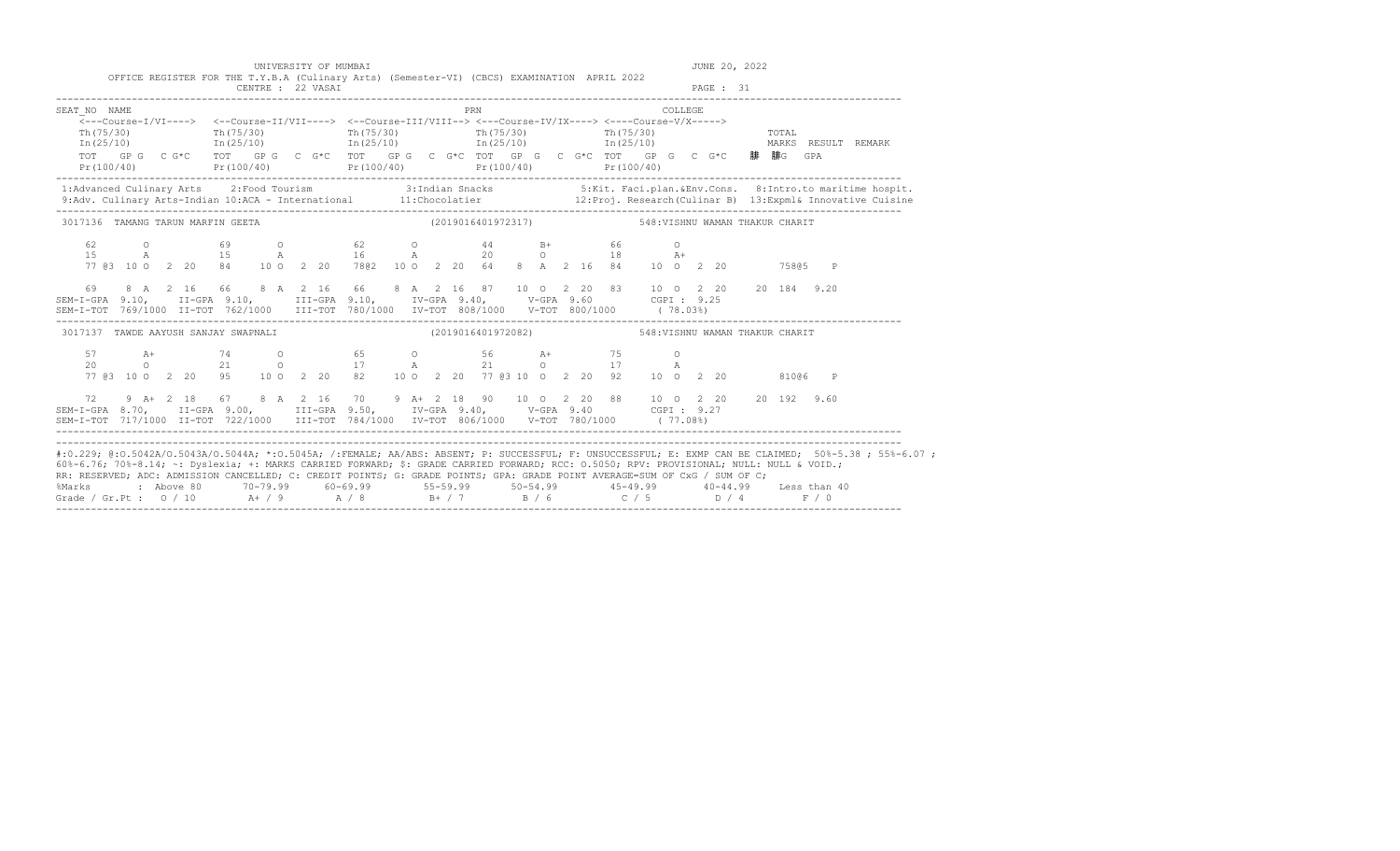|                                      | UNIVERSITY OF MUMBAI | OFFICE REGISTER FOR THE T.Y.B.A (Culinary Arts) (Semester-VI) (CBCS) EXAMINATION APRIL 2022                                                                                                                                                                                                                                                                                                    | JUNE 20, 2022                                                                                                                                                                                                                        |
|--------------------------------------|----------------------|------------------------------------------------------------------------------------------------------------------------------------------------------------------------------------------------------------------------------------------------------------------------------------------------------------------------------------------------------------------------------------------------|--------------------------------------------------------------------------------------------------------------------------------------------------------------------------------------------------------------------------------------|
|                                      | CENTRE : 22 VASAI    |                                                                                                                                                                                                                                                                                                                                                                                                | PAGE : 31                                                                                                                                                                                                                            |
| SEAT NO NAME<br>Th (75/30)           |                      | PRN<br>$\overline{<-}-$ Course-I/VI----> <--Course-II/VII----> <--Course-III/VIII--> <---Course-IV/IX----> <---Course-V/X-----><br>$\text{Th}(75/30)$ $\text{Th}(75/30)$ $\text{Th}(75/30)$ $\text{Th}(75/30)$ $\text{Th}(75/30)$<br>$In (25/10)$ $In (25/10)$ $In (25/10)$ $In (25/10)$ $In (25/10)$<br>TOT GPG CG*C TOT GPG CG*C TOT GPG CG*C TOT GPG CG*C TOT GPG CG*C TOT GPG CG*C 腓腓G GPA | COLLEGE<br>TOTAL<br>MARKS RESULT REMARK                                                                                                                                                                                              |
|                                      |                      | Pr(100/40) Pr(100/40) Pr(100/40) Pr(100/40) Pr(100/40) Pr(100/40)                                                                                                                                                                                                                                                                                                                              |                                                                                                                                                                                                                                      |
|                                      |                      |                                                                                                                                                                                                                                                                                                                                                                                                | 1:Advanced Culinary Arts 2:Food Tourism 3:Indian Snacks 5:Kit. Faci.plan.&Env.Cons. 8:Intro.to maritime hospit.<br>11:Chocolatier 12:Proj. Research (Culinar B) 13:Expml& Innovative Cuisine (9:Adv. Culinary Arts-Indian 10:ACA<br> |
| 3017136 TAMANG TARUN MARFIN GEETA    |                      |                                                                                                                                                                                                                                                                                                                                                                                                |                                                                                                                                                                                                                                      |
| 62<br>$\Omega$<br>1.5                |                      | 69 0 62 0 44 B+ 66<br>A 15 A 16 A 20 O 18 A+<br>77 @ 3 10 0 2 20 84 10 0 2 20 78 @ 2 10 0 2 20 64 8 A 2 16 84 10 0 2 20                                                                                                                                                                                                                                                                        | $\circ$<br>75805 P                                                                                                                                                                                                                   |
| 69                                   |                      | 8 A 2 16 66 8 A 2 16 66 8 A 2 16 87 10 O 2 20 83 10 O 2 20 20 184 9.20<br>SEM-I-GPA 9.10, II-GPA 9.10, III-GPA 9.10, IV-GPA 9.40, V-GPA 9.60 CGPI: 9.25<br>SEM-I-TOT 769/1000 II-TOT 762/1000 III-TOT 780/1000 IV-TOT 808/1000 V-TOT 800/1000 (78.03%)                                                                                                                                         |                                                                                                                                                                                                                                      |
| 3017137 TAWDE AAYUSH SANJAY SWAPNALI |                      |                                                                                                                                                                                                                                                                                                                                                                                                |                                                                                                                                                                                                                                      |
|                                      |                      |                                                                                                                                                                                                                                                                                                                                                                                                |                                                                                                                                                                                                                                      |
| 72                                   |                      | 9 A+ 2 18 67 8 A 2 16 70 9 A+ 2 18 90 10 0 2 20 88 10 0 2 20 20 192 9.60<br>SEM-I-GPA 8.70, II-GPA 9.00, III-GPA 9.50, IV-GPA 9.40, V-GPA 9.40 CGPI: 9.27                                                                                                                                                                                                                                      |                                                                                                                                                                                                                                      |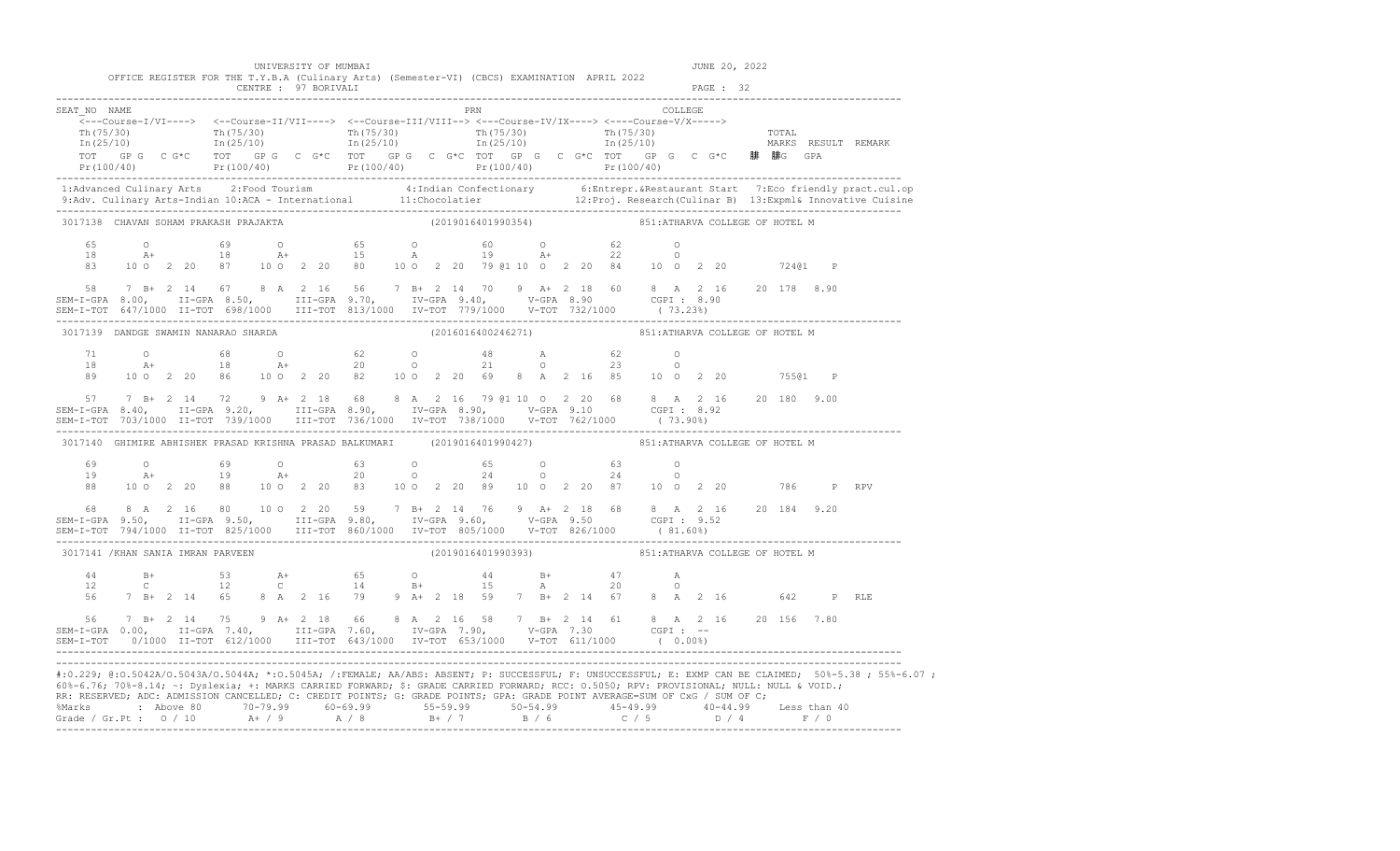|                                                                                                                                                                                                                                                                                                                                                                                                                                                                                                                                                                                                             |                 |                                                                                                                                                                                                                                                                                                                                                 |    |                | UNIVERSITY OF MUMBAI                                                                                                                                                                                                                                                                                                                                                                                                                                                                                                                                                                                                                                                                                                                                                                                                                                            |      |  |                    |  |  |                                                                                                                 |                | JUNE 20, 2022 |       |              |                                                                                                                                                      |
|-------------------------------------------------------------------------------------------------------------------------------------------------------------------------------------------------------------------------------------------------------------------------------------------------------------------------------------------------------------------------------------------------------------------------------------------------------------------------------------------------------------------------------------------------------------------------------------------------------------|-----------------|-------------------------------------------------------------------------------------------------------------------------------------------------------------------------------------------------------------------------------------------------------------------------------------------------------------------------------------------------|----|----------------|-----------------------------------------------------------------------------------------------------------------------------------------------------------------------------------------------------------------------------------------------------------------------------------------------------------------------------------------------------------------------------------------------------------------------------------------------------------------------------------------------------------------------------------------------------------------------------------------------------------------------------------------------------------------------------------------------------------------------------------------------------------------------------------------------------------------------------------------------------------------|------|--|--------------------|--|--|-----------------------------------------------------------------------------------------------------------------|----------------|---------------|-------|--------------|------------------------------------------------------------------------------------------------------------------------------------------------------|
|                                                                                                                                                                                                                                                                                                                                                                                                                                                                                                                                                                                                             |                 |                                                                                                                                                                                                                                                                                                                                                 |    |                | OFFICE REGISTER FOR THE T.Y.B.A (Culinary Arts) (Semester-VI) (CBCS) EXAMINATION APRIL 2022<br>CENTRE : 97 BORIVALI                                                                                                                                                                                                                                                                                                                                                                                                                                                                                                                                                                                                                                                                                                                                             |      |  |                    |  |  |                                                                                                                 |                | PAGE : 32     |       |              |                                                                                                                                                      |
| SEAT NO NAME                                                                                                                                                                                                                                                                                                                                                                                                                                                                                                                                                                                                |                 |                                                                                                                                                                                                                                                                                                                                                 |    |                | $\overbrace{\texttt{<--Course-I/VI--->}} \hspace{1.5cm} \xleftarrows\texttt{--Course-II/VII--->} \hspace{1.5cm} \xleftarrows\texttt{--Course-II/VIII--->} \hspace{1.5cm} \xleftarrows\texttt{--Course-IV/IX--->} \hspace{1.5cm} \xleftarrows\texttt{--Course-V/X--->} \hspace{1.5cm} \xleftarrows\texttt{--Course-V/X--->} \right.$<br>$\begin{array}{ccc} \text{Th (75/30)} & \text{Tr (75/30)} \\ \text{Th (75/30)} & \text{Tr (75/30)} \\ \text{In (25/10)} & \text{In (25/10)} \end{array} \qquad \begin{array}{ccc} \text{Th (75/30)} & \text{Tr (75/30)} \\ \text{Th (75/30)} & \text{Tr (75/30)} \\ \text{In (25/10)} & \text{In (25/10)} \end{array} \qquad \begin{array}{ccc} \text{DTAL} & \text{DTAL} \\ \text{In (25/10)} & \text{IT (25/10)} \end{array$<br>TOT GPG CG*C TOT GPG CG*C TOT GPG CG*C TOT GPG CG*C TOT GPG CG*C TOT GPG CG*C 腓 腓G GPA |      |  |                    |  |  | PRN COLLEGE                                                                                                     |                |               |       |              | Pr (100/40) Pr (100/40) Pr (100/40) Pr (100/40) Pr (100/40) Pr (100/40) Pr (100/40) Pr (100/40)                                                      |
|                                                                                                                                                                                                                                                                                                                                                                                                                                                                                                                                                                                                             |                 |                                                                                                                                                                                                                                                                                                                                                 |    |                |                                                                                                                                                                                                                                                                                                                                                                                                                                                                                                                                                                                                                                                                                                                                                                                                                                                                 |      |  |                    |  |  |                                                                                                                 |                |               |       |              |                                                                                                                                                      |
| 3017138 CHAVAN SOHAM PRAKASH PRAJAKTA                                                                                                                                                                                                                                                                                                                                                                                                                                                                                                                                                                       |                 |                                                                                                                                                                                                                                                                                                                                                 |    |                |                                                                                                                                                                                                                                                                                                                                                                                                                                                                                                                                                                                                                                                                                                                                                                                                                                                                 |      |  |                    |  |  | (2019016401990354) 351: ATHARVA COLLEGE OF HOTEL M                                                              |                |               |       |              |                                                                                                                                                      |
| 65<br>18<br>83<br>$58 \qquad 7 \quad B + \quad 2 \quad 14 \qquad 67 \qquad 8 \quad A \quad \quad 2 \quad 16 \qquad 56 \qquad 7 \quad B + \quad \quad 2 \quad 14 \qquad 70 \qquad 9 \qquad A + \quad \quad 2 \quad 18 \qquad 60 \qquad 8 \quad A \quad \quad 2 \quad 16 \qquad \quad 20 \quad 178 \qquad 8.90$<br>SEM-I-GPA 8.00, II-GPA 8.50, III-GPA 9.70, IV-GPA 9.40, V-GPA 8.90 CGPI :<br>SEM-1-GPA 0.00, il-GPA 0.00, ilida 0.00, ilida 0.00, ilida 0.00, ilida 0.00, ilida 0.00, ilida 0.00, ilida 0.0<br>SEM-I-TOT 647/1000 II-TOT 698/1000 III-TOT 813/1000 IV-TOT 779/1000 V-TOT 732/1000 (73.23%) |                 |                                                                                                                                                                                                                                                                                                                                                 |    |                |                                                                                                                                                                                                                                                                                                                                                                                                                                                                                                                                                                                                                                                                                                                                                                                                                                                                 |      |  |                    |  |  |                                                                                                                 |                |               |       | $\mathbb{P}$ |                                                                                                                                                      |
| 3017139 DANDGE SWAMIN NANARAO SHARDA                                                                                                                                                                                                                                                                                                                                                                                                                                                                                                                                                                        |                 |                                                                                                                                                                                                                                                                                                                                                 |    |                |                                                                                                                                                                                                                                                                                                                                                                                                                                                                                                                                                                                                                                                                                                                                                                                                                                                                 |      |  |                    |  |  | (2016016400246271) 851: ATHARVA COLLEGE OF HOTEL M                                                              |                |               |       |              |                                                                                                                                                      |
| 71<br>18<br>89                                                                                                                                                                                                                                                                                                                                                                                                                                                                                                                                                                                              | $\circ$<br>$A+$ |                                                                                                                                                                                                                                                                                                                                                 | 68 |                | 100 2 20 86 100 2 20 82 100 2 20 69 8 A 2 16 85 10 0 2 20                                                                                                                                                                                                                                                                                                                                                                                                                                                                                                                                                                                                                                                                                                                                                                                                       |      |  |                    |  |  | $\begin{array}{ccccccccc} 48 && \text{A} && & 62 && \text{O} \\ 21 && \text{O} && & 23 && \text{O} \end{array}$ |                |               | 75501 | $\mathbb{P}$ |                                                                                                                                                      |
| 57 7 B+ 2 14 72 9 A+ 2 18 68 8 A 2 16 79 @1 10 0 2 20 68 8 A 2 16 20 180 9.00<br>SEM-I-GPA 8.40, II-GPA 9.20, III-GPA 8.90, IV-GPA 8.90, V-GPA 9.10 CGPI: 8.92<br>SEM-I-TOT 703/1000 II-TOT 739/1000 III-TOT 736/1000 IV-TOT 738/1000 V-TOT 762/1000 (73.90%)                                                                                                                                                                                                                                                                                                                                               |                 |                                                                                                                                                                                                                                                                                                                                                 |    |                |                                                                                                                                                                                                                                                                                                                                                                                                                                                                                                                                                                                                                                                                                                                                                                                                                                                                 |      |  |                    |  |  |                                                                                                                 |                |               |       |              |                                                                                                                                                      |
|                                                                                                                                                                                                                                                                                                                                                                                                                                                                                                                                                                                                             |                 |                                                                                                                                                                                                                                                                                                                                                 |    |                | 3017140 GHIMIRE ABHISHEK PRASAD KRISHNA PRASAD BALKUMARI (2019016401990427) 851:ATHARVA COLLEGE OF HOTEL M                                                                                                                                                                                                                                                                                                                                                                                                                                                                                                                                                                                                                                                                                                                                                      |      |  |                    |  |  |                                                                                                                 |                |               |       |              |                                                                                                                                                      |
| 69<br>19<br>88                                                                                                                                                                                                                                                                                                                                                                                                                                                                                                                                                                                              | $\circ$         |                                                                                                                                                                                                                                                                                                                                                 | 69 | $\overline{O}$ | A+ 19 A+ 20 0<br>100  2  20  88  100  2  20  83  100  2  20  89  100  2  20  87  100  2  20  786  P  RPV                                                                                                                                                                                                                                                                                                                                                                                                                                                                                                                                                                                                                                                                                                                                                        | 63 0 |  | $24$ 0 24          |  |  | 65 0 63 0<br>$\overline{a}$                                                                                     |                |               |       |              |                                                                                                                                                      |
| 68                                                                                                                                                                                                                                                                                                                                                                                                                                                                                                                                                                                                          |                 |                                                                                                                                                                                                                                                                                                                                                 |    |                | 8 A 2 16 80 10 O 2 20 59 7 B+ 2 14 76 9 A+ 2 18 68 8 A 2 16 20 184 9.20<br>SEM-I-GPA 9.50, II-GPA 9.50, III-GPA 9.80, IV-GPA 9.60, V-GPA 9.50 CGPI: 9.52                                                                                                                                                                                                                                                                                                                                                                                                                                                                                                                                                                                                                                                                                                        |      |  |                    |  |  |                                                                                                                 |                |               |       |              |                                                                                                                                                      |
| 3017141 / KHAN SANIA IMRAN PARVEEN                                                                                                                                                                                                                                                                                                                                                                                                                                                                                                                                                                          |                 |                                                                                                                                                                                                                                                                                                                                                 |    |                |                                                                                                                                                                                                                                                                                                                                                                                                                                                                                                                                                                                                                                                                                                                                                                                                                                                                 |      |  | (2019016401990393) |  |  | 851: ATHARVA COLLEGE OF HOTEL M                                                                                 |                |               |       |              |                                                                                                                                                      |
| 44<br>12<br>56                                                                                                                                                                                                                                                                                                                                                                                                                                                                                                                                                                                              |                 | $BA + B + C$<br>$\mathbb C$ and $\mathbb C$ and $\mathbb C$ and $\mathbb C$ and $\mathbb C$ and $\mathbb C$ and $\mathbb C$ and $\mathbb C$ and $\mathbb C$ and $\mathbb C$ and $\mathbb C$ and $\mathbb C$ and $\mathbb C$ and $\mathbb C$ and $\mathbb C$ and $\mathbb C$ and $\mathbb C$ and $\mathbb C$ and $\mathbb C$ and $\mathbb C$ and |    |                | $12$ at $65$ 0 $44$ B+ $47$<br>$12$ c $14$ B+ $15$ A 20<br>7 B+ 2 14 65 8 A 2 16 79 9 A+ 2 18 59 7 B+ 2 14 67 8 A 2 16 642                                                                                                                                                                                                                                                                                                                                                                                                                                                                                                                                                                                                                                                                                                                                      |      |  |                    |  |  |                                                                                                                 | $\overline{A}$ |               |       | P RLE        |                                                                                                                                                      |
| 56<br>SEM-I-GPA 0.00, II-GPA 7.40, III-GPA 7.60, IV-GPA 7.90, V-GPA 7.30 CGPI :--<br>SEM-I-TOT 0/1000 II-TOT 612/1000 III-TOT 643/1000 IV-TOT 653/1000 V-TOT 611/1000 (0.00%)                                                                                                                                                                                                                                                                                                                                                                                                                               |                 |                                                                                                                                                                                                                                                                                                                                                 |    |                | 7 B+ 2 14 75 9 A+ 2 18 66 8 A 2 16 58 7 B+ 2 14 61 8 A 2 16 20 156 7.80                                                                                                                                                                                                                                                                                                                                                                                                                                                                                                                                                                                                                                                                                                                                                                                         |      |  |                    |  |  |                                                                                                                 |                |               |       |              |                                                                                                                                                      |
| 60%-6.76; 70%-8.14; ~: Dyslexia; +: MARKS CARRIED FORWARD; \$: GRADE CARRIED FORWARD; RCC: 0.5050; RPV: PROVISIONAL; NULL: NULL & VOID.;<br>RR: RESERVED; ADC: ADMISSION CANCELLED; C: CREDIT POINTS; G: GRADE POINTS; GPA: GRADE POINT AVERAGE=SUM OF CxG / SUM OF C;<br>%Marks : Above 80 70-79.99 60-69.99 55-59.99 50-54.99 45-49.99 40-44.99 Less than 40<br>Grade / Gr.Pt : 0 / 10 A+ / 9 A / 8 B+ / 7 B / 6 C / 5 D / 4 F / 0                                                                                                                                                                        |                 |                                                                                                                                                                                                                                                                                                                                                 |    |                |                                                                                                                                                                                                                                                                                                                                                                                                                                                                                                                                                                                                                                                                                                                                                                                                                                                                 |      |  |                    |  |  |                                                                                                                 |                |               |       |              | #:0.229; @:0.5042A/0.5043A/0.5044A; *:0.5045A; /:FEMALE; AA/ABS: ABSENT; P: SUCCESSFUL; F: UNSUCCESSFUL; E: EXMP CAN BE CLAIMED; 50%-5.38; 55%-6.07; |